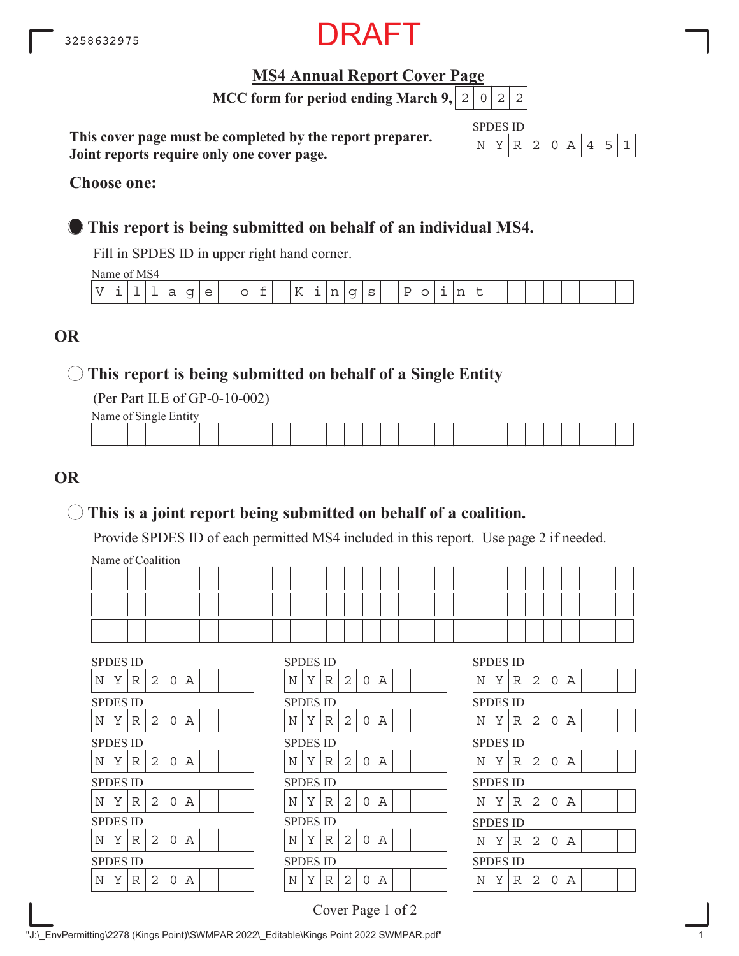

# **MS4 Annual Report Cover Page**

**MCC form for period ending March 9,**  $|2|0|2|2$ 

**This cover page must be completed by the report preparer. Joint reports require only one cover page.**

| SPDI | H۱ | S 11) |       |  |  |  |
|------|----|-------|-------|--|--|--|
|      |    |       | - 200 |  |  |  |

#### **Choose one:**

# **This report is being submitted on behalf of an individual MS4.**

Fill in SPDES ID in upper right hand corner.

Name of MS4

| $\sim$<br>K<br>$\overline{U}$<br>$- -$<br>$\sim$<br>a.<br>$\sim$<br>◡<br>ب<br>--<br>--<br>.<br>$ -$<br>$\overline{\phantom{0}}$<br>$\overline{\phantom{0}}$ |
|-------------------------------------------------------------------------------------------------------------------------------------------------------------|
|-------------------------------------------------------------------------------------------------------------------------------------------------------------|

# **OR**

# **This report is being submitted on behalf of a Single Entity**

(Per Part II.E of GP-0-10-002)

Name of Single Entity

|  |  |  |  |  |  |  | the contract of the contract of the contract of |  |  |  |  |  | the contract of the contract of the contract of |  |
|--|--|--|--|--|--|--|-------------------------------------------------|--|--|--|--|--|-------------------------------------------------|--|
|  |  |  |  |  |  |  |                                                 |  |  |  |  |  |                                                 |  |

# **OR**

# **This is a joint report being submitted on behalf of a coalition.**

Provide SPDES ID of each permitted MS4 included in this report. Use page 2 if needed.

Name of Coalition

| Y | R | $\overline{2}$                                                                                                 | $\Omega$ | А |  |  | N | Y | R | 2                                                                                                              | $\Omega$ | Α |  |  | N | Y | R | 2                                                                                                              | 0 | Α |
|---|---|----------------------------------------------------------------------------------------------------------------|----------|---|--|--|---|---|---|----------------------------------------------------------------------------------------------------------------|----------|---|--|--|---|---|---|----------------------------------------------------------------------------------------------------------------|---|---|
|   |   |                                                                                                                |          |   |  |  |   |   |   |                                                                                                                |          |   |  |  |   |   |   |                                                                                                                |   |   |
| Y | R | $\overline{2}$                                                                                                 | $\Omega$ | Α |  |  | N | Y | R | 2                                                                                                              | $\cap$   | Α |  |  | N | Y | R | 2                                                                                                              | 0 | Α |
|   |   |                                                                                                                |          |   |  |  |   |   |   |                                                                                                                |          |   |  |  |   |   |   |                                                                                                                |   |   |
| Y | R | $\overline{2}$                                                                                                 | 0        | Α |  |  | N | Y | R | 2                                                                                                              | $\Omega$ | Α |  |  | N | Y | R | 2                                                                                                              | 0 | Α |
|   |   |                                                                                                                |          |   |  |  |   |   |   |                                                                                                                |          |   |  |  |   |   |   |                                                                                                                |   |   |
| Y | R | 2                                                                                                              | $\Omega$ | А |  |  | Ν | Y | R | 2                                                                                                              | $\Omega$ | А |  |  | N | Y | R | 2                                                                                                              | O | Α |
|   |   |                                                                                                                |          |   |  |  |   |   |   |                                                                                                                |          |   |  |  |   |   |   |                                                                                                                |   |   |
| Y | R | $\overline{2}$                                                                                                 | $\Omega$ | А |  |  | N | Y | R | 2                                                                                                              | $\Omega$ | Α |  |  | N | Y | R | 2                                                                                                              | 0 | Α |
|   |   |                                                                                                                |          |   |  |  |   |   |   |                                                                                                                |          |   |  |  |   |   |   |                                                                                                                |   |   |
| Y | R | $\overline{2}$                                                                                                 | 0        | А |  |  | N | Y | R | $\overline{2}$                                                                                                 |          | А |  |  | N | Y | R | 2                                                                                                              | 0 | Α |
|   |   | <b>SPDES ID</b><br><b>SPDES ID</b><br><b>SPDES ID</b><br><b>SPDES ID</b><br><b>SPDES ID</b><br><b>SPDES ID</b> |          |   |  |  |   |   |   | <b>SPDES ID</b><br><b>SPDES ID</b><br><b>SPDES ID</b><br><b>SPDES ID</b><br><b>SPDES ID</b><br><b>SPDES ID</b> |          |   |  |  |   |   |   | <b>SPDES ID</b><br><b>SPDES ID</b><br><b>SPDES ID</b><br><b>SPDES ID</b><br><b>SPDES ID</b><br><b>SPDES ID</b> |   |   |

|                 | SPDES ID |   |   |   |   |  |  |   | SPDES ID        |   |
|-----------------|----------|---|---|---|---|--|--|---|-----------------|---|
| Ν               | Y        | R | 2 | 0 | А |  |  | Ν | Υ               | R |
|                 | SPDES ID |   |   |   |   |  |  |   | SPDES ID        |   |
| Ν               | Y        | R | 2 | 0 | А |  |  | Ν | Y               | R |
|                 | SPDES ID |   |   |   |   |  |  |   | SPDES ID        |   |
| N               | Υ        | R | 2 | O | А |  |  | N | Υ               | R |
| <b>SPDES ID</b> |          |   |   |   |   |  |  |   | <b>SPDES ID</b> |   |
| N               | Y        | R | 2 | O | А |  |  | Ν | Y               | R |
|                 | SPDES ID |   |   |   |   |  |  |   | SPDES ID        |   |
| N               | Y        | R | 2 | 0 | А |  |  | N | Y               | R |
|                 | SPDES ID |   |   |   |   |  |  |   | SPDES ID        |   |
| Ν               | Y        | R | 2 | ∩ | А |  |  | Ν | Y               | R |
|                 |          |   |   |   |   |  |  |   |                 |   |

| <b>SPDES ID</b> |   |   |                |                |             |  |  |
|-----------------|---|---|----------------|----------------|-------------|--|--|
| N               | Y | R | $\overline{2}$ | $\overline{O}$ | Α           |  |  |
| <b>SPDES ID</b> |   |   |                |                |             |  |  |
| N               | Υ | R | $\overline{c}$ | $\overline{0}$ | $\mathbb A$ |  |  |
| SPDES ID        |   |   |                |                |             |  |  |
| N               | Υ | R | 2              | 0              | Α           |  |  |
| SPDES ID        |   |   |                |                |             |  |  |
| N               | Υ | R | $\overline{c}$ | $\overline{O}$ | $\mathbb A$ |  |  |
| SPDES ID        |   |   |                |                |             |  |  |
| N               | Y | R | $\overline{2}$ | 0              | Α           |  |  |
| SPDES ID        |   |   |                |                |             |  |  |
| N               | Υ | R | $\overline{2}$ | Λ              | А           |  |  |

Cover Page 1 of 2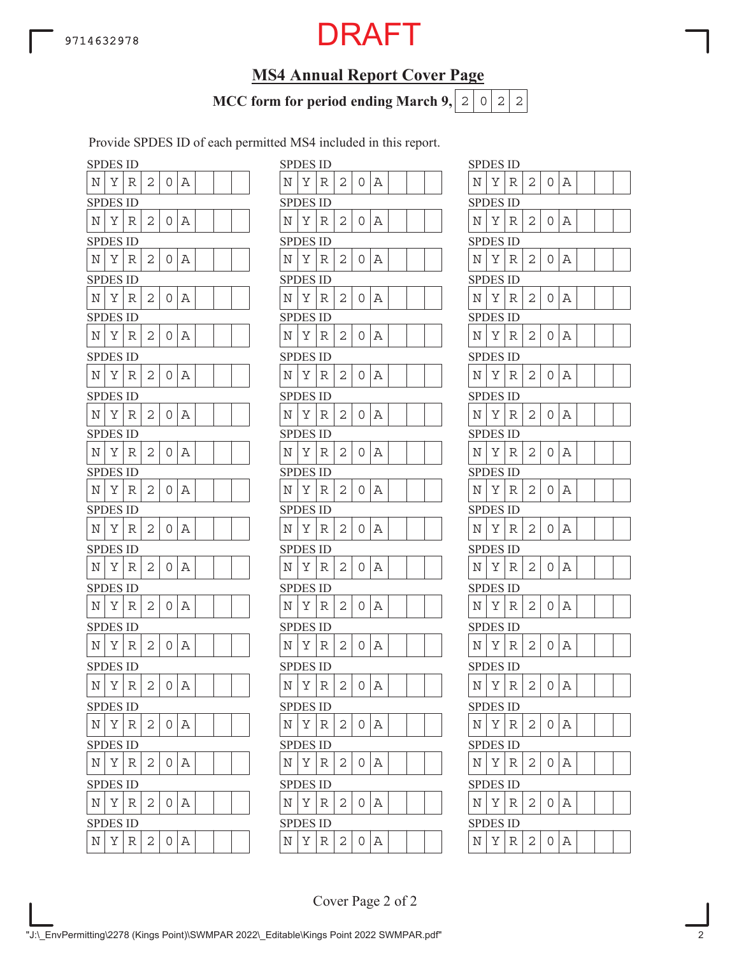# **MS4 Annual Report Cover Page**

**MCC form for period ending March 9,**  $|2|0|2|2$ 

Provide SPDES ID of each permitted MS4 included in this report.

|                    | <b>SPDES ID</b> |   |   |   |   |  |  |                    | <b>SPDES ID</b> |   |
|--------------------|-----------------|---|---|---|---|--|--|--------------------|-----------------|---|
| N                  | Υ               | R | 2 | 0 | Α |  |  | Ν                  | Υ               | R |
|                    | <b>SPDES ID</b> |   |   |   |   |  |  |                    | <b>SPDES ID</b> |   |
| N                  | Υ               | R | 2 | 0 | Α |  |  | N                  | Υ               | R |
|                    | SPDES ID        |   |   |   |   |  |  |                    | <b>SPDES ID</b> |   |
| N                  | Υ               | R | 2 | 0 | Α |  |  | N                  | Υ               | R |
|                    | <b>SPDES ID</b> |   |   |   |   |  |  |                    | <b>SPDES ID</b> |   |
| N                  | Υ               | R | 2 | 0 | Α |  |  | Ν                  | Υ               | R |
|                    | <b>SPDES ID</b> |   |   |   |   |  |  |                    | <b>SPDES ID</b> |   |
| Ν                  | Υ               | R | 2 | 0 | Α |  |  | N                  | Υ               | R |
|                    | <b>SPDES ID</b> |   |   |   |   |  |  |                    | <b>SPDES ID</b> |   |
| N                  | Υ               | R | 2 | 0 | Α |  |  | N                  | Υ               | R |
|                    | <b>SPDES ID</b> |   |   |   |   |  |  |                    | <b>SPDES ID</b> |   |
| N                  | Υ               | R | 2 | 0 | Α |  |  | N                  | Υ               | R |
|                    | <b>SPDES ID</b> |   |   |   |   |  |  |                    | <b>SPDES ID</b> |   |
| N                  | Υ               | R | 2 | 0 | Α |  |  | N                  | Υ               | R |
|                    | <b>SPDES ID</b> |   |   |   |   |  |  |                    | <b>SPDES ID</b> |   |
| N                  | Υ               | R | 2 | 0 | Α |  |  | N                  | Υ               | R |
|                    | <b>SPDES ID</b> |   |   |   |   |  |  |                    | SPDES ID        |   |
| Ν                  | Υ               | R | 2 | 0 | Α |  |  | Ν                  | Υ               | R |
|                    | <b>SPDES ID</b> |   |   |   |   |  |  |                    | <b>SPDES ID</b> |   |
| Ν                  | Υ               | R | 2 | 0 | Α |  |  | Ν                  | Υ               | R |
|                    | <b>SPDES ID</b> |   |   |   |   |  |  |                    | <b>SPDES ID</b> |   |
| N                  | Υ               | R | 2 | 0 | Α |  |  | N                  | Υ               | R |
|                    | SPDES ID        |   |   |   |   |  |  |                    | SPDES ID        |   |
| Ν                  | Υ               | R | 2 | 0 | Α |  |  | Ν                  | Υ               | R |
| <b>SPI</b>         | DES ID          |   |   |   |   |  |  |                    | SPDES ID        |   |
| N                  | Υ               | R | 2 | 0 | Α |  |  | $\overline{\rm N}$ | Υ               | R |
|                    | <b>SPDES ID</b> |   |   |   |   |  |  |                    | <b>SPDES ID</b> |   |
| $\overline{\rm N}$ | Υ               | R | 2 | 0 | Α |  |  | Ν                  | Υ               | R |
|                    | <b>SPDES ID</b> |   |   |   |   |  |  |                    | <b>SPDES ID</b> |   |
| Ν                  | Υ               | R | 2 | 0 | Α |  |  | Ν                  | Υ               | R |
|                    | <b>SPDES ID</b> |   |   |   |   |  |  |                    | <b>SPDES ID</b> |   |
| N                  | Υ               | R | 2 | 0 | Α |  |  | Ν                  | Υ               | R |
|                    | <b>SPDES ID</b> |   |   |   |   |  |  |                    | <b>SPDES ID</b> |   |
| N                  | Υ               | R | 2 | 0 | Α |  |  | N                  | Υ               | R |

|            | <b>SPDES ID</b> |             |                |                |       |  |  |             | <b>SPDES ID</b> |   |   |          |       |  |  | <b>SPDES ID</b> |   |   |   |                |          |
|------------|-----------------|-------------|----------------|----------------|-------|--|--|-------------|-----------------|---|---|----------|-------|--|--|-----------------|---|---|---|----------------|----------|
| N          | Υ               | R           | 2              | 0              | Α     |  |  | Ν           | Υ               | R | 2 | 0        | Α     |  |  | N               | Υ | R | 2 | 0              | Α        |
|            | <b>SPDES ID</b> |             |                |                |       |  |  |             | <b>SPDES ID</b> |   |   |          |       |  |  | <b>SPDES ID</b> |   |   |   |                |          |
| Ν          | Υ               | R           | 2              | 0              | Α     |  |  | Ν           | Υ               | R | 2 | 0        | Α     |  |  | Ν               | Υ | R | 2 | 0              | А        |
|            | SPDES ID        |             |                |                |       |  |  |             | <b>SPDES ID</b> |   |   |          |       |  |  | <b>SPDES ID</b> |   |   |   |                |          |
| N          | Υ               | R           | 2              | 0              | Α     |  |  | Ν           | Υ               | R | 2 | 0        | А     |  |  | Ν               | Υ | R | 2 | $\overline{O}$ | Α        |
|            | <b>SPDES ID</b> |             |                |                |       |  |  |             | <b>SPDES ID</b> |   |   |          |       |  |  | <b>SPDES ID</b> |   |   |   |                |          |
| Ν          | Υ               | R           | 2              | 0              | Α     |  |  | Ν           | Υ               | R | 2 | 0        | Α     |  |  | N               | Υ | R | 2 | 0              | Α        |
|            | SPDES ID        |             |                |                |       |  |  |             | <b>SPDES ID</b> |   |   |          |       |  |  | <b>SPDES ID</b> |   |   |   |                |          |
| N          | Υ               | R           | 2              | 0              | А     |  |  | Ν           | Υ               | R | 2 | 0        | А     |  |  | Ν               | Υ | R | 2 | 0              | А        |
|            | SPDES ID        |             |                |                |       |  |  |             | <b>SPDES ID</b> |   |   |          |       |  |  | <b>SPDES ID</b> |   |   |   |                |          |
| N          | Υ               | R           | 2              | 0              | Α     |  |  | Ν           | Y               | R | 2 | $\Omega$ | Α     |  |  | N               | Υ | R | 2 | $\overline{O}$ | Α        |
|            | <b>SPDES ID</b> |             |                |                |       |  |  |             | <b>SPDES ID</b> |   |   |          |       |  |  | <b>SPDES ID</b> |   |   |   |                |          |
| N          | Υ               | R           | 2              | 0              | А     |  |  | N           | Y               | R | 2 | 0        | Α     |  |  | N               | Υ | R | 2 | 0              | А        |
|            | <b>SPDES ID</b> |             |                |                |       |  |  |             | <b>SPDES ID</b> |   |   |          |       |  |  | <b>SPDES ID</b> |   |   |   |                |          |
| N          | Υ               | R           | 2              | 0              | Α     |  |  | Ν           | Υ               | R | 2 | 0        | Α     |  |  | N               | Υ | R | 2 | 0              | А        |
|            | SPDES ID        |             |                |                |       |  |  |             | <b>SPDES ID</b> |   |   |          |       |  |  | <b>SPDES ID</b> |   |   |   |                |          |
| N          | Υ               | R           | 2              | 0              | Α     |  |  | N           | Υ               | R | 2 | 0        | Α     |  |  | N               | Υ | R | 2 | 0              | А        |
|            | <b>SPDES ID</b> |             |                |                |       |  |  |             | <b>SPDES ID</b> |   |   |          |       |  |  | <b>SPDES ID</b> |   |   |   |                |          |
| N          | Υ               | R           | 2              | 0              | Α     |  |  | N           | Υ               | R | 2 | 0        | Α     |  |  | Ν               | Υ | R | 2 | $\overline{O}$ | Α        |
|            | SPDES ID        |             |                |                |       |  |  |             | <b>SPDES ID</b> |   |   |          |       |  |  | <b>SPDES ID</b> |   |   |   |                |          |
| N          | Υ               | R           | 2              | 0              | Α     |  |  | Ν           | Υ               | R | 2 | 0        | Α     |  |  | N               | Υ | R | 2 | O              | А        |
|            | <b>SPDES ID</b> |             |                |                |       |  |  |             | <b>SPDES ID</b> |   |   |          |       |  |  | <b>SPDES ID</b> |   |   |   |                |          |
| N          | Υ               | R           | 2              | 0              | Α     |  |  | N           | Υ               | R | 2 | 0        | Α     |  |  | Ν               | Υ | R | 2 | 0              | А        |
|            | <b>SPDES ID</b> |             |                |                |       |  |  |             | <b>SPDES ID</b> |   |   |          |       |  |  | <b>SPDES ID</b> |   |   |   |                |          |
| Ν          | Υ               | R           | 2              | 0              | Α     |  |  | Ν           | Υ               | R | 2 | 0        | Α     |  |  | N               | Υ | R | 2 | 0              | Α        |
|            | <b>SPDES ID</b> |             |                |                |       |  |  |             | <b>SPDES ID</b> |   |   |          |       |  |  | <b>SPDES ID</b> |   |   |   |                |          |
| Ν          | Υ               | $\mathbb R$ | 2              | 0              | Α     |  |  | N           | Υ               | R | 2 | 0        | Α     |  |  | N               | Υ | R | 2 | 0              | Α        |
|            | <b>SPDES ID</b> |             |                |                |       |  |  |             | <b>SPDES ID</b> |   |   |          |       |  |  | <b>SPDES ID</b> |   |   |   |                |          |
| $_{\rm N}$ | Υ               | R           | 2              |                | 0   A |  |  | Ν           | Υ               | R | 2 | 0        | Α     |  |  | $\mathbb N$     | Υ | R | 2 | 0              | Α        |
|            | <b>SPDES ID</b> |             |                |                |       |  |  |             | <b>SPDES ID</b> |   |   |          |       |  |  | <b>SPDES ID</b> |   |   |   |                |          |
| N          | Y R             |             | 2              | $\overline{0}$ | Α     |  |  | $\mathbf N$ | $Y \mid$        | R | 2 | 0        | Α     |  |  | Ν               | Υ | R | 2 | O              | А        |
|            | <b>SPDES ID</b> |             |                |                |       |  |  |             | <b>SPDES ID</b> |   |   |          |       |  |  | <b>SPDES ID</b> |   |   |   |                |          |
| Ν          | Υ               | R           | 2              |                | 0   A |  |  | N           | Υ               | R | 2 | 0        | A     |  |  | $\mathbb N$     | Υ | R | 2 | 0              | $\Delta$ |
|            | <b>SPDES ID</b> |             |                |                |       |  |  |             | <b>SPDES ID</b> |   |   |          |       |  |  | <b>SPDES ID</b> |   |   |   |                |          |
| Ν          | Y               | R           | $\overline{2}$ |                | 0   A |  |  | $_{\rm N}$  | Y               | R | 2 |          | 0   A |  |  | $\mathbf N$     | Υ | R | 2 | $0 \Delta$     |          |
|            |                 |             |                |                |       |  |  |             |                 |   |   |          |       |  |  |                 |   |   |   |                |          |

| N<br>Υ<br>2<br>0<br>Α<br>R<br>SPDES<br>ID<br>$\overline{c}$<br>N<br>Υ<br>A<br>0<br>R<br><b>SPDES ID</b><br>Υ<br>Ν<br>R<br>2<br>0<br>А<br><b>SPDES ID</b><br>Υ<br>2<br>N<br>0<br>Α<br>R<br>SPDES ID<br>N<br>Υ<br>2<br>R<br>Α<br>0<br><b>SPDES ID</b><br>Υ<br>Ν<br>2<br>R<br>А<br>0<br>SPDES ID<br>N<br>Υ<br>2<br>0<br>A<br>R<br>SPDES<br>ID.<br>$\overline{c}$<br>Υ<br>Α<br>Ν<br>0<br>R<br>SPDES ID<br>2<br>Α<br>Ν<br>Υ<br>R<br>0<br>SPDES ID<br>N<br>Υ<br>2<br>0<br>Α<br>R<br>SPDES ID<br>N<br>Υ<br>$\mathbf{2}$<br>R<br>Α<br>0<br>SPDES ID<br>2<br>Α<br>Ν<br>Υ<br>R<br>0<br>SPDES ID<br>2<br>N<br>Υ<br>0<br>Α<br>R<br><b>SPDES ID</b> | SPDES ID |  |  |  |  |
|----------------------------------------------------------------------------------------------------------------------------------------------------------------------------------------------------------------------------------------------------------------------------------------------------------------------------------------------------------------------------------------------------------------------------------------------------------------------------------------------------------------------------------------------------------------------------------------------------------------------------------------|----------|--|--|--|--|
|                                                                                                                                                                                                                                                                                                                                                                                                                                                                                                                                                                                                                                        |          |  |  |  |  |
|                                                                                                                                                                                                                                                                                                                                                                                                                                                                                                                                                                                                                                        |          |  |  |  |  |
|                                                                                                                                                                                                                                                                                                                                                                                                                                                                                                                                                                                                                                        |          |  |  |  |  |
|                                                                                                                                                                                                                                                                                                                                                                                                                                                                                                                                                                                                                                        |          |  |  |  |  |
|                                                                                                                                                                                                                                                                                                                                                                                                                                                                                                                                                                                                                                        |          |  |  |  |  |
|                                                                                                                                                                                                                                                                                                                                                                                                                                                                                                                                                                                                                                        |          |  |  |  |  |
|                                                                                                                                                                                                                                                                                                                                                                                                                                                                                                                                                                                                                                        |          |  |  |  |  |
|                                                                                                                                                                                                                                                                                                                                                                                                                                                                                                                                                                                                                                        |          |  |  |  |  |
|                                                                                                                                                                                                                                                                                                                                                                                                                                                                                                                                                                                                                                        |          |  |  |  |  |
|                                                                                                                                                                                                                                                                                                                                                                                                                                                                                                                                                                                                                                        |          |  |  |  |  |
|                                                                                                                                                                                                                                                                                                                                                                                                                                                                                                                                                                                                                                        |          |  |  |  |  |
|                                                                                                                                                                                                                                                                                                                                                                                                                                                                                                                                                                                                                                        |          |  |  |  |  |
|                                                                                                                                                                                                                                                                                                                                                                                                                                                                                                                                                                                                                                        |          |  |  |  |  |
|                                                                                                                                                                                                                                                                                                                                                                                                                                                                                                                                                                                                                                        |          |  |  |  |  |
|                                                                                                                                                                                                                                                                                                                                                                                                                                                                                                                                                                                                                                        |          |  |  |  |  |
|                                                                                                                                                                                                                                                                                                                                                                                                                                                                                                                                                                                                                                        |          |  |  |  |  |
|                                                                                                                                                                                                                                                                                                                                                                                                                                                                                                                                                                                                                                        |          |  |  |  |  |
|                                                                                                                                                                                                                                                                                                                                                                                                                                                                                                                                                                                                                                        |          |  |  |  |  |
|                                                                                                                                                                                                                                                                                                                                                                                                                                                                                                                                                                                                                                        |          |  |  |  |  |
|                                                                                                                                                                                                                                                                                                                                                                                                                                                                                                                                                                                                                                        |          |  |  |  |  |
|                                                                                                                                                                                                                                                                                                                                                                                                                                                                                                                                                                                                                                        |          |  |  |  |  |
|                                                                                                                                                                                                                                                                                                                                                                                                                                                                                                                                                                                                                                        |          |  |  |  |  |
|                                                                                                                                                                                                                                                                                                                                                                                                                                                                                                                                                                                                                                        |          |  |  |  |  |
|                                                                                                                                                                                                                                                                                                                                                                                                                                                                                                                                                                                                                                        |          |  |  |  |  |
|                                                                                                                                                                                                                                                                                                                                                                                                                                                                                                                                                                                                                                        |          |  |  |  |  |
|                                                                                                                                                                                                                                                                                                                                                                                                                                                                                                                                                                                                                                        |          |  |  |  |  |
| $\overline{\rm N}$<br>Υ<br>$\overline{c}$<br>$\overline{\mathbb{A}}$<br>0<br>R                                                                                                                                                                                                                                                                                                                                                                                                                                                                                                                                                         |          |  |  |  |  |
| SPDES ID                                                                                                                                                                                                                                                                                                                                                                                                                                                                                                                                                                                                                               |          |  |  |  |  |
| Α<br>N<br>Υ<br>0<br>R<br>2                                                                                                                                                                                                                                                                                                                                                                                                                                                                                                                                                                                                             |          |  |  |  |  |
| <b>SPDES ID</b>                                                                                                                                                                                                                                                                                                                                                                                                                                                                                                                                                                                                                        |          |  |  |  |  |
| Υ<br>N<br>R<br>2<br>0<br>Α                                                                                                                                                                                                                                                                                                                                                                                                                                                                                                                                                                                                             |          |  |  |  |  |
| <b>SPDES ID</b>                                                                                                                                                                                                                                                                                                                                                                                                                                                                                                                                                                                                                        |          |  |  |  |  |
| Υ<br>Ν<br>2<br>Α<br>R<br>0                                                                                                                                                                                                                                                                                                                                                                                                                                                                                                                                                                                                             |          |  |  |  |  |
| SPDES ID                                                                                                                                                                                                                                                                                                                                                                                                                                                                                                                                                                                                                               |          |  |  |  |  |
| N<br>Υ<br>$\mathbf 0$<br>Α<br>R<br>$\overline{c}$                                                                                                                                                                                                                                                                                                                                                                                                                                                                                                                                                                                      |          |  |  |  |  |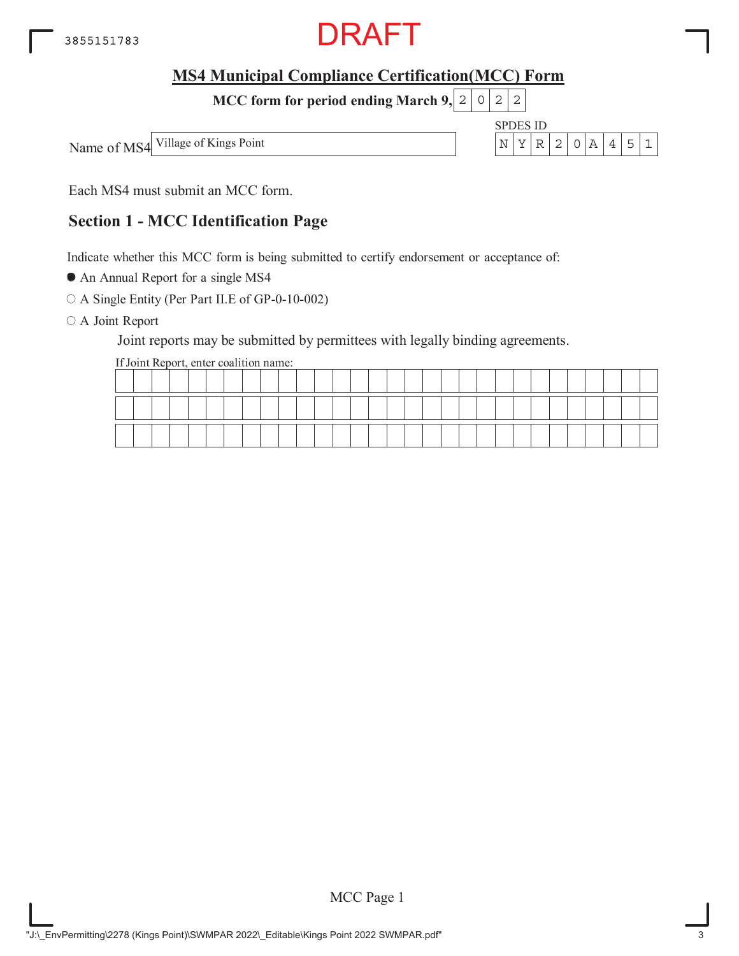

**MCC form for period ending March 9, 2 0 2 2** 



Each MS4 must submit an MCC form.

# **Section 1 - MCC Identification Page**

Indicate whether this MCC form is being submitted to certify endorsement or acceptance of:

An Annual Report for a single MS4

A Single Entity (Per Part II.E of GP-0-10-002)

O A Joint Report

Joint reports may be submitted by permittees with legally binding agreements.

If Joint Report, enter coalition name: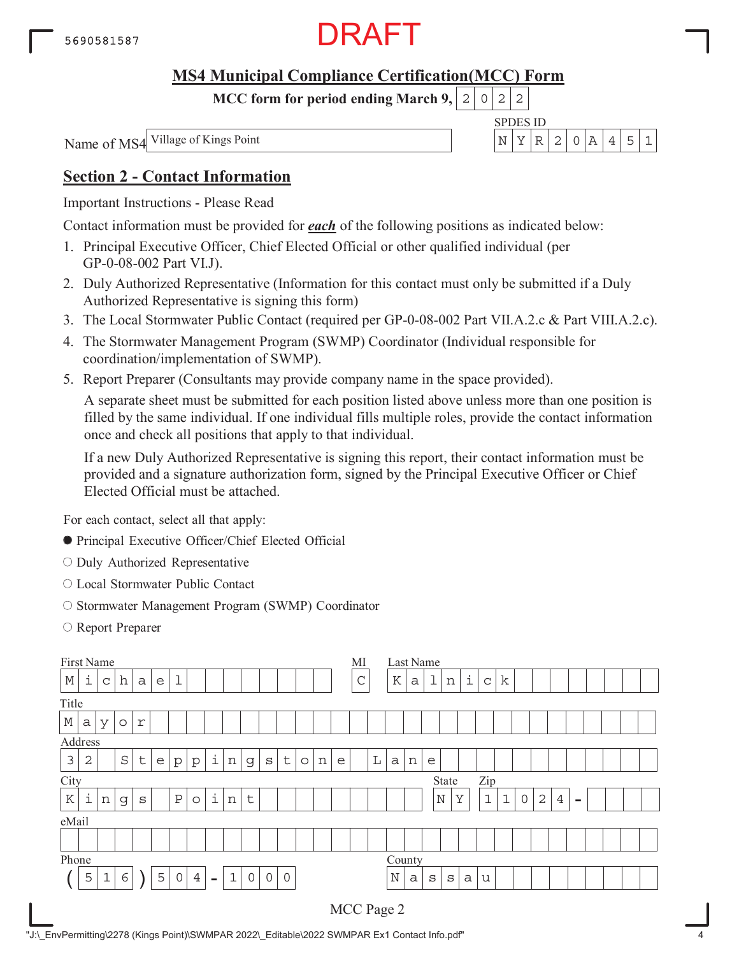

**MCC form for period ending March 9,**  $0|2|2$ 

Name of MS4

SPDES ID Village of Kings Point  $\left| N \right| \left| Y \right| \left| R \right| 2 \left| 0 \right| A \left| 4 \right| 5 \left| 1 \right|$ 

# **Section 2 - Contact Information**

Important Instructions - Please Read

Contact information must be provided for *each* of the following positions as indicated below:

- 1. Principal Executive Officer, Chief Elected Official or other qualified individual (per GP-0-08-002 Part VI.J).
- 2. Duly Authorized Representative (Information for this contact must only be submitted if a Duly Authorized Representative is signing this form)
- 3. The Local Stormwater Public Contact (required per GP-0-08-002 Part VII.A.2.c & Part VIII.A.2.c).
- 4. The Stormwater Management Program (SWMP) Coordinator (Individual responsible for coordination/implementation of SWMP).
- 5. Report Preparer (Consultants may provide company name in the space provided).

A separate sheet must be submitted for each position listed above unless more than one position is filled by the same individual. If one individual fills multiple roles, provide the contact information once and check all positions that apply to that individual.

If a new Duly Authorized Representative is signing this report, their contact information must be provided and a signature authorization form, signed by the Principal Executive Officer or Chief Elected Official must be attached.

- Principal Executive Officer/Chief Elected Official
- O Duly Authorized Representative
- Local Stormwater Public Contact
- O Stormwater Management Program (SWMP) Coordinator
- Report Preparer

| First Name  |                                                                                                                                                          |                                                                                                                                                                            |                     |              |   |             |  |  |  |  |  |  |  |  |  | МI          |             | Last Name |              |             |     |             |             |   |              |                |      |  |  |  |
|-------------|----------------------------------------------------------------------------------------------------------------------------------------------------------|----------------------------------------------------------------------------------------------------------------------------------------------------------------------------|---------------------|--------------|---|-------------|--|--|--|--|--|--|--|--|--|-------------|-------------|-----------|--------------|-------------|-----|-------------|-------------|---|--------------|----------------|------|--|--|--|
| $\mathbb M$ | i                                                                                                                                                        | $\mathsf C$                                                                                                                                                                | h                   | $\mathsf{a}$ | e | $\mathbf 1$ |  |  |  |  |  |  |  |  |  | $\mathsf C$ |             | K         | a            | $\mathbf 1$ | n   | i           | $\mathbf C$ | k |              |                |      |  |  |  |
| Title       |                                                                                                                                                          |                                                                                                                                                                            |                     |              |   |             |  |  |  |  |  |  |  |  |  |             |             |           |              |             |     |             |             |   |              |                |      |  |  |  |
| $\mathbb M$ | a                                                                                                                                                        | У                                                                                                                                                                          | $\circlearrowright$ | r            |   |             |  |  |  |  |  |  |  |  |  |             |             |           |              |             |     |             |             |   |              |                |      |  |  |  |
| Address     |                                                                                                                                                          |                                                                                                                                                                            |                     |              |   |             |  |  |  |  |  |  |  |  |  |             |             |           |              |             |     |             |             |   |              |                |      |  |  |  |
| $\mathsf 3$ | $\overline{2}$                                                                                                                                           | i<br>$\mathsf{t}$<br>$\rm S$<br>$\sf t$<br>n<br>$\rm s$<br>$\circ$<br>n<br>e<br>$\rm p$<br>$\rm p$<br>g<br>e<br>i<br>i<br>$\, {\bf P}$<br>t<br>n<br>$\circ$<br>S<br>n<br>g |                     |              |   |             |  |  |  |  |  |  |  |  |  |             | L           | a         | n            | e           |     |             |             |   |              |                |      |  |  |  |
| City        |                                                                                                                                                          |                                                                                                                                                                            |                     |              |   |             |  |  |  |  |  |  |  |  |  |             |             |           | State        |             | Zip |             |             |   |              |                |      |  |  |  |
| ${\bf K}$   |                                                                                                                                                          |                                                                                                                                                                            |                     |              |   |             |  |  |  |  |  |  |  |  |  |             |             |           |              | $\mathbb N$ | Y   | $\mathbf 1$ | $\mathbf 1$ | 0 | $\mathbf{2}$ | $\overline{4}$ | $\,$ |  |  |  |
| eMail       |                                                                                                                                                          |                                                                                                                                                                            |                     |              |   |             |  |  |  |  |  |  |  |  |  |             |             |           |              |             |     |             |             |   |              |                |      |  |  |  |
|             |                                                                                                                                                          |                                                                                                                                                                            |                     |              |   |             |  |  |  |  |  |  |  |  |  |             |             |           |              |             |     |             |             |   |              |                |      |  |  |  |
|             |                                                                                                                                                          |                                                                                                                                                                            |                     |              |   |             |  |  |  |  |  |  |  |  |  |             |             | County    |              |             |     |             |             |   |              |                |      |  |  |  |
|             | Phone<br>$\epsilon$<br>$\overline{4}$<br>$\mathbf 0$<br>5<br>$\mathbf 0$<br>$\mathbf 1$<br>$\mathbf 0$<br>5<br>$\mathbf 1$<br>$\overline{0}$<br>$\equiv$ |                                                                                                                                                                            |                     |              |   |             |  |  |  |  |  |  |  |  |  |             | $\mathbb N$ | a         | $\mathtt{s}$ | S           | a   | u           |             |   |              |                |      |  |  |  |
|             |                                                                                                                                                          |                                                                                                                                                                            |                     |              |   |             |  |  |  |  |  |  |  |  |  | MCC Page 2  |             |           |              |             |     |             |             |   |              |                |      |  |  |  |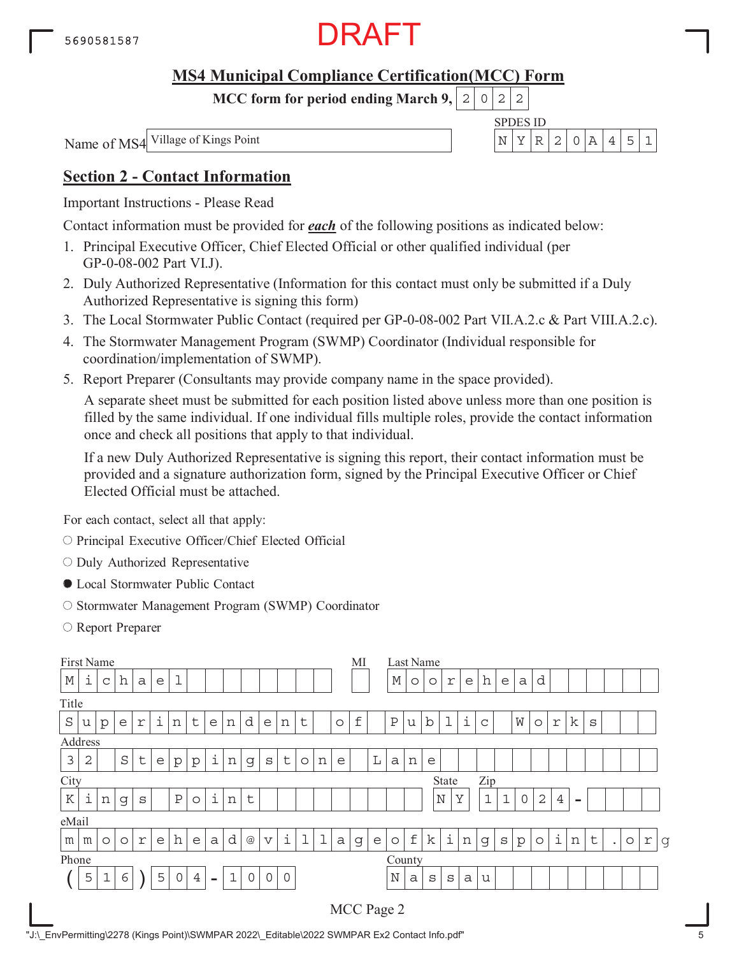

**MCC form for period ending March 9,**  $0|2|2$ 

Name of MS4

SPDES ID Village of Kings Point  $\left| N \right| \left| Y \right| \left| R \right| 2 \left| 0 \right| A \left| 4 \right| 5 \left| 1 \right|$ 

# **Section 2 - Contact Information**

Important Instructions - Please Read

Contact information must be provided for *each* of the following positions as indicated below:

- 1. Principal Executive Officer, Chief Elected Official or other qualified individual (per GP-0-08-002 Part VI.J).
- 2. Duly Authorized Representative (Information for this contact must only be submitted if a Duly Authorized Representative is signing this form)
- 3. The Local Stormwater Public Contact (required per GP-0-08-002 Part VII.A.2.c & Part VIII.A.2.c).
- 4. The Stormwater Management Program (SWMP) Coordinator (Individual responsible for coordination/implementation of SWMP).
- 5. Report Preparer (Consultants may provide company name in the space provided).

A separate sheet must be submitted for each position listed above unless more than one position is filled by the same individual. If one individual fills multiple roles, provide the contact information once and check all positions that apply to that individual.

If a new Duly Authorized Representative is signing this report, their contact information must be provided and a signature authorization form, signed by the Principal Executive Officer or Chief Elected Official must be attached.

- O Principal Executive Officer/Chief Elected Official
- O Duly Authorized Representative
- Local Stormwater Public Contact
- O Stormwater Management Program (SWMP) Coordinator
- Report Preparer

| First Name<br>i<br>h<br>$\mathbb M$<br>e<br>a<br>C<br>Title<br>i<br>$\rm S$<br>d<br>$\mathbf f$<br>$\sf t$<br>t<br>n<br>n<br>e<br>$\circ$<br>p<br>е<br>r<br>e<br>n<br>u<br>Address<br>i<br>$\mathfrak{Z}$<br>$\rm S$<br>$\sf t$<br>$\overline{2}$<br>$\sf t$<br>n<br>e<br>n<br>g<br>S<br>e<br>p<br>$\circ$<br>p |   |         |         |   |   |              |                |                |             |                 |                 |         |   | MI          |             |              | Last Name |              |             |         |             |   |               |             |              |                |                |      |   |           |         |            |   |
|-----------------------------------------------------------------------------------------------------------------------------------------------------------------------------------------------------------------------------------------------------------------------------------------------------------------|---|---------|---------|---|---|--------------|----------------|----------------|-------------|-----------------|-----------------|---------|---|-------------|-------------|--------------|-----------|--------------|-------------|---------|-------------|---|---------------|-------------|--------------|----------------|----------------|------|---|-----------|---------|------------|---|
|                                                                                                                                                                                                                                                                                                                 |   |         |         |   |   |              |                |                |             |                 |                 |         |   |             |             |              |           | $\mathbb M$  | $\circ$     | $\circ$ | r           | e | h             | e           | a            | d              |                |      |   |           |         |            |   |
|                                                                                                                                                                                                                                                                                                                 |   |         |         |   |   |              |                |                |             |                 |                 |         |   |             |             |              |           |              |             |         |             |   |               |             |              |                |                |      |   |           |         |            |   |
|                                                                                                                                                                                                                                                                                                                 |   |         |         |   |   |              |                |                |             |                 |                 |         |   |             |             |              |           | $\, {\bf P}$ | u           | b       |             | i | $\mathsf{C}$  |             | W            | $\circ$        | $\Upsilon$     | k    | S |           |         |            |   |
|                                                                                                                                                                                                                                                                                                                 |   |         |         |   |   |              |                |                |             |                 |                 |         |   |             |             |              |           |              |             |         |             |   |               |             |              |                |                |      |   |           |         |            |   |
|                                                                                                                                                                                                                                                                                                                 |   |         |         |   |   |              |                |                |             |                 |                 |         |   |             |             | L            | a         | n            | e           |         |             |   |               |             |              |                |                |      |   |           |         |            |   |
| City                                                                                                                                                                                                                                                                                                            |   |         |         |   |   |              |                |                |             |                 |                 |         |   |             |             | <b>State</b> |           | Zip          |             |         |             |   |               |             |              |                |                |      |   |           |         |            |   |
| ${\bf K}$                                                                                                                                                                                                                                                                                                       | i | n       | g       | S |   | $\, {\bf P}$ | $\circ$        | i              | n           | $\sf t$         |                 |         |   |             |             |              |           |              |             |         | $\mathbb N$ | Υ | $\mathbf 1$   | $\mathbf 1$ | 0            | $\overline{2}$ | $\overline{4}$ | $\,$ |   |           |         |            |   |
| eMail                                                                                                                                                                                                                                                                                                           |   |         |         |   |   |              |                |                |             |                 |                 |         |   |             |             |              |           |              |             |         |             |   |               |             |              |                |                |      |   |           |         |            |   |
| m                                                                                                                                                                                                                                                                                                               | m | $\circ$ | $\circ$ | r | e | h            | e              | a              | d           | $^{\copyright}$ | $\triangledown$ | i       | 1 | $\mathbf 1$ | $\mathsf a$ | g            | e         | $\circ$      | $\mathbf f$ | k       | i           | n | $\mathfrak g$ | S           | $\mathbf{p}$ | $\circ$        | i              | n    | t | $\bullet$ | $\circ$ | $\Upsilon$ | g |
| Phone                                                                                                                                                                                                                                                                                                           |   |         |         |   |   |              |                |                |             |                 |                 |         |   |             |             |              |           | County       |             |         |             |   |               |             |              |                |                |      |   |           |         |            |   |
|                                                                                                                                                                                                                                                                                                                 | 5 | 1       | 6       |   | 5 | 0            | $\overline{4}$ | $\blacksquare$ | $\mathbf 1$ | $\mathsf{O}$    | $\mathbf 0$     | $\circ$ |   |             |             |              |           | $\mathbb N$  | a           | S       | S           | a | u             |             |              |                |                |      |   |           |         |            |   |
|                                                                                                                                                                                                                                                                                                                 |   |         |         |   |   |              |                |                |             |                 |                 |         |   |             |             | MCC Page 2   |           |              |             |         |             |   |               |             |              |                |                |      |   |           |         |            |   |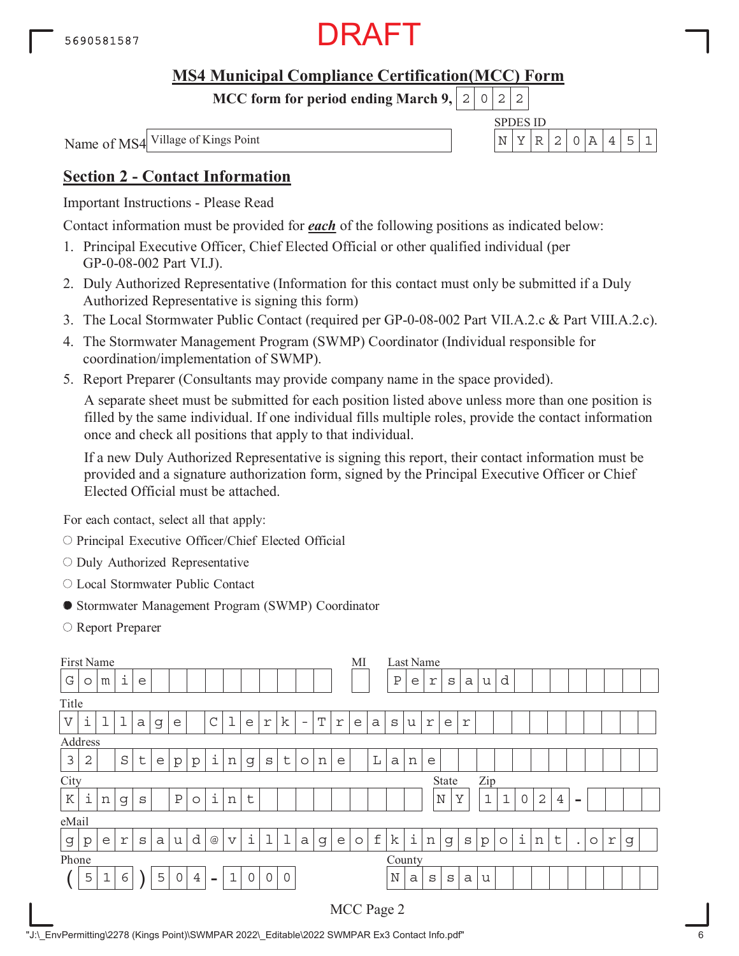

**MCC form for period ending March 9,**  $0|2|2$ 

Name of MS4

SPDES ID Village of Kings Point  $\left| N \right| \left| Y \right| \left| R \right| 2 \left| 0 \right| A \left| 4 \right| 5 \left| 1 \right|$ 

# **Section 2 - Contact Information**

Important Instructions - Please Read

Contact information must be provided for *each* of the following positions as indicated below:

- 1. Principal Executive Officer, Chief Elected Official or other qualified individual (per GP-0-08-002 Part VI.J).
- 2. Duly Authorized Representative (Information for this contact must only be submitted if a Duly Authorized Representative is signing this form)
- 3. The Local Stormwater Public Contact (required per GP-0-08-002 Part VII.A.2.c & Part VIII.A.2.c).
- 4. The Stormwater Management Program (SWMP) Coordinator (Individual responsible for coordination/implementation of SWMP).
- 5. Report Preparer (Consultants may provide company name in the space provided).

A separate sheet must be submitted for each position listed above unless more than one position is filled by the same individual. If one individual fills multiple roles, provide the contact information once and check all positions that apply to that individual.

If a new Duly Authorized Representative is signing this report, their contact information must be provided and a signature authorization form, signed by the Principal Executive Officer or Chief Elected Official must be attached.

- O Principal Executive Officer/Chief Elected Official
- $\circ$  Duly Authorized Representative
- Local Stormwater Public Contact
- Stormwater Management Program (SWMP) Coordinator
- Report Preparer

|                       | First Name<br>i<br>e<br>m<br>O<br>i<br>ı<br>$\mathbf 1$<br>1<br>k<br>$\mathsf C$<br>T<br>a<br>g<br>e<br>r<br>r<br>e<br>$\overline{\phantom{a}}$<br>Address<br>i<br>$\rm S$<br>$\sf t$<br>$\sf t$<br>$\overline{2}$<br>S<br>n<br>e<br>p<br>p<br>g<br>$\circ$<br>n<br>e<br>i<br>i<br>$\, {\bf P}$<br>t<br>$\circ$<br>n<br>n<br>g<br>S |             |            |   |   |                     |                |                |                         |             |              |              |              |   | МI |              |             |              | Last Name |   |             |   |              |              |             |   |                |           |         |   |   |  |
|-----------------------|-------------------------------------------------------------------------------------------------------------------------------------------------------------------------------------------------------------------------------------------------------------------------------------------------------------------------------------|-------------|------------|---|---|---------------------|----------------|----------------|-------------------------|-------------|--------------|--------------|--------------|---|----|--------------|-------------|--------------|-----------|---|-------------|---|--------------|--------------|-------------|---|----------------|-----------|---------|---|---|--|
| G                     |                                                                                                                                                                                                                                                                                                                                     |             |            |   |   |                     |                |                |                         |             |              |              |              |   |    |              |             | $\, {\bf P}$ | e         | r | S           | a | u            | d            |             |   |                |           |         |   |   |  |
| Title                 |                                                                                                                                                                                                                                                                                                                                     |             |            |   |   |                     |                |                |                         |             |              |              |              |   |    |              |             |              |           |   |             |   |              |              |             |   |                |           |         |   |   |  |
| $\boldsymbol{\nabla}$ |                                                                                                                                                                                                                                                                                                                                     |             |            |   |   |                     |                |                |                         |             |              |              |              |   | e  | $\mathsf{a}$ | S           | u            | r         | e | r           |   |              |              |             |   |                |           |         |   |   |  |
|                       |                                                                                                                                                                                                                                                                                                                                     |             |            |   |   |                     |                |                |                         |             |              |              |              |   |    |              |             |              |           |   |             |   |              |              |             |   |                |           |         |   |   |  |
| 3                     |                                                                                                                                                                                                                                                                                                                                     |             |            |   |   |                     |                |                |                         |             |              |              |              |   |    | $\mathbb L$  | a           | n            | e         |   |             |   |              |              |             |   |                |           |         |   |   |  |
| City<br>Zip<br>State  |                                                                                                                                                                                                                                                                                                                                     |             |            |   |   |                     |                |                |                         |             |              |              |              |   |    |              |             |              |           |   |             |   |              |              |             |   |                |           |         |   |   |  |
| ${\bf K}$             |                                                                                                                                                                                                                                                                                                                                     |             |            |   |   |                     |                |                |                         |             |              |              |              |   |    |              |             |              |           |   | $\mathbb N$ | Υ | $\mathbf{1}$ | $\mathbf{1}$ | $\mathbf 0$ | 2 | $\overline{4}$ | $\equiv$  |         |   |   |  |
| eMail                 |                                                                                                                                                                                                                                                                                                                                     |             |            |   |   |                     |                |                |                         |             |              |              |              |   |    |              |             |              |           |   |             |   |              |              |             |   |                |           |         |   |   |  |
| $\mathbf G$           | $\mathbf{p}$                                                                                                                                                                                                                                                                                                                        | e           | $\Upsilon$ | S | a | u                   | d              | $@$            | $\overline{\mathsf{V}}$ | i           | ı            | $\mathbf 1$  | $\mathsf{a}$ | g | e  | $\circ$      | $\mathbf f$ | k            | i         | n | g           | S | р            | $\circ$      | i           | n | t              | $\bullet$ | $\circ$ | r | g |  |
| Phone                 |                                                                                                                                                                                                                                                                                                                                     |             |            |   |   |                     |                |                |                         |             |              |              |              |   |    |              |             | County       |           |   |             |   |              |              |             |   |                |           |         |   |   |  |
|                       | 5                                                                                                                                                                                                                                                                                                                                   | $\mathbf 1$ | 6          |   | 5 | $\mathsf{O}\xspace$ | $\overline{4}$ | $\blacksquare$ | $\mathbf 1$             | $\mathbf 0$ | $\mathsf{O}$ | $\mathsf{O}$ |              |   |    |              |             | $\mathbf N$  | a         | S | S           | a | u            |              |             |   |                |           |         |   |   |  |
|                       |                                                                                                                                                                                                                                                                                                                                     |             |            |   |   |                     |                |                |                         |             |              |              |              |   |    |              |             | MCC Page 2   |           |   |             |   |              |              |             |   |                |           |         |   |   |  |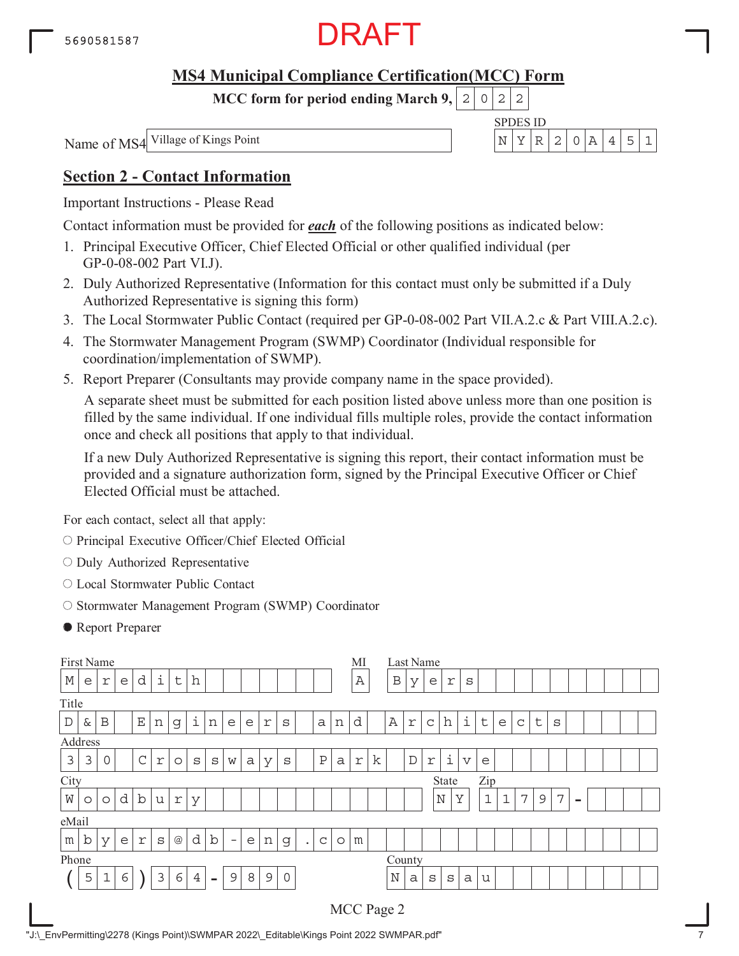

**MCC form for period ending March 9,**  $0|2|2$ 

Name of MS4

SPDES ID Village of Kings Point  $\left| N \right| \left| Y \right| \left| R \right| 2 \left| 0 \right| A \left| 4 \right| 5 \left| 1 \right|$ 

# **Section 2 - Contact Information**

Important Instructions - Please Read

Contact information must be provided for *each* of the following positions as indicated below:

- 1. Principal Executive Officer, Chief Elected Official or other qualified individual (per GP-0-08-002 Part VI.J).
- 2. Duly Authorized Representative (Information for this contact must only be submitted if a Duly Authorized Representative is signing this form)
- 3. The Local Stormwater Public Contact (required per GP-0-08-002 Part VII.A.2.c & Part VIII.A.2.c).
- 4. The Stormwater Management Program (SWMP) Coordinator (Individual responsible for coordination/implementation of SWMP).
- 5. Report Preparer (Consultants may provide company name in the space provided).

A separate sheet must be submitted for each position listed above unless more than one position is filled by the same individual. If one individual fills multiple roles, provide the contact information once and check all positions that apply to that individual.

If a new Duly Authorized Representative is signing this report, their contact information must be provided and a signature authorization form, signed by the Principal Executive Officer or Chief Elected Official must be attached.

- O Principal Executive Officer/Chief Elected Official
- $\circ$  Duly Authorized Representative
- Local Stormwater Public Contact
- O Stormwater Management Program (SWMP) Coordinator
- Report Preparer

|             |                                                                                                                                                                   | First Name<br>i<br>d<br>h<br>$\mathsf{t}$<br>r<br>e<br>e<br>i<br>$\mathbf{E}% _{0}$<br>B<br>&<br>n<br>n<br>r<br>g<br>e<br>S<br>a<br>n<br>e<br>$\mathsf C$<br>$\, {\bf P}$<br>3<br>0<br>a<br>$\Upsilon$<br>S<br>S<br>W<br>У<br>S<br>a<br>$\circ$ |   |  |   |   |                |                          |   |   |               |         |  |  |                         | MI           |   |             | Last Name  |                    |                         |             |   |             |         |   |                          |  |  |  |
|-------------|-------------------------------------------------------------------------------------------------------------------------------------------------------------------|-------------------------------------------------------------------------------------------------------------------------------------------------------------------------------------------------------------------------------------------------|---|--|---|---|----------------|--------------------------|---|---|---------------|---------|--|--|-------------------------|--------------|---|-------------|------------|--------------------|-------------------------|-------------|---|-------------|---------|---|--------------------------|--|--|--|
| $\mathbb M$ |                                                                                                                                                                   |                                                                                                                                                                                                                                                 |   |  |   |   |                |                          |   |   |               |         |  |  |                         | $\mathbb{A}$ |   | B           | У          | e                  | r                       | S           |   |             |         |   |                          |  |  |  |
| Title       |                                                                                                                                                                   |                                                                                                                                                                                                                                                 |   |  |   |   |                |                          |   |   |               |         |  |  |                         |              |   |             |            |                    |                         |             |   |             |         |   |                          |  |  |  |
| $\mathbb D$ | Address                                                                                                                                                           |                                                                                                                                                                                                                                                 |   |  |   |   |                |                          |   |   |               |         |  |  | d                       |              | Α | r           | C          | h                  | i                       | $\mathsf t$ | e | $\mathsf C$ | $\sf t$ | S |                          |  |  |  |
|             |                                                                                                                                                                   |                                                                                                                                                                                                                                                 |   |  |   |   |                |                          |   |   |               |         |  |  |                         |              |   |             |            |                    |                         |             |   |             |         |   |                          |  |  |  |
| 3           |                                                                                                                                                                   |                                                                                                                                                                                                                                                 |   |  |   |   |                |                          |   |   |               |         |  |  | $\mathfrak{\textbf{r}}$ | k            |   | $\mathbb D$ | $\Upsilon$ | $\dot{\mathtt{l}}$ | $\overline{\mathbf{V}}$ | e           |   |             |         |   |                          |  |  |  |
| City        |                                                                                                                                                                   |                                                                                                                                                                                                                                                 |   |  |   |   |                |                          |   |   |               |         |  |  |                         |              |   |             |            | State              |                         | Zip         |   |             |         |   |                          |  |  |  |
| W           | d<br>$\mathbf b$<br>r<br>У<br>u<br>$\circ$<br>$\circ$                                                                                                             |                                                                                                                                                                                                                                                 |   |  |   |   |                |                          |   |   |               |         |  |  |                         |              |   |             |            | $\mathbb N$        | Y                       | $\mathbf 1$ | 1 | 7           | 9       | 7 | $\overline{\phantom{a}}$ |  |  |  |
|             |                                                                                                                                                                   |                                                                                                                                                                                                                                                 |   |  |   |   |                |                          |   |   |               |         |  |  |                         |              |   |             |            |                    |                         |             |   |             |         |   |                          |  |  |  |
| m           | eMail<br>d<br>$\mathbf b$<br>b<br>$^{\copyright}$<br>У<br>e<br>$\Upsilon$<br>g<br>S<br>$\mathsf{C}$<br>e<br>n<br>$\circ$<br>$\overline{\phantom{0}}$<br>$\bullet$ |                                                                                                                                                                                                                                                 |   |  |   |   |                |                          |   |   |               |         |  |  | m                       |              |   |             |            |                    |                         |             |   |             |         |   |                          |  |  |  |
| Phone       |                                                                                                                                                                   |                                                                                                                                                                                                                                                 |   |  |   |   |                |                          |   |   |               |         |  |  |                         |              |   |             | County     |                    |                         |             |   |             |         |   |                          |  |  |  |
|             | 5                                                                                                                                                                 | $\mathbf 1$                                                                                                                                                                                                                                     | 6 |  | 3 | 6 | $\overline{4}$ | $\overline{\phantom{0}}$ | 9 | 8 | $\mathcal{G}$ | $\circ$ |  |  |                         |              |   | $\mathbb N$ | a          | S                  | S                       | a           | u |             |         |   |                          |  |  |  |
|             |                                                                                                                                                                   |                                                                                                                                                                                                                                                 |   |  |   |   |                |                          |   |   |               |         |  |  |                         |              |   | MCC Page 2  |            |                    |                         |             |   |             |         |   |                          |  |  |  |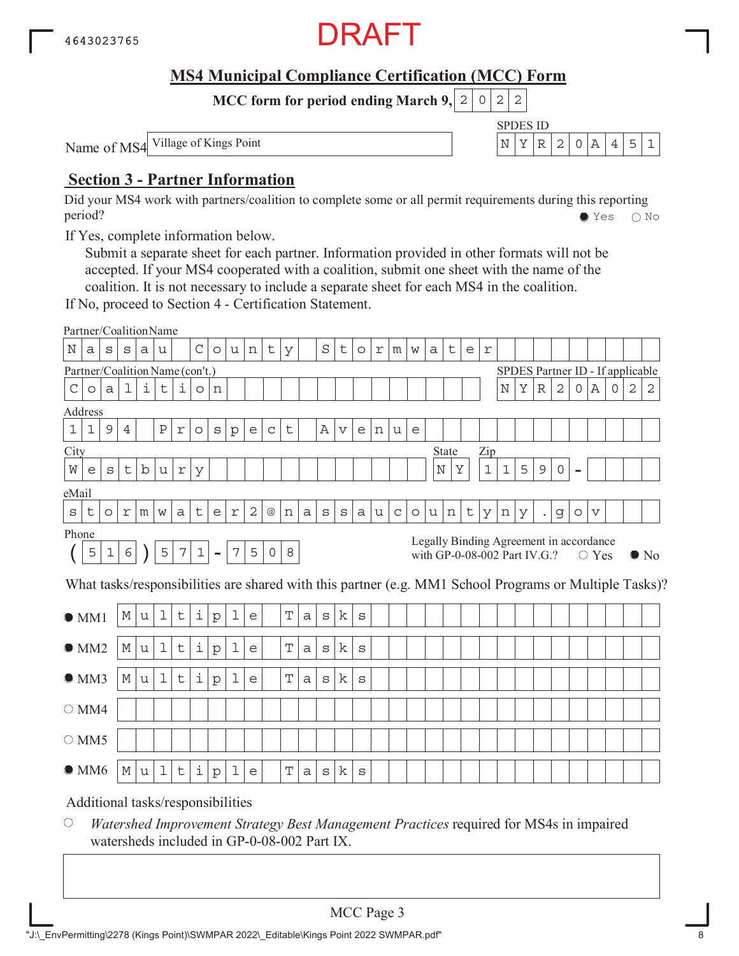

SPDES ID

**MCC form for period ending March 9, 2 0 2 2** 

Name of MS4 Village of Kings Point  $\left| N \right| X \left| R \right| 2 \left| 0 \right| A \left| 4 \right| 5 \left| 1 \right|$ 

# **Section 3 - Partner Information**

Did your MS4 work with partners/coalition to complete some or all permit requirements during this reporting period? Yes No

If Yes, complete information below.

Submit a separate sheet for each partner. Information provided in other formats will not be accepted. If your MS4 cooperated with a coalition, submit one sheet with the name of the coalition. It is not necessary to include a separate sheet for each MS4 in the coalition.

If No, proceed to Section 4 - Certification Statement.

|               | Partner/CoalitionName             |              |            |             |             |                  |             |                |                |                |             |             |   |              |             |              |   |             |         |   |                                                                         |   |             |            |                                  |                      |              |                          |             |             |   |                                                                                                        |
|---------------|-----------------------------------|--------------|------------|-------------|-------------|------------------|-------------|----------------|----------------|----------------|-------------|-------------|---|--------------|-------------|--------------|---|-------------|---------|---|-------------------------------------------------------------------------|---|-------------|------------|----------------------------------|----------------------|--------------|--------------------------|-------------|-------------|---|--------------------------------------------------------------------------------------------------------|
| Ν             | а                                 | S            | S          | а           | u           |                  | $\mathsf C$ | $\circ$        | u              | n              | t           | У           |   | $\rm S$      | t           | $\circ$      | r | m           | W       | а | t                                                                       | e | $\mathbf r$ |            |                                  |                      |              |                          |             |             |   |                                                                                                        |
|               | Partner/Coalition Name (con't.)   |              |            |             |             |                  |             |                |                |                |             |             |   |              |             |              |   |             |         |   |                                                                         |   |             |            | SPDES Partner ID - If applicable |                      |              |                          |             |             |   |                                                                                                        |
| $\mathcal{C}$ | $\circ$                           | $\mathsf{a}$ | 1          | i           | $\mathsf t$ | i                | $\circ$     | n              |                |                |             |             |   |              |             |              |   |             |         |   |                                                                         |   |             | $_{\rm N}$ | Υ                                | $\mathbb R$          | $\mathbf{2}$ | 0                        | Α           | $\mathbf 0$ | 2 | 2                                                                                                      |
|               | Address                           |              |            |             |             |                  |             |                |                |                |             |             |   |              |             |              |   |             |         |   |                                                                         |   |             |            |                                  |                      |              |                          |             |             |   |                                                                                                        |
| $1\,$         | 1                                 | 9            | 4          |             | Ρ           | $\Upsilon$       | $\circ$     | S              | $\mathbf{p}$   | e              | $\mathsf C$ | t           |   | Α            | $\mathbf v$ | e            | n | u           | e       |   |                                                                         |   |             |            |                                  |                      |              |                          |             |             |   |                                                                                                        |
| City          |                                   |              |            |             |             |                  |             |                |                |                |             |             |   |              |             |              |   |             |         |   | State                                                                   |   | Zip         |            |                                  |                      |              |                          |             |             |   |                                                                                                        |
| W             | e                                 | S            | セ          | $\mathbf b$ | u           | $\,$ $\,$ $\,$   | У           |                |                |                |             |             |   |              |             |              |   |             |         |   | Ν<br>Y                                                                  |   | $1\,$       | 1          | 5                                | 9                    | $\mathbf 0$  | $\overline{\phantom{0}}$ |             |             |   |                                                                                                        |
| eMail         |                                   |              |            |             |             |                  |             |                |                |                |             |             |   |              |             |              |   |             |         |   |                                                                         |   |             |            |                                  |                      |              |                          |             |             |   |                                                                                                        |
| S             | t                                 | $\circ$      | r          | m           | W           | a                | t           | e              | $\,$ $\,$ $\,$ | $\overline{c}$ | @           | n           | a | $\mathtt{s}$ | S           | a            | u | $\mathsf C$ | $\circ$ | u | n                                                                       | t | У           | n          | У                                | $\ddot{\phantom{0}}$ | g            | $\circ$                  | V           |             |   |                                                                                                        |
| Phone         |                                   |              |            |             |             |                  |             |                |                |                |             |             |   |              |             |              |   |             |         |   |                                                                         |   |             |            |                                  |                      |              |                          |             |             |   |                                                                                                        |
|               | 5                                 | $\mathbf 1$  | $\epsilon$ |             | 5           | $\boldsymbol{7}$ | $\mathbf 1$ | $\blacksquare$ | $\overline{7}$ | 5              | $\circ$     | 8           |   |              |             |              |   |             |         |   | Legally Binding Agreement in accordance<br>with GP-0-08-002 Part IV.G.? |   |             |            |                                  |                      |              |                          | $\circ$ Yes |             |   | $\bullet$ No                                                                                           |
|               |                                   |              |            |             |             |                  |             |                |                |                |             |             |   |              |             |              |   |             |         |   |                                                                         |   |             |            |                                  |                      |              |                          |             |             |   | What tasks/responsibilities are shared with this partner (e.g. MM1 School Programs or Multiple Tasks)? |
|               | OM1                               |              | М          | u           | $\mathbf 1$ | t                | i           | $\mathbf{p}$   | 1              | e              |             | T           | a | $\mathtt{s}$ | k           | $\mathbf S$  |   |             |         |   |                                                                         |   |             |            |                                  |                      |              |                          |             |             |   |                                                                                                        |
|               | OMM2                              |              | М          | u           | $\mathbf 1$ | t                | i           | ${\rm p}$      | 1              | e              |             | Т           | a | $\mathtt{s}$ | k           | $\mathtt{s}$ |   |             |         |   |                                                                         |   |             |            |                                  |                      |              |                          |             |             |   |                                                                                                        |
|               | OMM3                              |              | М          | u           | 1           | t                | i           | $\mathbf{p}$   | 1              | e              |             | $\mathbf T$ | a | $\mathtt{s}$ | k           | $\rm s$      |   |             |         |   |                                                                         |   |             |            |                                  |                      |              |                          |             |             |   |                                                                                                        |
|               | $\bigcirc$ MM4                    |              |            |             |             |                  |             |                |                |                |             |             |   |              |             |              |   |             |         |   |                                                                         |   |             |            |                                  |                      |              |                          |             |             |   |                                                                                                        |
|               | $\circ$ MM5                       |              |            |             |             |                  |             |                |                |                |             |             |   |              |             |              |   |             |         |   |                                                                         |   |             |            |                                  |                      |              |                          |             |             |   |                                                                                                        |
|               | $\bullet$ MM6                     |              | М          | u           | $\mathbf 1$ | t                | i           | ${\rm p}$      | 1              | e              |             | Т           | a | S            | k           | S            |   |             |         |   |                                                                         |   |             |            |                                  |                      |              |                          |             |             |   |                                                                                                        |
|               | Additional tasks/responsibilities |              |            |             |             |                  |             |                |                |                |             |             |   |              |             |              |   |             |         |   |                                                                         |   |             |            |                                  |                      |              |                          |             |             |   |                                                                                                        |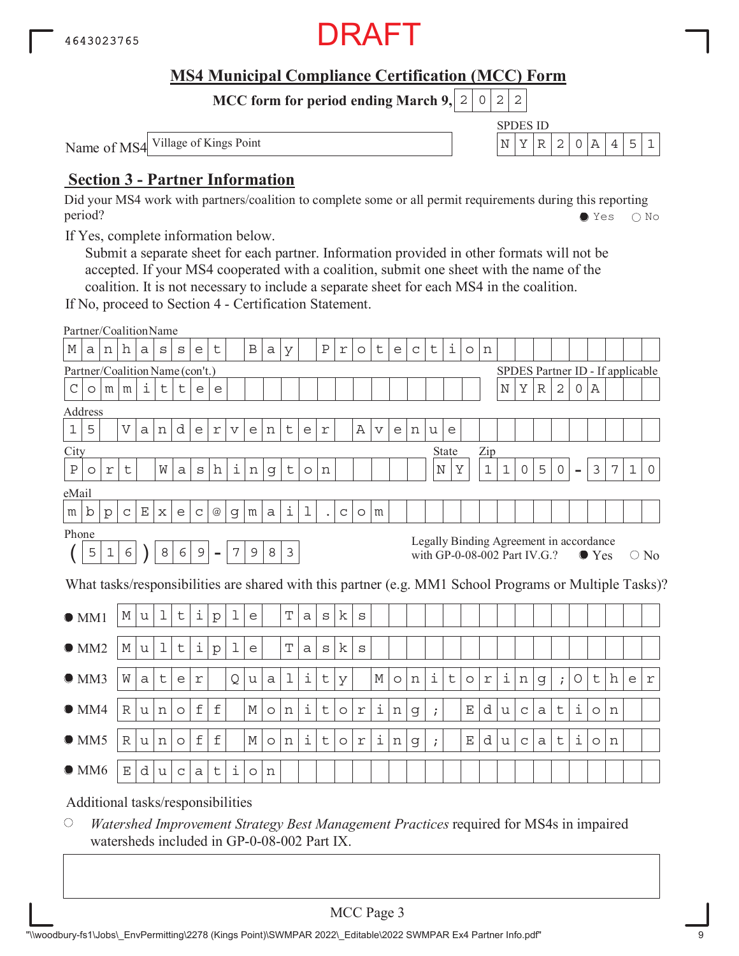

SPDES ID

**MCC form for period ending March 9, 2 0 2 2** 

Name of MS4 Village of Kings Point  $\left| N \right| X \left| R \right| 2 \left| 0 \right| A \left| 4 \right| 5 \left| 1 \right|$ 

# **Section 3 - Partner Information**

Did your MS4 work with partners/coalition to complete some or all permit requirements during this reporting period? Yes No

If Yes, complete information below.

Submit a separate sheet for each partner. Information provided in other formats will not be accepted. If your MS4 cooperated with a coalition, submit one sheet with the name of the coalition. It is not necessary to include a separate sheet for each MS4 in the coalition.

If No, proceed to Section 4 - Certification Statement.

|              | Partner/CoalitionName           |              |                 |              |             |             |             |                 |                 |                |         |                |                    |                |             |            |                 |         |   |            |                                         |         |                |             |              |             |              |          |               |   |                                  |                                                                                                        |
|--------------|---------------------------------|--------------|-----------------|--------------|-------------|-------------|-------------|-----------------|-----------------|----------------|---------|----------------|--------------------|----------------|-------------|------------|-----------------|---------|---|------------|-----------------------------------------|---------|----------------|-------------|--------------|-------------|--------------|----------|---------------|---|----------------------------------|--------------------------------------------------------------------------------------------------------|
| М            | a                               | n            | h               | a            | S           | S           | e           | t               |                 | $\, {\bf B}$   | а       | У              |                    | $\, {\bf P}$   | r           | $\circ$    | t               | e       | C | t          | i                                       | $\circ$ | n              |             |              |             |              |          |               |   |                                  |                                                                                                        |
|              | Partner/Coalition Name (con't.) |              |                 |              |             |             |             |                 |                 |                |         |                |                    |                |             |            |                 |         |   |            |                                         |         |                |             |              |             |              |          |               |   | SPDES Partner ID - If applicable |                                                                                                        |
| С            | $\circ$                         | m            | m               | i,           | t           | t           | e           | e               |                 |                |         |                |                    |                |             |            |                 |         |   |            |                                         |         |                | $_{\rm N}$  | Υ            | $\mathbb R$ | $\mathbf{2}$ | $\Omega$ | Α             |   |                                  |                                                                                                        |
|              | Address                         |              |                 |              |             |             |             |                 |                 |                |         |                |                    |                |             |            |                 |         |   |            |                                         |         |                |             |              |             |              |          |               |   |                                  |                                                                                                        |
| $\mathbf{1}$ | 5                               |              | $\overline{V}$  | $\mathsf{a}$ | n           | d           | e           | $\Upsilon$      | $\triangledown$ | e              | n       | t              | e                  | $\,$ $\,$ $\,$ |             | Α          | $\triangledown$ | e       | n | u          | e                                       |         |                |             |              |             |              |          |               |   |                                  |                                                                                                        |
| City         |                                 |              |                 |              |             |             |             |                 |                 |                |         |                |                    |                |             |            |                 |         |   |            | <b>State</b>                            |         | Zip            |             |              |             |              |          |               |   |                                  |                                                                                                        |
| Ρ            | $\circ$                         | r            | t               |              | W           | a           | S           | h               | i               | n              | g       | t              | $\circ$            | n              |             |            |                 |         |   |            | Υ<br>Ν                                  |         | $1\,$          | $\mathbf 1$ | $\mathsf{O}$ | 5           | $\circ$      |          | $\mathcal{E}$ | 7 | 1                                | $\Omega$                                                                                               |
| eMail        |                                 |              |                 |              |             |             |             |                 |                 |                |         |                |                    |                |             |            |                 |         |   |            |                                         |         |                |             |              |             |              |          |               |   |                                  |                                                                                                        |
| m            | b                               | $\mathbf{p}$ | $\mathsf C$     | $\mathbf E$  | X           | e           | C           | $^{\copyright}$ | g               | m              | a       | i              | $\mathbf 1$        |                | $\mathsf C$ | $\circ$    | m               |         |   |            |                                         |         |                |             |              |             |              |          |               |   |                                  |                                                                                                        |
| Phone        |                                 |              |                 |              |             |             |             |                 |                 |                |         |                |                    |                |             |            |                 |         |   |            | Legally Binding Agreement in accordance |         |                |             |              |             |              |          |               |   |                                  |                                                                                                        |
|              | 5                               | $\mathbf 1$  | 6               |              | $\,8\,$     | 6           | $\mathsf 9$ |                 | $\overline{7}$  | $\overline{9}$ | 8       | $\mathfrak{Z}$ |                    |                |             |            |                 |         |   |            | with GP-0-08-002 Part IV.G.?            |         |                |             |              |             |              |          | $\bullet$ Yes |   |                                  | $\bigcirc$ No                                                                                          |
|              |                                 |              |                 |              |             |             |             |                 |                 |                |         |                |                    |                |             |            |                 |         |   |            |                                         |         |                |             |              |             |              |          |               |   |                                  | What tasks/responsibilities are shared with this partner (e.g. MM1 School Programs or Multiple Tasks)? |
|              |                                 |              |                 |              |             |             |             |                 |                 |                |         |                |                    |                |             |            |                 |         |   |            |                                         |         |                |             |              |             |              |          |               |   |                                  |                                                                                                        |
|              | OM1                             |              | М               | u            | $\mathbf 1$ | $\mathsf t$ | i           | $\mathbf{p}$    | 1               | e              |         | $\mathbf T$    | a                  | $\mathtt{s}$   | k           | S          |                 |         |   |            |                                         |         |                |             |              |             |              |          |               |   |                                  |                                                                                                        |
|              | $\bullet$ MM2                   |              | М               | u            | ı           | $\mathsf t$ | i           | p               | 1               | e              |         | T              | a                  | $\mathbf S$    | k           | S          |                 |         |   |            |                                         |         |                |             |              |             |              |          |               |   |                                  |                                                                                                        |
|              |                                 |              |                 |              |             |             |             |                 |                 |                |         |                |                    |                |             |            |                 |         |   |            |                                         |         |                |             |              |             |              |          |               |   |                                  |                                                                                                        |
|              | OMM3                            |              | W               | a            | t           | e           | r           |                 | Q               | u              | a       | $\mathbf 1$    | $\dot{\mathtt{l}}$ | $\mathsf t$    | У           |            | М               | $\circ$ | n | i          | t                                       | $\circ$ | $\,$ $\,$ $\,$ | i           | n            | g           | $\ddot{i}$   | $\circ$  | t             | h | e                                | r                                                                                                      |
|              | $\bullet$ MM4                   |              | $\mathbb R$     | u            | n           | $\circ$     | $\mathbf f$ | $\pounds$       |                 | $\mathbb M$    | $\circ$ | n              | $\dot{\mathtt{l}}$ | t              | $\circ$     | $\Upsilon$ | i               | n       | g | $\ddot{i}$ |                                         | Ε       | d              | u           | $\mathsf C$  | a           | t            | i        | $\circ$       | n |                                  |                                                                                                        |
|              |                                 |              |                 |              |             |             |             |                 |                 |                |         |                |                    |                |             |            |                 |         |   |            |                                         |         |                |             |              |             |              |          |               |   |                                  |                                                                                                        |
|              | OMM5                            |              | $\mathbb R$     | u            | n           | $\circ$     | $\mathbf f$ | $\pounds$       |                 | $\mathbb M$    | $\circ$ | n              | $\dot{\mathbb{1}}$ | t              | $\circ$     | r          | i               | n       | g | $\ddot{i}$ |                                         | Ε       | d              | u           | $\mathsf C$  | a           | t            | i        | $\circ$       | n |                                  |                                                                                                        |
|              | $\bullet$ MM6                   |              | $E_{\parallel}$ | d            | u           | $\mathsf C$ | a           | t               | i               | $\circ$        | n       |                |                    |                |             |            |                 |         |   |            |                                         |         |                |             |              |             |              |          |               |   |                                  |                                                                                                        |
|              | $\lambda$ 1.1.                  |              |                 | 1, 1, 1      |             |             |             | 1.11117         |                 |                |         |                |                    |                |             |            |                 |         |   |            |                                         |         |                |             |              |             |              |          |               |   |                                  |                                                                                                        |

Additional tasks/responsibilities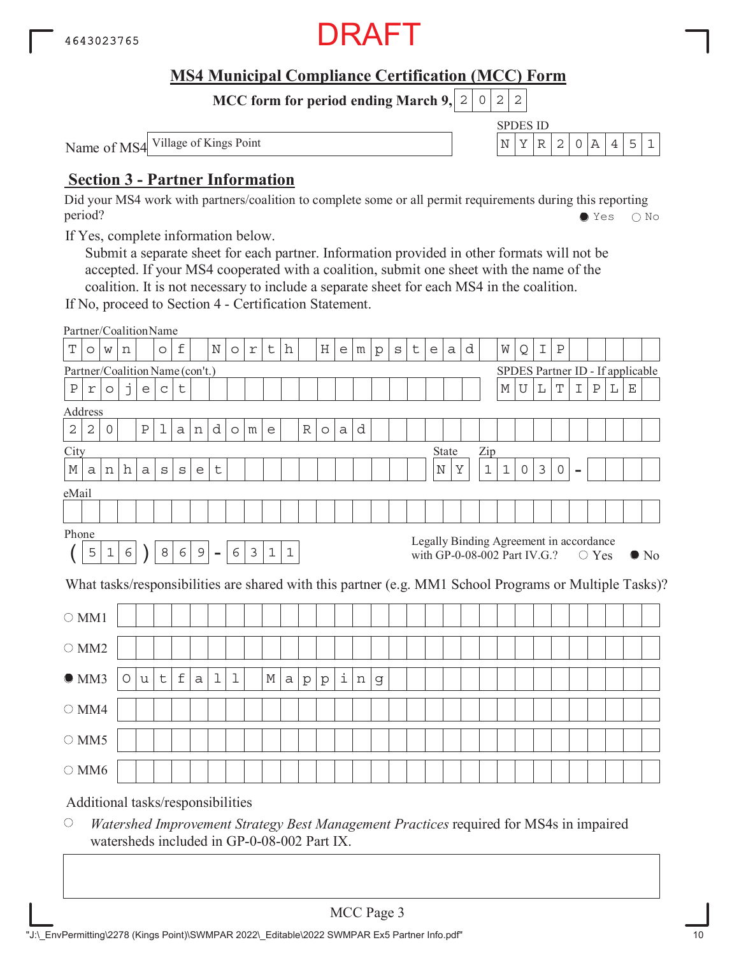

SPDES ID

**MCC form for period ending March 9, 2 0 2 2** 

Name of MS4 Village of Kings Point  $\left| N \right| X \left| R \right| 2 \left| 0 \right| A \left| 4 \right| 5 \left| 1 \right|$ 

# **Section 3 - Partner Information**

Did your MS4 work with partners/coalition to complete some or all permit requirements during this reporting period? Yes No

If Yes, complete information below.

Submit a separate sheet for each partner. Information provided in other formats will not be accepted. If your MS4 cooperated with a coalition, submit one sheet with the name of the coalition. It is not necessary to include a separate sheet for each MS4 in the coalition.

If No, proceed to Section 4 - Certification Statement.

|                |            |                |   |                                                   | Partner/CoalitionName             |             |             |             |            |   |             |       |              |              |   |   |              |         |   |                              |       |   |       |             |           |               |                                         |                |                |   |             |                                                                                                        |
|----------------|------------|----------------|---|---------------------------------------------------|-----------------------------------|-------------|-------------|-------------|------------|---|-------------|-------|--------------|--------------|---|---|--------------|---------|---|------------------------------|-------|---|-------|-------------|-----------|---------------|-----------------------------------------|----------------|----------------|---|-------------|--------------------------------------------------------------------------------------------------------|
| Т              | $\circ$    | W              | n |                                                   | $\circ$                           | f           |             | $\mathbf N$ | $\circ$    | r | t           | h     |              | Η            | e | m | $\mathbf{p}$ | $\rm s$ | t | e                            | a     | d |       | W           | Q         | I             | $\rm P$                                 |                |                |   |             |                                                                                                        |
|                |            |                |   |                                                   | Partner/Coalition Name (con't.)   |             |             |             |            |   |             |       |              |              |   |   |              |         |   |                              |       |   |       |             |           |               | SPDES Partner ID - If applicable        |                |                |   |             |                                                                                                        |
| $\, {\bf P}$   | $\Upsilon$ | $\circ$        | j | $\mathsf{e}% _{t}\!\left( \mathcal{A}_{t}\right)$ | $\mathsf C$                       | t           |             |             |            |   |             |       |              |              |   |   |              |         |   |                              |       |   |       | $\mathbb M$ | ${\bf U}$ | L             | $\mathbf T$                             | I              | $\, {\bf P}$   | L | $\mathbf E$ |                                                                                                        |
| Address        |            |                |   |                                                   |                                   |             |             |             |            |   |             |       |              |              |   |   |              |         |   |                              |       |   |       |             |           |               |                                         |                |                |   |             |                                                                                                        |
| $\mathbf 2$    | $\sqrt{2}$ | $\overline{0}$ |   | $\rm P$                                           | 1                                 | a           | n           | d           | $\circ$    | m | e           |       | R            | $\circ$      | a | d |              |         |   |                              |       |   |       |             |           |               |                                         |                |                |   |             |                                                                                                        |
| City           |            |                |   |                                                   |                                   |             |             |             |            |   |             |       |              |              |   |   |              |         |   |                              | State |   | Zip   |             |           |               |                                         |                |                |   |             |                                                                                                        |
| М              | a          | n              | h | a                                                 | $\rm s$                           | $\rm s$     | e           | t           |            |   |             |       |              |              |   |   |              |         |   | $\rm N$                      | Υ     |   | $1\,$ | $1\,$       | 0         | $\mathcal{E}$ | 0                                       | $\blacksquare$ |                |   |             |                                                                                                        |
| eMail          |            |                |   |                                                   |                                   |             |             |             |            |   |             |       |              |              |   |   |              |         |   |                              |       |   |       |             |           |               |                                         |                |                |   |             |                                                                                                        |
|                |            |                |   |                                                   |                                   |             |             |             |            |   |             |       |              |              |   |   |              |         |   |                              |       |   |       |             |           |               |                                         |                |                |   |             |                                                                                                        |
| Phone          |            |                |   |                                                   |                                   |             |             |             |            |   |             |       |              |              |   |   |              |         |   |                              |       |   |       |             |           |               |                                         |                |                |   |             |                                                                                                        |
|                | 5          | $\mathbf 1$    | 6 |                                                   | 8                                 | 6           | $\mathsf 9$ | $\equiv$    | $\epsilon$ | 3 | $\mathbf 1$ | $1\,$ |              |              |   |   |              |         |   | with GP-0-08-002 Part IV.G.? |       |   |       |             |           |               | Legally Binding Agreement in accordance |                | $\bigcirc$ Yes |   |             | $\bullet$ No                                                                                           |
|                |            |                |   |                                                   |                                   |             |             |             |            |   |             |       |              |              |   |   |              |         |   |                              |       |   |       |             |           |               |                                         |                |                |   |             | What tasks/responsibilities are shared with this partner (e.g. MM1 School Programs or Multiple Tasks)? |
| $\bigcirc$ MM1 |            |                |   |                                                   |                                   |             |             |             |            |   |             |       |              |              |   |   |              |         |   |                              |       |   |       |             |           |               |                                         |                |                |   |             |                                                                                                        |
| $\bigcirc$ MM2 |            |                |   |                                                   |                                   |             |             |             |            |   |             |       |              |              |   |   |              |         |   |                              |       |   |       |             |           |               |                                         |                |                |   |             |                                                                                                        |
| OMM3           |            |                | O | u                                                 | t                                 | $\mathbf f$ | a           | 1           | 1          |   | М           | a     | $\mathbf{p}$ | $\mathbf{p}$ | i | n | g            |         |   |                              |       |   |       |             |           |               |                                         |                |                |   |             |                                                                                                        |
| $\bigcirc$ MM4 |            |                |   |                                                   |                                   |             |             |             |            |   |             |       |              |              |   |   |              |         |   |                              |       |   |       |             |           |               |                                         |                |                |   |             |                                                                                                        |
| $\circ$ MM5    |            |                |   |                                                   |                                   |             |             |             |            |   |             |       |              |              |   |   |              |         |   |                              |       |   |       |             |           |               |                                         |                |                |   |             |                                                                                                        |
| $\bigcirc$ MM6 |            |                |   |                                                   |                                   |             |             |             |            |   |             |       |              |              |   |   |              |         |   |                              |       |   |       |             |           |               |                                         |                |                |   |             |                                                                                                        |
|                |            |                |   |                                                   | Additional tasks/responsibilities |             |             |             |            |   |             |       |              |              |   |   |              |         |   |                              |       |   |       |             |           |               |                                         |                |                |   |             |                                                                                                        |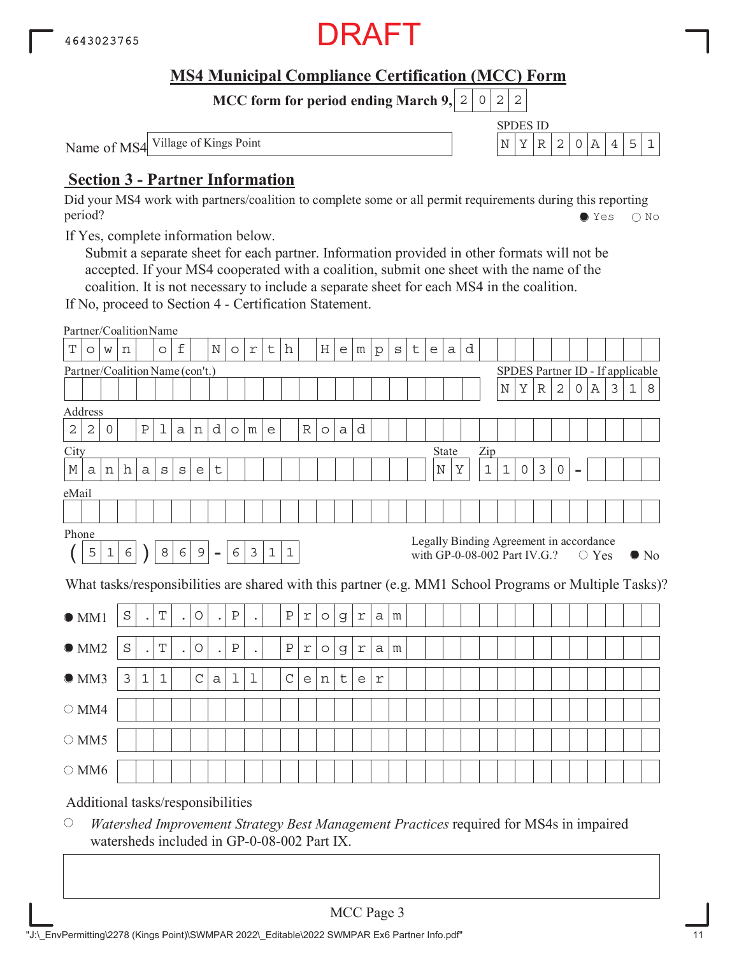

SPDES ID

**MCC form for period ending March 9, 2 0 2 2** 

Name of MS4 Village of Kings Point  $\left| N \right| X \left| R \right| 2 \left| 0 \right| A \left| 4 \right| 5 \left| 1 \right|$ 

# **Section 3 - Partner Information**

Did your MS4 work with partners/coalition to complete some or all permit requirements during this reporting period? Yes No

If Yes, complete information below.

Submit a separate sheet for each partner. Information provided in other formats will not be accepted. If your MS4 cooperated with a coalition, submit one sheet with the name of the coalition. It is not necessary to include a separate sheet for each MS4 in the coalition.

If No, proceed to Section 4 - Certification Statement.

|                |            |              |            |                      | Partner/CoalitionName             |                      |             |                |              |             |             |             |            |         |             |                                            |              |   |   |   |              |   |             |             |                                                                         |                |              |                |                |                |             |                                                                                                        |
|----------------|------------|--------------|------------|----------------------|-----------------------------------|----------------------|-------------|----------------|--------------|-------------|-------------|-------------|------------|---------|-------------|--------------------------------------------|--------------|---|---|---|--------------|---|-------------|-------------|-------------------------------------------------------------------------|----------------|--------------|----------------|----------------|----------------|-------------|--------------------------------------------------------------------------------------------------------|
| T              | $\circ$    | W            | n          |                      | $\circ$                           | f                    |             | N              | $\circ$      | $\mathbf r$ | t           | h           |            | H       | e           | m                                          | $\mathbf{p}$ | S | t | e | a            | d |             |             |                                                                         |                |              |                |                |                |             |                                                                                                        |
|                |            |              |            |                      | Partner/Coalition Name (con't.)   |                      |             |                |              |             |             |             |            |         |             |                                            |              |   |   |   |              |   |             |             | SPDES Partner ID - If applicable                                        |                |              |                |                |                |             |                                                                                                        |
|                |            |              |            |                      |                                   |                      |             |                |              |             |             |             |            |         |             |                                            |              |   |   |   |              |   |             | N           | Υ                                                                       | $\mathbb R$    | $\mathbf{2}$ | 0              | Α              | $\mathfrak{Z}$ | $\mathbf 1$ | 8                                                                                                      |
| Address        |            |              |            |                      |                                   |                      |             |                |              |             |             |             |            |         |             |                                            |              |   |   |   |              |   |             |             |                                                                         |                |              |                |                |                |             |                                                                                                        |
| $\mathbf 2$    | $\sqrt{2}$ | $\mathsf{O}$ |            | Ρ                    | 1                                 | a                    | n           | d              | $\circ$      | m           | e           |             | R          | $\circ$ | a           | d                                          |              |   |   |   |              |   |             |             |                                                                         |                |              |                |                |                |             |                                                                                                        |
| City           |            |              |            |                      |                                   |                      |             |                |              |             |             |             |            |         |             |                                            |              |   |   |   | <b>State</b> |   | Zip         |             |                                                                         |                |              |                |                |                |             |                                                                                                        |
| М              | a          | n            | h          | a                    | $\rm s$                           | $\mathbf s$          | e           | t              |              |             |             |             |            |         |             |                                            |              |   |   |   | $\rm N$<br>Υ |   | $\mathbf 1$ | $\mathbf 1$ | $\circ$                                                                 | $\mathfrak{Z}$ | $\circ$      | $\overline{a}$ |                |                |             |                                                                                                        |
| eMail          |            |              |            |                      |                                   |                      |             |                |              |             |             |             |            |         |             |                                            |              |   |   |   |              |   |             |             |                                                                         |                |              |                |                |                |             |                                                                                                        |
|                |            |              |            |                      |                                   |                      |             |                |              |             |             |             |            |         |             |                                            |              |   |   |   |              |   |             |             |                                                                         |                |              |                |                |                |             |                                                                                                        |
| Phone          |            |              |            |                      |                                   |                      |             |                |              |             |             |             |            |         |             |                                            |              |   |   |   |              |   |             |             |                                                                         |                |              |                |                |                |             |                                                                                                        |
|                | 5          | 1            | $\epsilon$ |                      | 8                                 | 6                    | $\mathsf 9$ | $\blacksquare$ | 6            | 3           | $\mathbf 1$ | $\mathbf 1$ |            |         |             |                                            |              |   |   |   |              |   |             |             | Legally Binding Agreement in accordance<br>with GP-0-08-002 Part IV.G.? |                |              |                | $\bigcirc$ Yes |                |             | $\bullet$ No                                                                                           |
|                |            |              |            |                      |                                   |                      |             |                |              |             |             |             |            |         |             |                                            |              |   |   |   |              |   |             |             |                                                                         |                |              |                |                |                |             | What tasks/responsibilities are shared with this partner (e.g. MM1 School Programs or Multiple Tasks)? |
| $\bullet$ MM1  |            |              | S          | $\ddot{\phantom{0}}$ | T                                 | $\ddot{\phantom{0}}$ | O           | $\bullet$      | $\, {\bf P}$ |             |             | Ρ           | $\Upsilon$ | $\circ$ | $\mathsf d$ | r                                          | a            | m |   |   |              |   |             |             |                                                                         |                |              |                |                |                |             |                                                                                                        |
| OMM2           |            |              | $\rm S$    | $\ddot{\phantom{0}}$ | T                                 |                      | O           | $\bullet$      | $\, {\bf P}$ |             |             | $\rm P$     | $\Upsilon$ | $\circ$ | g           | r                                          | a            | m |   |   |              |   |             |             |                                                                         |                |              |                |                |                |             |                                                                                                        |
| OMM3           |            |              | 3          | $\mathbf 1$          | $\mathbf{1}$                      |                      | $\mathsf C$ | $\mathsf{a}$   | 1            | 1           |             | $\mathsf C$ | е          | n       | $\mathsf t$ | $\mathsf{e}% _{0}\left( \mathsf{e}\right)$ | r            |   |   |   |              |   |             |             |                                                                         |                |              |                |                |                |             |                                                                                                        |
| $\bigcirc$ MM4 |            |              |            |                      |                                   |                      |             |                |              |             |             |             |            |         |             |                                            |              |   |   |   |              |   |             |             |                                                                         |                |              |                |                |                |             |                                                                                                        |
| $\circ$ MM5    |            |              |            |                      |                                   |                      |             |                |              |             |             |             |            |         |             |                                            |              |   |   |   |              |   |             |             |                                                                         |                |              |                |                |                |             |                                                                                                        |
| $\circ$ MM6    |            |              |            |                      |                                   |                      |             |                |              |             |             |             |            |         |             |                                            |              |   |   |   |              |   |             |             |                                                                         |                |              |                |                |                |             |                                                                                                        |
|                |            |              |            |                      | Additional tasks/responsibilities |                      |             |                |              |             |             |             |            |         |             |                                            |              |   |   |   |              |   |             |             |                                                                         |                |              |                |                |                |             |                                                                                                        |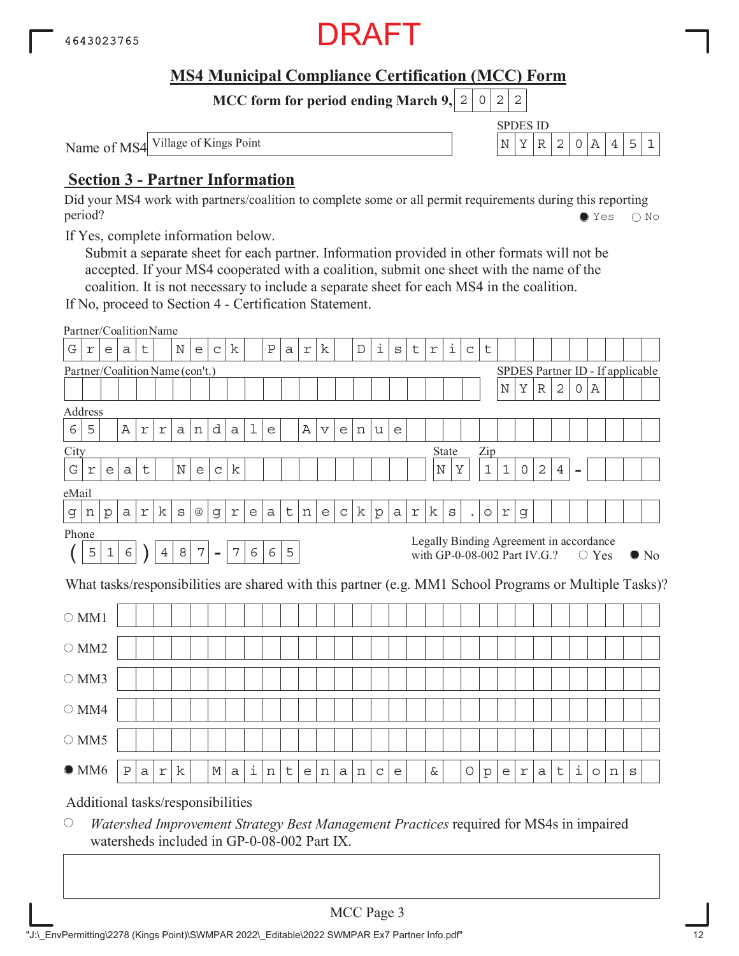

SPDES ID

**MCC form for period ending March 9, 2 0 2 2** 

Name of MS4 Village of Kings Point  $\left| N \right| X \left| R \right| 2 \left| 0 \right| A \left| 4 \right| 5 \left| 1 \right|$ 

# **Section 3 - Partner Information**

Did your MS4 work with partners/coalition to complete some or all permit requirements during this reporting period? Yes No

If Yes, complete information below.

Submit a separate sheet for each partner. Information provided in other formats will not be accepted. If your MS4 cooperated with a coalition, submit one sheet with the name of the coalition. It is not necessary to include a separate sheet for each MS4 in the coalition.

If No, proceed to Section 4 - Certification Statement.

|                                                                                                                                                                                                                                                         | Partner/CoalitionName             |   |         |   |   |             |   |             |   |   |         |   |                |             |   |              |             |         |   |            |       |             |               |             |                     |              |              |                |         |   |                                  |                                                                                                        |
|---------------------------------------------------------------------------------------------------------------------------------------------------------------------------------------------------------------------------------------------------------|-----------------------------------|---|---------|---|---|-------------|---|-------------|---|---|---------|---|----------------|-------------|---|--------------|-------------|---------|---|------------|-------|-------------|---------------|-------------|---------------------|--------------|--------------|----------------|---------|---|----------------------------------|--------------------------------------------------------------------------------------------------------|
| G                                                                                                                                                                                                                                                       | r                                 | e | а       | t |   | Ν           | e | $\mathsf C$ | k |   | $\rm P$ | a | $\,$ $\,$ $\,$ | k           |   | $\mathbb D$  | i           | $\rm s$ | t | $\Upsilon$ | i     | $\mathsf C$ | t             |             |                     |              |              |                |         |   |                                  |                                                                                                        |
|                                                                                                                                                                                                                                                         | Partner/Coalition Name (con't.)   |   |         |   |   |             |   |             |   |   |         |   |                |             |   |              |             |         |   |            |       |             |               |             |                     |              |              |                |         |   | SPDES Partner ID - If applicable |                                                                                                        |
|                                                                                                                                                                                                                                                         |                                   |   |         |   |   |             |   |             |   |   |         |   |                |             |   |              |             |         |   |            |       |             |               | $\mathbb N$ | Υ                   | $\mathbb R$  | $\mathbf{2}$ | 0              | Α       |   |                                  |                                                                                                        |
|                                                                                                                                                                                                                                                         | Address                           |   |         |   |   |             |   |             |   |   |         |   |                |             |   |              |             |         |   |            |       |             |               |             |                     |              |              |                |         |   |                                  |                                                                                                        |
| 6                                                                                                                                                                                                                                                       | 5                                 |   | Α       | r | r | a           | n | d           | a | 1 | e       |   | Α              | $\mathbf v$ | e | n            | u           | e       |   |            |       |             |               |             |                     |              |              |                |         |   |                                  |                                                                                                        |
| City                                                                                                                                                                                                                                                    |                                   |   |         |   |   |             |   |             |   |   |         |   |                |             |   |              |             |         |   |            | State |             | Zip           |             |                     |              |              |                |         |   |                                  |                                                                                                        |
| G                                                                                                                                                                                                                                                       | $\Upsilon$                        | e | a       | t |   | $\mathbf N$ | e | $\mathsf C$ | k |   |         |   |                |             |   |              |             |         |   | $\rm N$    | Υ     |             | $1\,$         | $\mathbf 1$ | $\mathsf{O}\xspace$ | $\mathbf{2}$ | 4            | $\blacksquare$ |         |   |                                  |                                                                                                        |
|                                                                                                                                                                                                                                                         |                                   |   |         |   |   |             |   |             |   |   |         |   |                |             |   |              |             |         |   |            |       |             |               |             |                     |              |              |                |         |   |                                  |                                                                                                        |
| eMail<br>k<br>k<br>k<br>t<br>$\mathsf C$<br>r<br>$^{\copyright}$<br>e<br>${\rm p}$<br>a<br>$\Upsilon$<br>$\mathtt{s}$<br>$\Upsilon$<br>$\rm p$<br>а<br>$\rm s$<br>$\mathbf g$<br>$\Upsilon$<br>е<br>а<br>n<br>$\circ$<br>g<br>$\mathsf d$<br>n<br>Phone |                                   |   |         |   |   |             |   |             |   |   |         |   |                |             |   |              |             |         |   |            |       |             |               |             |                     |              |              |                |         |   |                                  |                                                                                                        |
|                                                                                                                                                                                                                                                         |                                   |   |         |   |   |             |   |             |   |   |         |   |                |             |   |              |             |         |   |            |       |             |               |             |                     |              |              |                |         |   |                                  |                                                                                                        |
| Legally Binding Agreement in accordance<br>$\epsilon$<br>8<br>$\boldsymbol{7}$<br>6<br>$\boldsymbol{7}$<br>6<br>5<br>5<br>$\mathbf{1}$<br>$\overline{4}$<br>$\blacksquare$<br>with GP-0-08-002 Part IV.G.?<br>$\bigcirc$ Yes                            |                                   |   |         |   |   |             |   |             |   |   |         |   |                |             |   | $\bullet$ No |             |         |   |            |       |             |               |             |                     |              |              |                |         |   |                                  |                                                                                                        |
|                                                                                                                                                                                                                                                         |                                   |   |         |   |   |             |   |             |   |   |         |   |                |             |   |              |             |         |   |            |       |             |               |             |                     |              |              |                |         |   |                                  | What tasks/responsibilities are shared with this partner (e.g. MM1 School Programs or Multiple Tasks)? |
|                                                                                                                                                                                                                                                         | $\bigcirc$ MM1                    |   |         |   |   |             |   |             |   |   |         |   |                |             |   |              |             |         |   |            |       |             |               |             |                     |              |              |                |         |   |                                  |                                                                                                        |
|                                                                                                                                                                                                                                                         | $\circ$ MM2                       |   |         |   |   |             |   |             |   |   |         |   |                |             |   |              |             |         |   |            |       |             |               |             |                     |              |              |                |         |   |                                  |                                                                                                        |
|                                                                                                                                                                                                                                                         | $\bigcirc$ MM3                    |   |         |   |   |             |   |             |   |   |         |   |                |             |   |              |             |         |   |            |       |             |               |             |                     |              |              |                |         |   |                                  |                                                                                                        |
|                                                                                                                                                                                                                                                         | $\bigcirc$ MM4                    |   |         |   |   |             |   |             |   |   |         |   |                |             |   |              |             |         |   |            |       |             |               |             |                     |              |              |                |         |   |                                  |                                                                                                        |
|                                                                                                                                                                                                                                                         | $\bigcirc$ MM5                    |   |         |   |   |             |   |             |   |   |         |   |                |             |   |              |             |         |   |            |       |             |               |             |                     |              |              |                |         |   |                                  |                                                                                                        |
|                                                                                                                                                                                                                                                         | $\bullet$ MM6                     |   | $\rm P$ | a | r | k           |   | М           | a | i | n       | t | e              | n           | a | n            | $\mathsf C$ | e       |   | &          |       | O           | $\rm \bar{p}$ | e           | $\Upsilon$          | a            | t            | i.             | $\circ$ | n | S                                |                                                                                                        |
|                                                                                                                                                                                                                                                         | Additional tasks/responsibilities |   |         |   |   |             |   |             |   |   |         |   |                |             |   |              |             |         |   |            |       |             |               |             |                     |              |              |                |         |   |                                  |                                                                                                        |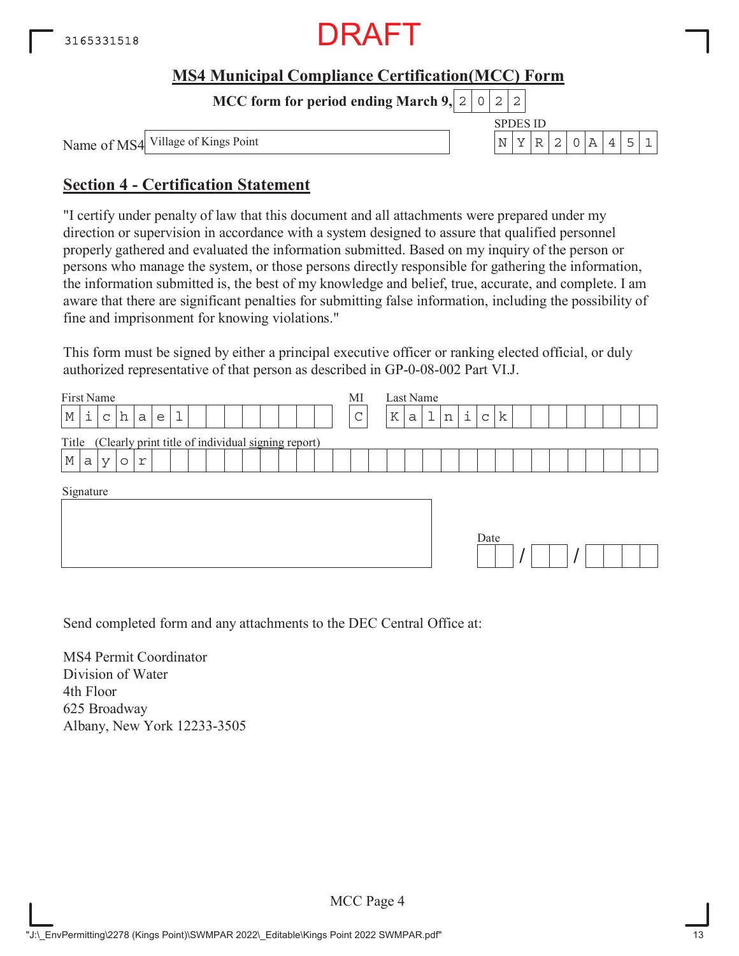

**MCC form for period ending March 9,**  $0|2|2$ 

Name of MS4

SPDES ID Village of Kings Point  $N |Y| R |2 |0 |A |4 |5 |1$ 

# **Section 4 - Certification Statement**

"I certify under penalty of law that this document and all attachments were prepared under my direction or supervision in accordance with a system designed to assure that qualified personnel properly gathered and evaluated the information submitted. Based on my inquiry of the person or persons who manage the system, or those persons directly responsible for gathering the information, the information submitted is, the best of my knowledge and belief, true, accurate, and complete. I am aware that there are significant penalties for submitting false information, including the possibility of fine and imprisonment for knowing violations."

This form must be signed by either a principal executive officer or ranking elected official, or duly authorized representative of that person as described in GP-0-08-002 Part VI.J.

| First Name                                                  | MI          | Last Name                                  |
|-------------------------------------------------------------|-------------|--------------------------------------------|
| i<br>٦<br>М<br>h<br>a<br>$\mathsf{C}$<br>e<br>ᆂ             | $\sim$<br>◡ | ı<br>i<br>k<br>K<br>n<br>a<br>$\mathsf{C}$ |
| (Clearly print title of individual signing report)<br>Title |             |                                            |
| $\mathbb M$<br>a<br>r<br>V<br>$\circ$                       |             |                                            |
| Signature                                                   |             | Date                                       |

Send completed form and any attachments to the DEC Central Office at:

MS4 Permit Coordinator Division of Water 4th Floor 625 Broadway Albany, New York 12233-3505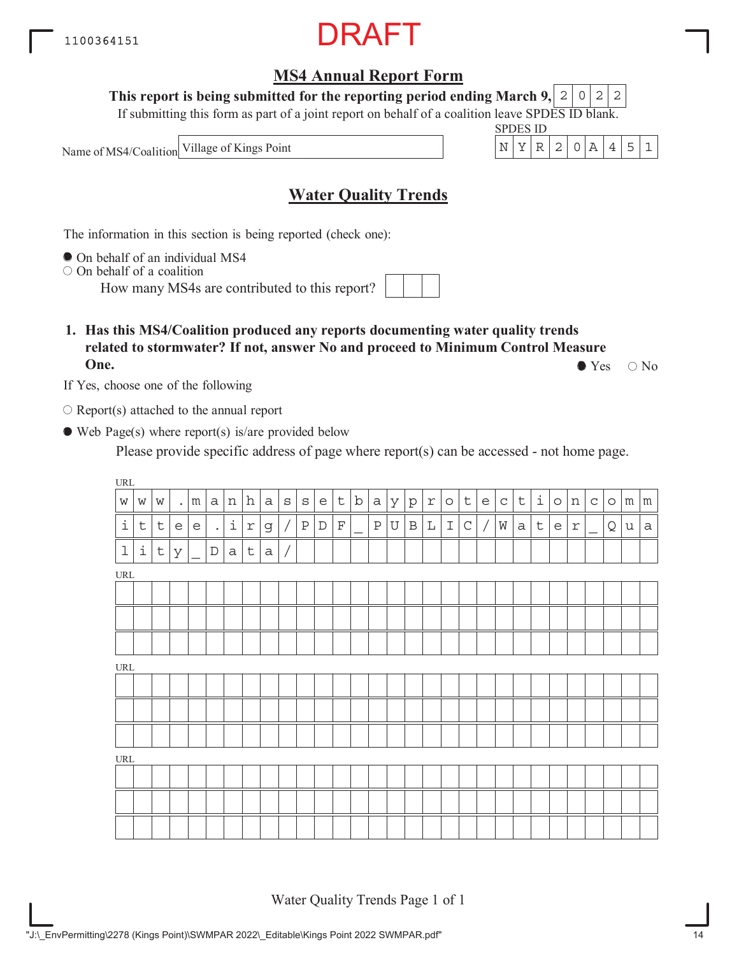"J:\\_EnvPermitting\2278 (Kings Point)\SWMPAR 2022\\_Editable\Kings Point 2022 SWMPAR.pdf"

# **MS4 Annual Report Form**

#### **This report is being submitted for the reporting period ending March 9,**  $2|0|2|2$

If submitting this form as part of a joint report on behalf of a coalition leave SPDES ID blank.

Name of MS4/Coalition

# **Water Quality Trends**

The information in this section is being reported (check one):

On behalf of an individual MS4

 $\circ$  On behalf of a coalition

How many MS4s are contributed to this report?

**1. Has this MS4/Coalition produced any reports documenting water quality trends related to stormwater? If not, answer No and proceed to Minimum Control Measure One.**  $\bullet$  Yes  $\circ$  No

If Yes, choose one of the following

 $\bigcirc$  Report(s) attached to the annual report

Web Page(s) where report(s) is/are provided below

Please provide specific address of page where report(s) can be accessed - not home page.

| $\ensuremath{\mathsf{URL}}\xspace$ |                     |             |           |   |                      |                |             |              |              |              |             |             |             |              |              |              |            |               |                               |                                   |           |             |             |         |                            |              |         |   |                 |
|------------------------------------|---------------------|-------------|-----------|---|----------------------|----------------|-------------|--------------|--------------|--------------|-------------|-------------|-------------|--------------|--------------|--------------|------------|---------------|-------------------------------|-----------------------------------|-----------|-------------|-------------|---------|----------------------------|--------------|---------|---|-----------------|
| $\mathbf W$                        | W                   | W           | $\bullet$ | m | $\mathsf{a}$         | $\,$ $\,$ $\,$ | h           | $\mathsf{a}$ | $\mathtt{s}$ | $\mathtt{s}$ | e           | $\mathsf t$ | $\mathbf b$ | a            | $\mathbf{y}$ | $\rm p$      | $\Upsilon$ | $\circ$       | $\lfloor \frac{1}{2} \rfloor$ | $\mathsf{e}% _{t}\left( t\right)$ | $\vert$ C | $\mathsf t$ | $\perp$     | $\circ$ | $\, {\rm n}$               | $\mathtt{C}$ | $\circ$ | m | ${\mathfrak m}$ |
| $\dot{\mathtt{l}}$                 | $\mathsf t$         | $\mathsf t$ | e         | e | $\ddot{\phantom{0}}$ | i              | $\Upsilon$  | g            |              | $\, {\bf P}$ | $\mathbb D$ | $\mathbf F$ |             | $\, {\bf P}$ | U            | $\, {\bf B}$ | L          | $\mathbbm{I}$ | $\mathsf C$                   | $\overline{1}$                    | W         | $\mathsf a$ | $\mathsf t$ | e       | $\mathfrak{\underline{r}}$ |              | Q       | u | $\rm{a}$        |
| $\mathbf 1$                        | $\dot{\mathbbm{1}}$ | $\mathsf t$ | У         |   | $\mathbb D$          | а              | $\mathsf t$ | $\rm{a}$     |              |              |             |             |             |              |              |              |            |               |                               |                                   |           |             |             |         |                            |              |         |   |                 |
| URL                                |                     |             |           |   |                      |                |             |              |              |              |             |             |             |              |              |              |            |               |                               |                                   |           |             |             |         |                            |              |         |   |                 |
|                                    |                     |             |           |   |                      |                |             |              |              |              |             |             |             |              |              |              |            |               |                               |                                   |           |             |             |         |                            |              |         |   |                 |
|                                    |                     |             |           |   |                      |                |             |              |              |              |             |             |             |              |              |              |            |               |                               |                                   |           |             |             |         |                            |              |         |   |                 |
|                                    |                     |             |           |   |                      |                |             |              |              |              |             |             |             |              |              |              |            |               |                               |                                   |           |             |             |         |                            |              |         |   |                 |
| $\ensuremath{\mathsf{URL}}\xspace$ |                     |             |           |   |                      |                |             |              |              |              |             |             |             |              |              |              |            |               |                               |                                   |           |             |             |         |                            |              |         |   |                 |
|                                    |                     |             |           |   |                      |                |             |              |              |              |             |             |             |              |              |              |            |               |                               |                                   |           |             |             |         |                            |              |         |   |                 |
|                                    |                     |             |           |   |                      |                |             |              |              |              |             |             |             |              |              |              |            |               |                               |                                   |           |             |             |         |                            |              |         |   |                 |
|                                    |                     |             |           |   |                      |                |             |              |              |              |             |             |             |              |              |              |            |               |                               |                                   |           |             |             |         |                            |              |         |   |                 |
| URL                                |                     |             |           |   |                      |                |             |              |              |              |             |             |             |              |              |              |            |               |                               |                                   |           |             |             |         |                            |              |         |   |                 |
|                                    |                     |             |           |   |                      |                |             |              |              |              |             |             |             |              |              |              |            |               |                               |                                   |           |             |             |         |                            |              |         |   |                 |
|                                    |                     |             |           |   |                      |                |             |              |              |              |             |             |             |              |              |              |            |               |                               |                                   |           |             |             |         |                            |              |         |   |                 |
|                                    |                     |             |           |   |                      |                |             |              |              |              |             |             |             |              |              |              |            |               |                               |                                   |           |             |             |         |                            |              |         |   |                 |

Water Quality Trends Page 1 of 1

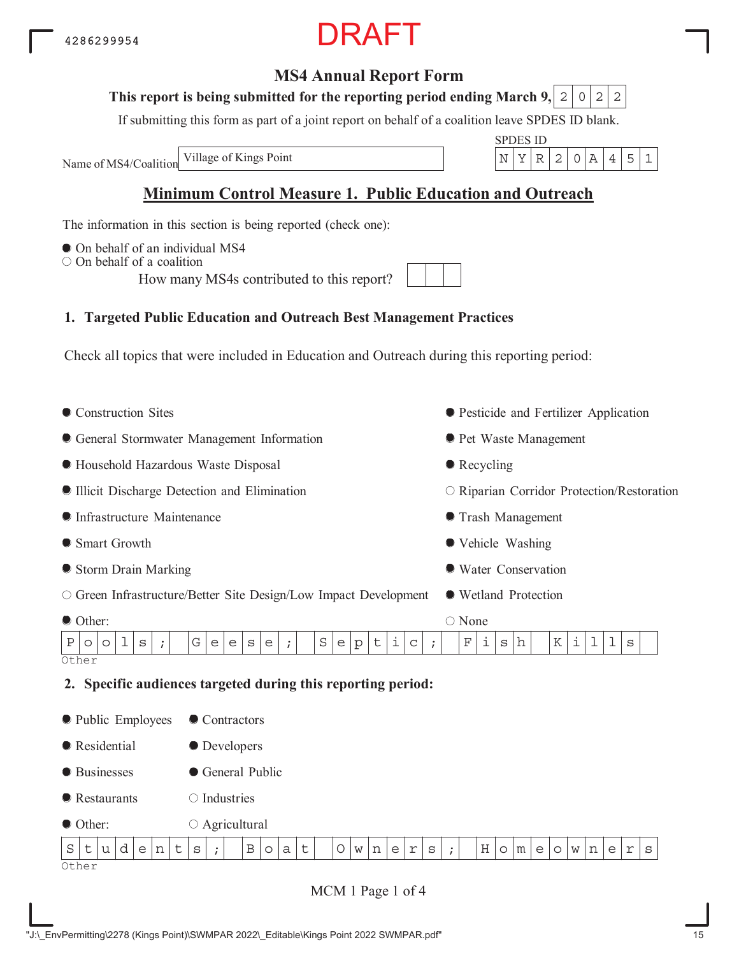## **MS4 Annual Report Form**

### This report is being submitted for the reporting period ending March 9,  $\mid$  2  $\mid$  0  $\mid$  2  $\mid$  2

If submitting this form as part of a joint report on behalf of a coalition leave SPDES ID blank.

Name of MS4/Coalition

SPDES ID Village of Kings Point N YR 2 0A 451

# **Minimum Control Measure 1. Public Education and Outreach**

The information in this section is being reported (check one):

- $\bullet$  On behalf of an individual MS4
- $\bigcirc$  On behalf of a coalition

How many MS4s contributed to this report?

# **1. Targeted Public Education and Outreach Best Management Practices**

Check all topics that were included in Education and Outreach during this reporting period:

• Construction Sites General Stormwater Management Information Household Hazardous Waste Disposal Illicit Discharge Detection and Elimination Infrastructure Maintenance ● Smart Growth Storm Drain Marking Green Infrastructure/Better Site Design/Low Impact Development Other: Pesticide and Fertilizer Application **• Pet Waste Management** • Recycling O Riparian Corridor Protection/Restoration Trash Management Vehicle Washing Water Conservation Wetland Protection ○ None **Other 2. Specific audiences targeted during this reporting period:** • Public Employees **Residential** ● Businesses **•** Restaurants ● Contractors **O** Developers General Public  $\bigcirc$  Industries  $P\lceil o \rceil o \lceil 1 \rceil s \rceil ; \lceil | G \rceil e \rceil e \rceil s \rceil | g \rceil | g \rceil e \rceil | p \rceil | f \rceil | g \rceil | f \rceil | g \rceil | h \rceil | K \rceil | 1 \rceil | 1 | s$ 

 $S$ t $|u|d|e|n|t|s|$ ; | B $|o|a|t|$  | Ow $|n|e|r|s|$ ; | H $|o|m|e|o|w|n|e|r|s$ 

● Other:

Other

MCM 1 Page 1 of 4

Agricultural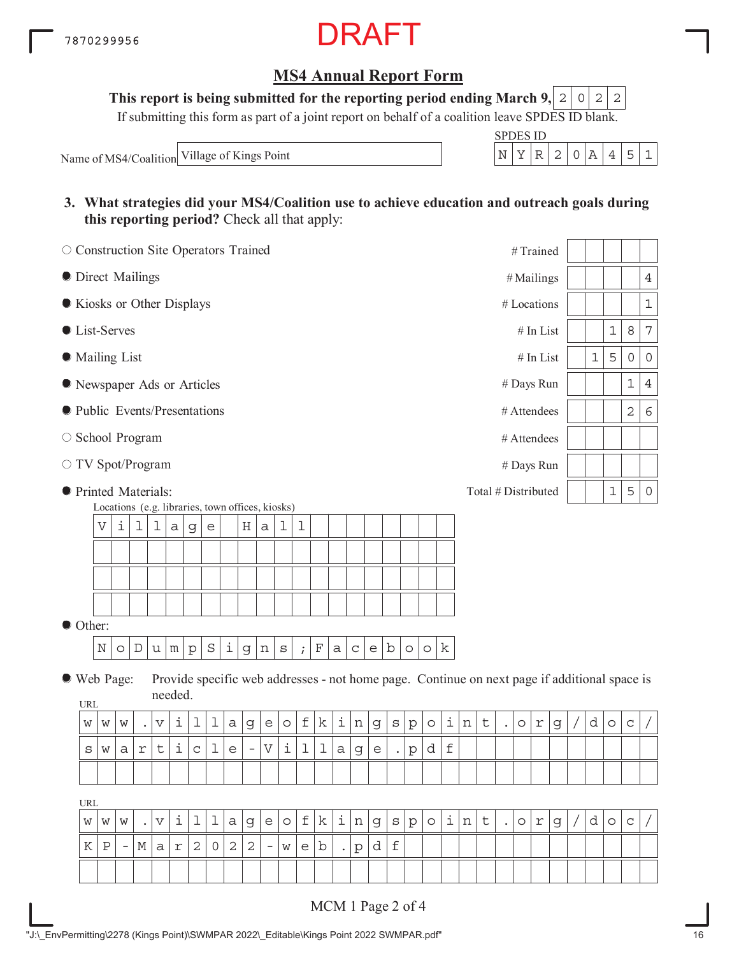# **MS4 Annual Report Form**

This report is being submitted for the reporting period ending March 9,  $\mid 2 \mid 0 \mid 2 \mid 2$ 

If submitting this form as part of a joint report on behalf of a coalition leave SPDES ID blank.

Name of MS4/Coalition Village of Kings Point

| ັບ   ). | S 11) |  |  |  |
|---------|-------|--|--|--|
|         |       |  |  |  |

**3. What strategies did your MS4/Coalition use to achieve education and outreach goals during this reporting period?** Check all that apply:

| O Construction Site Operators Trained |                                                       |                          |           |                       |            |             |         |                   |                          |                           |         |                           |            |                      |             |             |         |         |         |             |   |         |                      | #Trained            |              |   |       |         |                                                                                              |                |
|---------------------------------------|-------------------------------------------------------|--------------------------|-----------|-----------------------|------------|-------------|---------|-------------------|--------------------------|---------------------------|---------|---------------------------|------------|----------------------|-------------|-------------|---------|---------|---------|-------------|---|---------|----------------------|---------------------|--------------|---|-------|---------|----------------------------------------------------------------------------------------------|----------------|
| <b>O</b> Direct Mailings              |                                                       |                          |           |                       |            |             |         |                   |                          |                           |         |                           |            |                      |             |             |         |         |         |             |   |         |                      | # Mailings          |              |   |       |         |                                                                                              | $\overline{4}$ |
| Kiosks or Other Displays              |                                                       |                          |           |                       |            |             |         |                   |                          |                           |         |                           |            |                      |             |             |         |         |         |             |   |         |                      | # Locations         |              |   |       |         |                                                                                              | $\mathbf 1$    |
| <b>C</b> List-Serves                  |                                                       |                          |           |                       |            |             |         |                   |                          |                           |         |                           |            |                      |             |             |         |         |         |             |   |         |                      |                     | $\#$ In List |   |       | 1       | 8                                                                                            | 7              |
| <b>Mailing List</b>                   |                                                       |                          |           |                       |            |             |         |                   |                          |                           |         |                           |            |                      |             |             |         |         |         |             |   |         |                      |                     | # In List    |   | $1\,$ | 5       | 0                                                                                            | $\mathsf{O}$   |
| Rewspaper Ads or Articles             |                                                       |                          |           |                       |            |             |         |                   |                          |                           |         |                           |            |                      |             |             |         |         |         |             |   |         |                      | # Days Run          |              |   |       |         | $\mathbf 1$                                                                                  | $\overline{4}$ |
| lacktriangleright Presentations       |                                                       |                          |           |                       |            |             |         |                   |                          |                           |         |                           |            |                      |             |             |         |         |         |             |   |         |                      | # Attendees         |              |   |       |         | $\mathbf 2$                                                                                  | $\epsilon$     |
| ○ School Program                      |                                                       |                          |           |                       |            |             |         |                   |                          |                           |         |                           |            |                      |             |             |         |         |         |             |   |         |                      | # Attendees         |              |   |       |         |                                                                                              |                |
| ○ TV Spot/Program                     |                                                       |                          |           |                       |            |             |         |                   |                          |                           |         |                           |            |                      |             |             |         |         |         |             |   |         |                      | # Days Run          |              |   |       |         |                                                                                              |                |
| <b>•</b> Printed Materials:           |                                                       |                          |           |                       |            |             |         |                   |                          |                           |         |                           |            |                      |             |             |         |         |         |             |   |         |                      | Total # Distributed |              |   |       | 1       | 5                                                                                            | $\mathsf{O}$   |
|                                       | Locations (e.g. libraries, town offices, kiosks)<br>V | i                        | ı         | ı                     | a          | $\mathsf g$ | e       |                   | Η                        | $\rm{a}$                  | 1       | 1                         |            |                      |             |             |         |         |         |             |   |         |                      |                     |              |   |       |         |                                                                                              |                |
|                                       |                                                       |                          |           |                       |            |             |         |                   |                          |                           |         |                           |            |                      |             |             |         |         |         |             |   |         |                      |                     |              |   |       |         |                                                                                              |                |
|                                       |                                                       |                          |           |                       |            |             |         |                   |                          |                           |         |                           |            |                      |             |             |         |         |         |             |   |         |                      |                     |              |   |       |         |                                                                                              |                |
|                                       |                                                       |                          |           |                       |            |             |         |                   |                          |                           |         |                           |            |                      |             |             |         |         |         |             |   |         |                      |                     |              |   |       |         |                                                                                              |                |
|                                       |                                                       |                          |           |                       |            |             |         |                   |                          |                           |         |                           |            |                      |             |             |         |         |         |             |   |         |                      |                     |              |   |       |         |                                                                                              |                |
| Other:                                |                                                       |                          |           |                       |            |             |         |                   |                          |                           |         |                           |            |                      |             |             |         |         |         |             |   |         |                      |                     |              |   |       |         |                                                                                              |                |
|                                       | $\mathbb N$                                           | O                        | D         | $\mathtt{u}$          | m          | ${\tt p}$   | $\rm S$ | $\dot{\mathtt l}$ | g                        | n                         | $\rm s$ | $\mathbf{i}$              | $_{\rm F}$ | a                    | $\mathsf C$ | e           | b       | $\circ$ | $\circ$ | k           |   |         |                      |                     |              |   |       |         |                                                                                              |                |
| ● Web Page:                           |                                                       |                          |           |                       | needed.    |             |         |                   |                          |                           |         |                           |            |                      |             |             |         |         |         |             |   |         |                      |                     |              |   |       |         | Provide specific web addresses - not home page. Continue on next page if additional space is |                |
| URL                                   |                                                       |                          |           |                       |            |             |         |                   |                          |                           |         |                           |            |                      |             |             |         |         |         |             |   |         |                      |                     |              |   |       |         |                                                                                              |                |
| W                                     | W                                                     | W                        |           | $\boldsymbol{\nabla}$ | i          | 1           | 1       | а                 | g                        | $\mathsf{e}$              | $\circ$ | $\ensuremath{\mathsf{f}}$ | k          | i                    | n           | $\mathsf g$ | $\rm S$ | p       | $\circ$ | i           | n | $\sf t$ |                      | $\circ$             | $\Upsilon$   | g | d     | $\circ$ | $\mathsf C$                                                                                  |                |
| S                                     | W                                                     | а                        | r         | t                     | i          | $\mathsf C$ | 1       | e                 | $\overline{\phantom{m}}$ | $\boldsymbol{\mathrm{V}}$ | i       | 1                         | 1          | $\mathsf a$          | $\mathsf g$ | e           |         | р       | d       | $\mathbf f$ |   |         |                      |                     |              |   |       |         |                                                                                              |                |
|                                       |                                                       |                          |           |                       |            |             |         |                   |                          |                           |         |                           |            |                      |             |             |         |         |         |             |   |         |                      |                     |              |   |       |         |                                                                                              |                |
| <b>URL</b>                            |                                                       |                          |           |                       |            |             |         |                   |                          |                           |         |                           |            |                      |             |             |         |         |         |             |   |         |                      |                     |              |   |       |         |                                                                                              |                |
| W                                     | W                                                     | W                        | $\bullet$ | $\boldsymbol{\nabla}$ | i          | ı           | ı       | а                 | g                        | e                         | $\circ$ | f                         | k          | i,                   | n           | g           | S       | p       | $\circ$ | i           | n | t       | $\ddot{\phantom{a}}$ | $\circ$             | $\Upsilon$   | g | d     | $\circ$ | $\mathsf C$                                                                                  |                |
| Κ                                     | $\, {\bf P}$                                          | $\overline{\phantom{a}}$ | М         | а                     | $\Upsilon$ | $\mathbf 2$ | 0       | $\sqrt{2}$        | $\mathbf{2}$             | $\overline{\phantom{m}}$  | W       | e                         | b          | $\ddot{\phantom{0}}$ | $\rm p$     | d           | f       |         |         |             |   |         |                      |                     |              |   |       |         |                                                                                              |                |
|                                       |                                                       |                          |           |                       |            |             |         |                   |                          |                           |         |                           |            |                      |             |             |         |         |         |             |   |         |                      |                     |              |   |       |         |                                                                                              |                |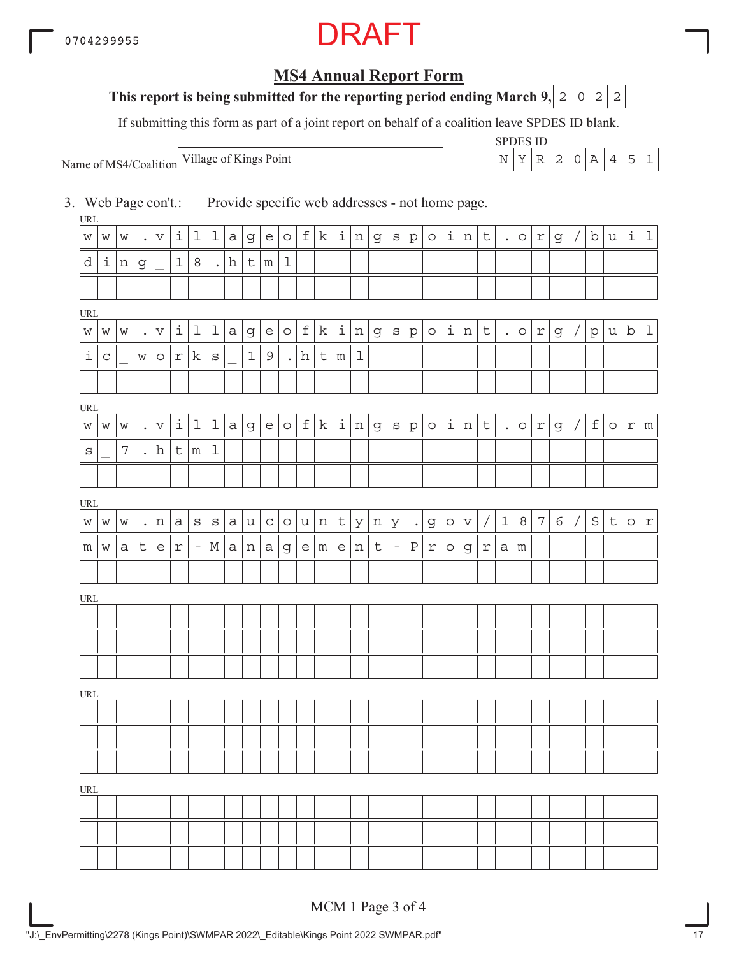# **MS4 Annual Report Form**

### **This report is being submitted for the reporting period ending March 9, 2 0 2 2**

If submitting this form as part of a joint report on behalf of a coalition leave SPDES ID blank.

Name of MS4/Coalition

SPDES ID Village of Kings Point  $\vert N \vert Y \vert R \vert 2 \vert 0 \vert A \vert 4 \vert 5 \vert 1$ 

3. Web Page con't.: Provide specific web addresses - not home page.

URL URL URL **URI** URL URL URL  $w |w |w |$ . $|v |1 |1 |1 |a |g |e |o |f |k |1 |n |g |s |p |o |1 |n |t |$ . $|o |r |g |/|b |u |1 |1$  $d | i | n | g | | 1 | 8 | | h | t | m | 1$  $w |w |w |$ . $|v |1 |1 |1 |a |g |e |o |f |k |1 |n |g |s |p |o |1 |n |t |$ . $|o |r |g |/|p |u |b |1$  $i | c | | w | o | r | k | s | | 1 | 9 | | h | t | m | 1$  $w |w |w |$  . $|v |1 |1 |1 |a |g |e |o |f |k |1 |n |g |s |p |o |1 |n |t |$  .  $|o |r |g |/|f |o |r |m$  $s$  | 7 .h t m 1 w |w |w | .|n |a |s |s |a |u |c |o |u |n |t |y |n |y | .|g |o |v | / | 1 | 8 | 7 | 6 | / | S | t | o | r  $m \mid w \mid a \mid t \mid e \mid r \mid$  -  $\mid$   $M \mid a \mid n \mid a \mid g \mid e \mid m \mid e \mid n \mid t \mid$  -  $\mid$   $P \mid r \mid o \mid g \mid r \mid a \mid m$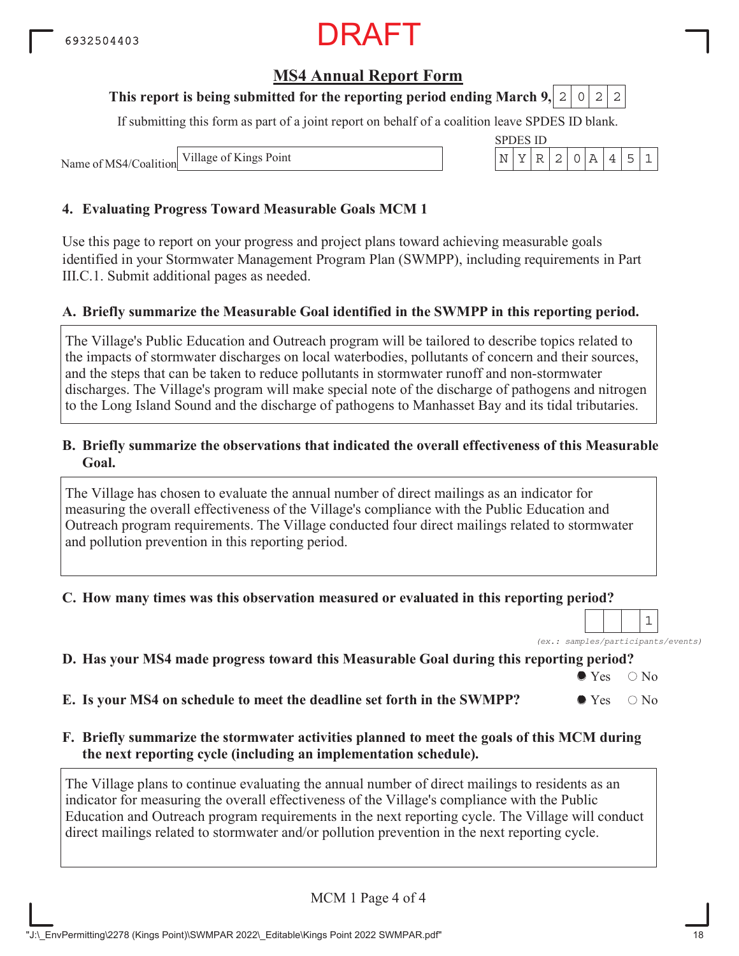## **MS4 Annual Report Form**

### **This report is being submitted for the reporting period ending March 9,**

If submitting this form as part of a joint report on behalf of a coalition leave SPDES ID blank.

Name of MS4/Coalition Village of Kings Point

#### **4. Evaluating Progress Toward Measurable Goals MCM 1**

Use this page to report on your progress and project plans toward achieving measurable goals identified in your Stormwater Management Program Plan (SWMPP), including requirements in Part III.C.1. Submit additional pages as needed.

#### **A. Briefly summarize the Measurable Goal identified in the SWMPP in this reporting period.**

The Village's Public Education and Outreach program will be tailored to describe topics related to the impacts of stormwater discharges on local waterbodies, pollutants of concern and their sources, and the steps that can be taken to reduce pollutants in stormwater runoff and non-stormwater discharges. The Village's program will make special note of the discharge of pathogens and nitrogen to the Long Island Sound and the discharge of pathogens to Manhasset Bay and its tidal tributaries.

#### **B. Briefly summarize the observations that indicated the overall effectiveness of this Measurable Goal.**

The Village has chosen to evaluate the annual number of direct mailings as an indicator for measuring the overall effectiveness of the Village's compliance with the Public Education and Outreach program requirements. The Village conducted four direct mailings related to stormwater and pollution prevention in this reporting period.

#### **C. How many times was this observation measured or evaluated in this reporting period?**

*(ex.: samples/participants/events)* 1

### **D. Has your MS4 made progress toward this Measurable Goal during this reporting period?**

 $\bullet$  Yes  $\circ$  No

**E.** Is your MS4 on schedule to meet the deadline set forth in the SWMPP?  $\bullet$  Yes  $\circ$  No

#### **F. Briefly summarize the stormwater activities planned to meet the goals of this MCM during the next reporting cycle (including an implementation schedule).**

The Village plans to continue evaluating the annual number of direct mailings to residents as an indicator for measuring the overall effectiveness of the Village's compliance with the Public Education and Outreach program requirements in the next reporting cycle. The Village will conduct direct mailings related to stormwater and/or pollution prevention in the next reporting cycle.

MCM 1 Page 4 of 4

| _______ |  |  |  |
|---------|--|--|--|

"J:\\_EnvPermitting\2278 (Kings Point)\SWMPAR 2022\\_Editable\Kings Point 2022 SWMPAR.pdf" 18

|  | S 11) |  |  |  |
|--|-------|--|--|--|
|  |       |  |  |  |

 $0|2|2$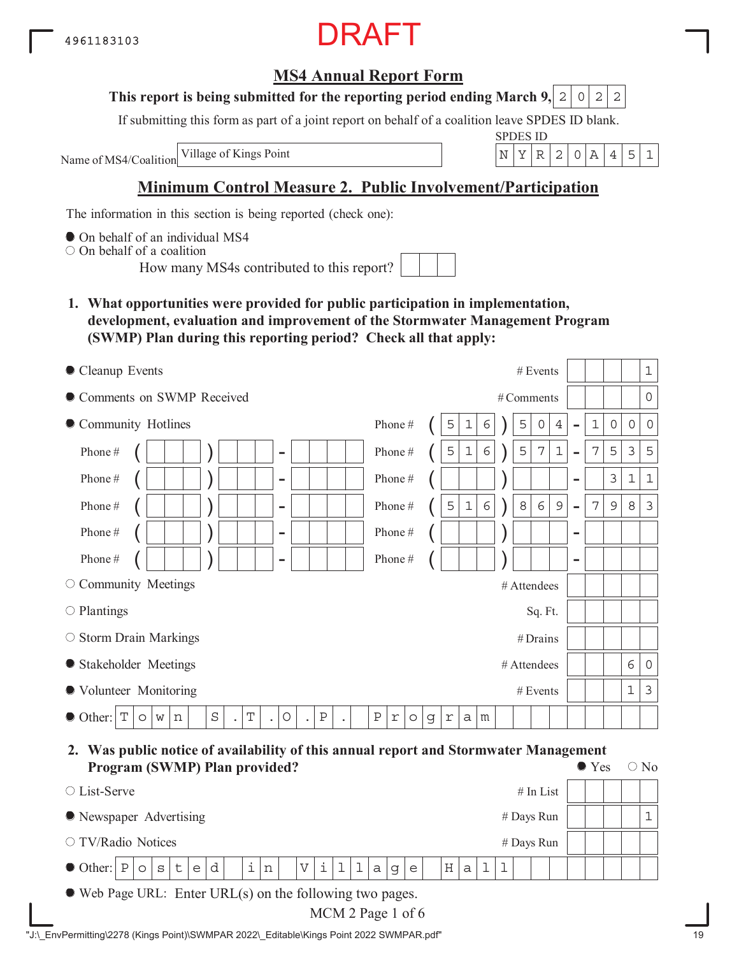# **MS4 Annual Report Form**

#### **This report is being submitted for the reporting period ending March 9,**  $2|0|2|2$

If submitting this form as part of a joint report on behalf of a coalition leave SPDES ID blank.

Name of MS4/Coalition

SPDES ID Village of Kings Point  $\vert N \vert Y \vert R \vert 2 \vert 0 \vert A \vert 4 \vert 5 \vert 1$ 

# **Minimum Control Measure 2. Public Involvement/Participation**

The information in this section is being reported (check one):

 $\bullet$  On behalf of an individual MS4

On behalf of a coalition

How many MS4s contributed to this report?

**1. What opportunities were provided for public participation in implementation, development, evaluation and improvement of the Stormwater Management Program (SWMP) Plan during this reporting period? Check all that apply:**

| Cleanup Events                                                                                                          | $\mathbf{1}$<br># Events                                                                                                                                              |
|-------------------------------------------------------------------------------------------------------------------------|-----------------------------------------------------------------------------------------------------------------------------------------------------------------------|
| Comments on SWMP Received                                                                                               | $\overline{0}$<br># Comments                                                                                                                                          |
| • Community Hotlines                                                                                                    | Phone#<br>5<br>$\mathbf 1$<br>5<br>$\mathbf 1$<br>$\overline{4}$<br>$\mathsf{O}\xspace$<br>$\mathsf{O}\xspace$<br>$\mathcal{O}$<br>6<br>0<br>$\overline{\phantom{0}}$ |
| Phone#<br>$\overline{\phantom{a}}$                                                                                      | $\epsilon$<br>5<br>5<br>7<br>$\mathbf 1$<br>7<br>5<br>3<br>Phone#<br>5<br>$\mathbf 1$<br>$\overline{\phantom{0}}$                                                     |
| Phone#<br>$\overline{\phantom{a}}$                                                                                      | 3<br>$1\,$<br>$\mathbf{1}$<br>Phone#<br>-                                                                                                                             |
| Phone#<br>$\overline{\phantom{a}}$                                                                                      | $\epsilon$<br>$\,8\,$<br>6<br>$\mathcal{G}$<br>7<br>$\mathcal{E}$<br>5<br>$1\,$<br>$\mathsf 9$<br>8<br>Phone#<br>$\overline{a}$                                       |
| Phone#<br>$\overline{\phantom{a}}$                                                                                      | Phone#<br>$\qquad \qquad \blacksquare$                                                                                                                                |
| Phone#<br>$\overline{\phantom{0}}$                                                                                      | Phone#<br>$\qquad \qquad$                                                                                                                                             |
| O Community Meetings                                                                                                    | # Attendees                                                                                                                                                           |
| $\circ$ Plantings                                                                                                       | Sq. Ft.                                                                                                                                                               |
| $\circ$ Storm Drain Markings                                                                                            | #Drains                                                                                                                                                               |
| • Stakeholder Meetings                                                                                                  | 6<br>$\circ$<br># Attendees                                                                                                                                           |
| ● Volunteer Monitoring                                                                                                  | $\mathfrak{Z}$<br>1<br># Events                                                                                                                                       |
| $\mathbf T$<br>$\rm S$<br>$\, {\bf P}$<br>T<br>$\circ$<br>$\bullet$ Other:<br>W<br>$\circ$<br>n<br>$\ddot{\phantom{a}}$ | $\, {\bf P}$<br>$\mathfrak{\textbf{r}}$<br>$\mathsf g$<br>a<br>$\circ$<br>r<br>m                                                                                      |

**2. Was public notice of availability of this annual report and Stormwater Management Program (SWMP) Plan provided?**  $\bullet$  Yes  $\circ$  No

| $\circ$ List-Serve                                                                                                                                                                            | $#$ In List |  |  |  |  |  |  |  |  |  |
|-----------------------------------------------------------------------------------------------------------------------------------------------------------------------------------------------|-------------|--|--|--|--|--|--|--|--|--|
| • Newspaper Advertising                                                                                                                                                                       | # Days Run  |  |  |  |  |  |  |  |  |  |
| $\circ$ TV/Radio Notices                                                                                                                                                                      | # Days Run  |  |  |  |  |  |  |  |  |  |
| $\bullet$ Other: $ P _0  S _t$<br>$\mathbf{1}$<br>$\mathbf{d}$<br>$\pm$  <br>$\mathbf{i}$<br>$\epsilon$<br>$\mathbf n$<br>$\mathbf V$<br>H <sub>1</sub><br>$\mathsf{a}$<br>e<br>a<br>$\alpha$ |             |  |  |  |  |  |  |  |  |  |
| $\bullet$ Web Page URL: Enter URL(s) on the following two pages.                                                                                                                              |             |  |  |  |  |  |  |  |  |  |

MCM 2 Page 1 of 6

| "J:\ EnvPermitting\2278 (Kings Point)\SWMPAR 2022\ Editable\Kings Point 2022 SWMPAR.pdf" |  |
|------------------------------------------------------------------------------------------|--|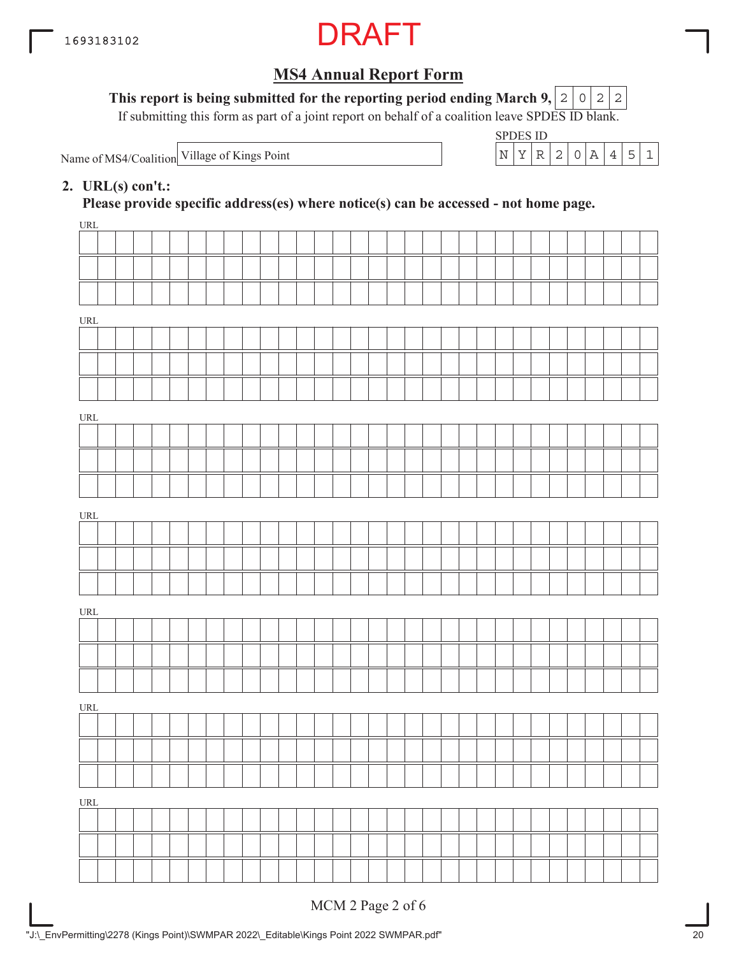

This report is being submitted for the reporting period ending March 9,  $|2|0|2|2$ 

If submitting this form as part of a joint report on behalf of a coalition leave SPDES ID blank.

Name of MS4/Coalition Village of Kings Point  $N \mid Y \mid R \mid 2 \mid 0 \mid A \mid 4 \mid 5 \mid 1$ 

| SPDES ID |  |  |  |  |
|----------|--|--|--|--|
|          |  |  |  |  |

### **2. URL(s) con't.:**

**Please provide specific address(es) where notice(s) can be accessed - not home page.**

| URL                                |  |  |  |  |  |  |  |  |  |  |  |  |  |  |  |  |
|------------------------------------|--|--|--|--|--|--|--|--|--|--|--|--|--|--|--|--|
|                                    |  |  |  |  |  |  |  |  |  |  |  |  |  |  |  |  |
|                                    |  |  |  |  |  |  |  |  |  |  |  |  |  |  |  |  |
|                                    |  |  |  |  |  |  |  |  |  |  |  |  |  |  |  |  |
|                                    |  |  |  |  |  |  |  |  |  |  |  |  |  |  |  |  |
| $\ensuremath{\mathsf{URL}}\xspace$ |  |  |  |  |  |  |  |  |  |  |  |  |  |  |  |  |
|                                    |  |  |  |  |  |  |  |  |  |  |  |  |  |  |  |  |
|                                    |  |  |  |  |  |  |  |  |  |  |  |  |  |  |  |  |
|                                    |  |  |  |  |  |  |  |  |  |  |  |  |  |  |  |  |
|                                    |  |  |  |  |  |  |  |  |  |  |  |  |  |  |  |  |
| $\ensuremath{\mathsf{URL}}\xspace$ |  |  |  |  |  |  |  |  |  |  |  |  |  |  |  |  |
|                                    |  |  |  |  |  |  |  |  |  |  |  |  |  |  |  |  |
|                                    |  |  |  |  |  |  |  |  |  |  |  |  |  |  |  |  |
|                                    |  |  |  |  |  |  |  |  |  |  |  |  |  |  |  |  |
|                                    |  |  |  |  |  |  |  |  |  |  |  |  |  |  |  |  |
| $\ensuremath{\mathsf{URL}}\xspace$ |  |  |  |  |  |  |  |  |  |  |  |  |  |  |  |  |
|                                    |  |  |  |  |  |  |  |  |  |  |  |  |  |  |  |  |
|                                    |  |  |  |  |  |  |  |  |  |  |  |  |  |  |  |  |
|                                    |  |  |  |  |  |  |  |  |  |  |  |  |  |  |  |  |
|                                    |  |  |  |  |  |  |  |  |  |  |  |  |  |  |  |  |
|                                    |  |  |  |  |  |  |  |  |  |  |  |  |  |  |  |  |
| URL                                |  |  |  |  |  |  |  |  |  |  |  |  |  |  |  |  |
|                                    |  |  |  |  |  |  |  |  |  |  |  |  |  |  |  |  |
|                                    |  |  |  |  |  |  |  |  |  |  |  |  |  |  |  |  |
|                                    |  |  |  |  |  |  |  |  |  |  |  |  |  |  |  |  |
|                                    |  |  |  |  |  |  |  |  |  |  |  |  |  |  |  |  |
| $\ensuremath{\mathsf{URL}}\xspace$ |  |  |  |  |  |  |  |  |  |  |  |  |  |  |  |  |
|                                    |  |  |  |  |  |  |  |  |  |  |  |  |  |  |  |  |
|                                    |  |  |  |  |  |  |  |  |  |  |  |  |  |  |  |  |
|                                    |  |  |  |  |  |  |  |  |  |  |  |  |  |  |  |  |
|                                    |  |  |  |  |  |  |  |  |  |  |  |  |  |  |  |  |
| URL                                |  |  |  |  |  |  |  |  |  |  |  |  |  |  |  |  |
|                                    |  |  |  |  |  |  |  |  |  |  |  |  |  |  |  |  |
|                                    |  |  |  |  |  |  |  |  |  |  |  |  |  |  |  |  |
|                                    |  |  |  |  |  |  |  |  |  |  |  |  |  |  |  |  |
|                                    |  |  |  |  |  |  |  |  |  |  |  |  |  |  |  |  |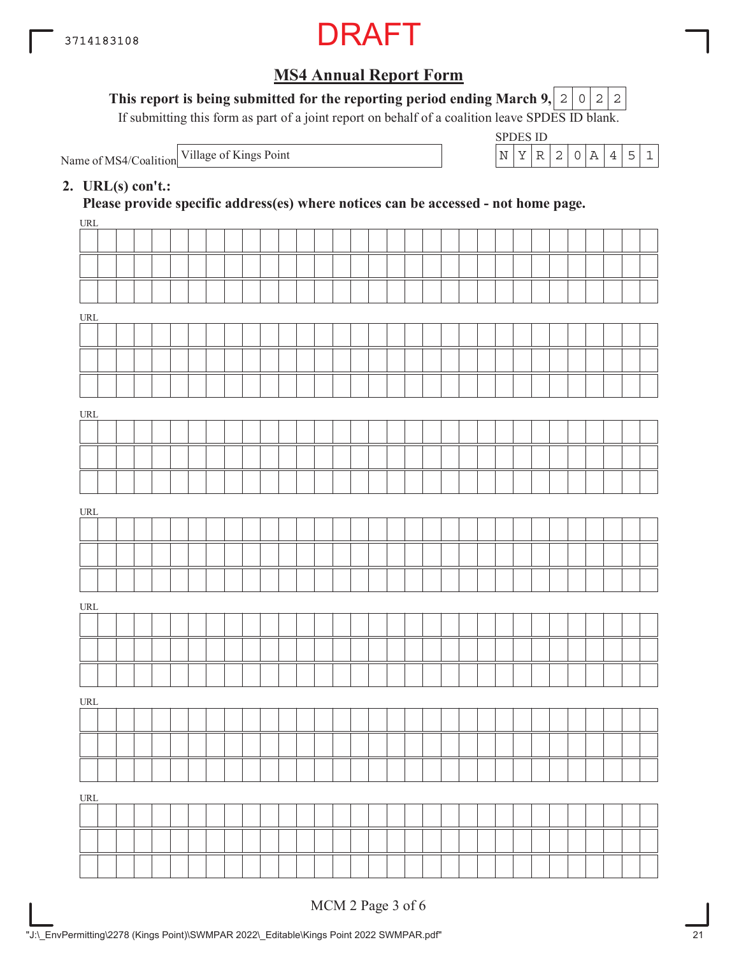

#### This report is being submitted for the reporting period ending March 9,  $|2|0|2|2$

If submitting this form as part of a joint report on behalf of a coalition leave SPDES ID blank.

Name of MS4/Coalition

SPDES ID Village of Kings Point  $\vert N \vert Y \vert R \vert 2 \vert 0 \vert A \vert 4 \vert 5 \vert 1$ 

### **2. URL(s) con't.:**

**Please provide specific address(es) where notices can be accessed - not home page.**

| URL |  |  |  |  |  |  |  |  |  |  |  |  |  |  |  |  |
|-----|--|--|--|--|--|--|--|--|--|--|--|--|--|--|--|--|
|     |  |  |  |  |  |  |  |  |  |  |  |  |  |  |  |  |
|     |  |  |  |  |  |  |  |  |  |  |  |  |  |  |  |  |
|     |  |  |  |  |  |  |  |  |  |  |  |  |  |  |  |  |
| URL |  |  |  |  |  |  |  |  |  |  |  |  |  |  |  |  |
|     |  |  |  |  |  |  |  |  |  |  |  |  |  |  |  |  |
|     |  |  |  |  |  |  |  |  |  |  |  |  |  |  |  |  |
|     |  |  |  |  |  |  |  |  |  |  |  |  |  |  |  |  |
|     |  |  |  |  |  |  |  |  |  |  |  |  |  |  |  |  |
| URL |  |  |  |  |  |  |  |  |  |  |  |  |  |  |  |  |
|     |  |  |  |  |  |  |  |  |  |  |  |  |  |  |  |  |
|     |  |  |  |  |  |  |  |  |  |  |  |  |  |  |  |  |
|     |  |  |  |  |  |  |  |  |  |  |  |  |  |  |  |  |
| URL |  |  |  |  |  |  |  |  |  |  |  |  |  |  |  |  |
|     |  |  |  |  |  |  |  |  |  |  |  |  |  |  |  |  |
|     |  |  |  |  |  |  |  |  |  |  |  |  |  |  |  |  |
|     |  |  |  |  |  |  |  |  |  |  |  |  |  |  |  |  |
| URL |  |  |  |  |  |  |  |  |  |  |  |  |  |  |  |  |
|     |  |  |  |  |  |  |  |  |  |  |  |  |  |  |  |  |
|     |  |  |  |  |  |  |  |  |  |  |  |  |  |  |  |  |
|     |  |  |  |  |  |  |  |  |  |  |  |  |  |  |  |  |
| URL |  |  |  |  |  |  |  |  |  |  |  |  |  |  |  |  |
|     |  |  |  |  |  |  |  |  |  |  |  |  |  |  |  |  |
|     |  |  |  |  |  |  |  |  |  |  |  |  |  |  |  |  |
|     |  |  |  |  |  |  |  |  |  |  |  |  |  |  |  |  |
| URL |  |  |  |  |  |  |  |  |  |  |  |  |  |  |  |  |
|     |  |  |  |  |  |  |  |  |  |  |  |  |  |  |  |  |
|     |  |  |  |  |  |  |  |  |  |  |  |  |  |  |  |  |
|     |  |  |  |  |  |  |  |  |  |  |  |  |  |  |  |  |
|     |  |  |  |  |  |  |  |  |  |  |  |  |  |  |  |  |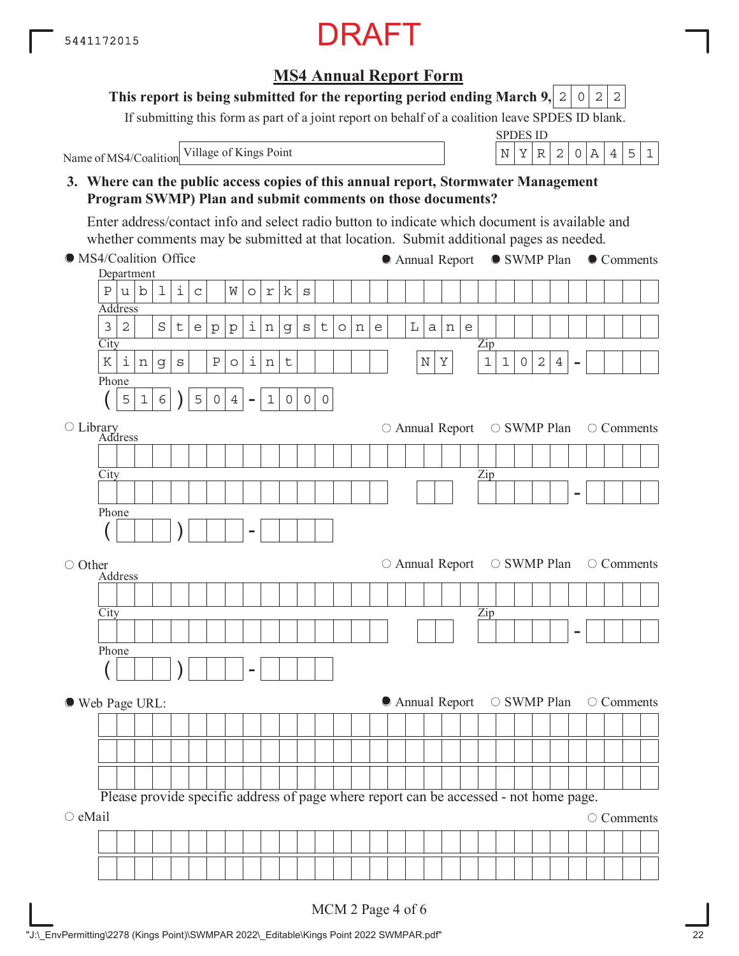# **3. Where can the public access copies of this annual report, Stormwater Management Program SWMP) Plan and submit comments on those documents? City** Department Address Zip - Phone  $($  | 5 | 1 | 6 |  $)$  | 5 | 0 | 4 | -**City** Address Library Zip - Phone ( ) - **City** Address Zip - Phone ( ) - MS4/Coalition Office ○ Other Web Page URL:  $\circ$  eMail Please provide specific address of page where report can be accessed - not home page. ● Annual Report ● SWMP Plan ● Comments  $\circ$  Annual Report  $\circ$  SWMP Plan  $\circ$  Comments  $\circ$  Annual Report  $\circ$  SWMP Plan  $\circ$  Comments ● Annual Report ○ SWMP Plan ○ Comments O Comments Enter address/contact info and select radio button to indicate which document is available and whether comments may be submitted at that location. Submit additional pages as needed.  $P|u|b|1|i|c|$   $W|o|r|k|s$  $3|2|$   $|S|$ t $|e|p|p|$ i $|n|g|s|$ t $|o|n|e|$   $|L|a|n|e$  $K|i|n|g|s|$  |P|o|i|n|t| | | | | | | |N|Y| |1|1|0|2|4  $5|1|6$  )  $|5|0|4$  -  $|1|0|0|0$

MCM 2 Page 4 of 6

### **MS4 Annual Report Form**

#### **This report is being submitted for the reporting period ending March 9,**  $0|2|2$

Name of MS4/Coalition Village of Kings Point  $\left| N \right| X \left| R \right| 2 \left| 0 \right| A \left| 4 \right| 5 \left| 1 \right|$ 

If submitting this form as part of a joint report on behalf of a coalition leave SPDES ID blank.

SPDES ID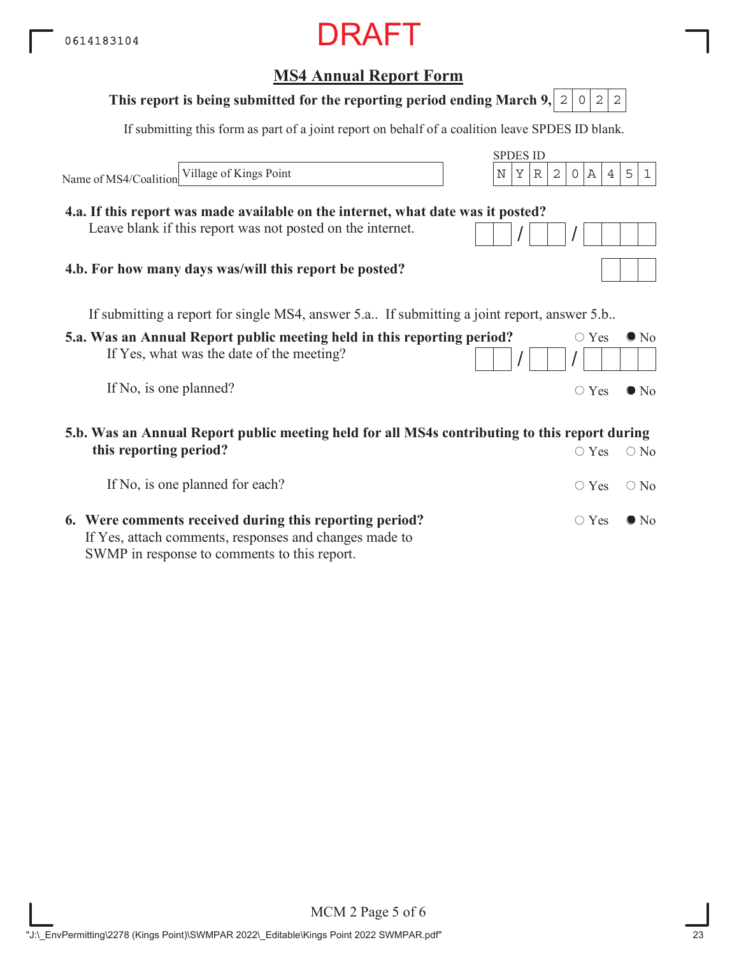# **5.a. Was an Annual Report public meeting held in this reporting period?** If Yes, what was the date of the meeting? If No, is one planned? **MS4 Annual Report Form** SPDES ID If submitting this form as part of a joint report on behalf of a coalition leave SPDES ID blank. Name of MS4/Coalition  $\circ$  Yes  $\bullet$  No  $/$   $/$   $/$  $\circ$  Yes  $\bullet$  No If submitting a report for single MS4, answer 5.a.. If submitting a joint report, answer 5.b.. **5.b. Was an Annual Report public meeting held for all MS4s contributing to this report during This report is being submitted for the reporting period ending March 9, 2 0 2 2 4.a. If this report was made available on the internet, what date was it posted?** Leave blank if this report was not posted on the internet. **4.b. For how many days was/will this report be posted?** Village of Kings Point  $\vert N \vert Y \vert R \vert 2 \vert 0 \vert A \vert 4 \vert 5 \vert 1$

| this reporting period?                                                                                 | $\circ$ Yes $\circ$ No       |  |
|--------------------------------------------------------------------------------------------------------|------------------------------|--|
| If No, is one planned for each?                                                                        | $\bigcirc$ Yes $\bigcirc$ No |  |
| 6. Were comments received during this reporting period?                                                | $\bigcirc$ Yes $\bigcirc$ No |  |
| If Yes, attach comments, responses and changes made to<br>SWMP in response to comments to this report. |                              |  |

MCM 2 Page 5 of 6 "J:\\_EnvPermitting\2278 (Kings Point)\SWMPAR 2022\\_Editable\Kings Point 2022 SWMPAR.pdf" 23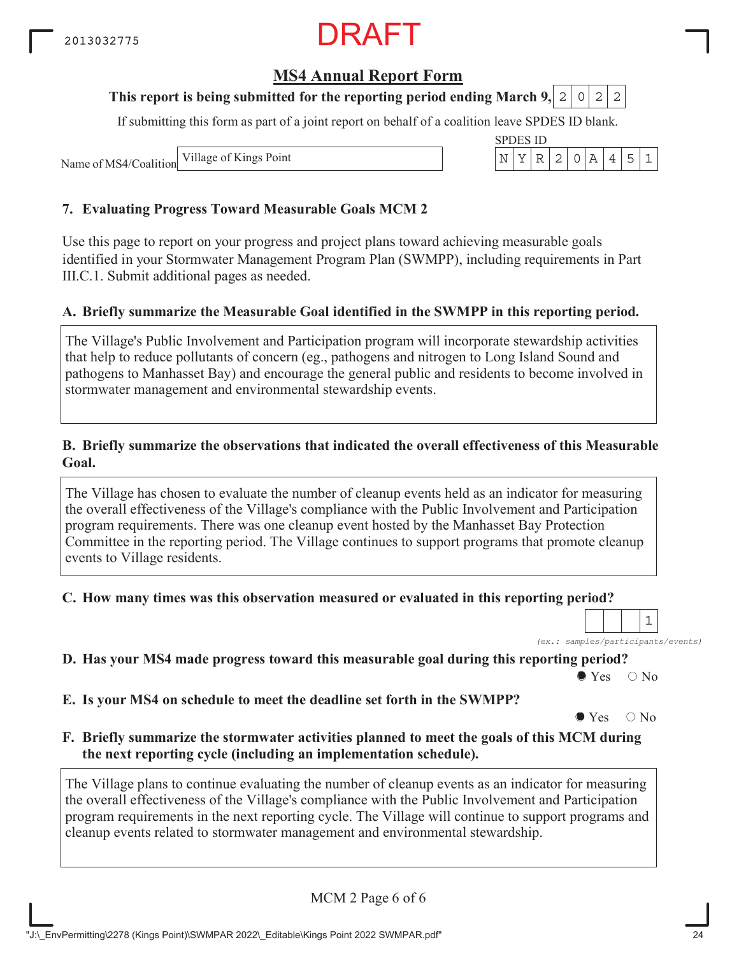# **MS4 Annual Report Form**

### **This report is being submitted for the reporting period ending March 9, 2 0 2 2**

If submitting this form as part of a joint report on behalf of a coalition leave SPDES ID blank.

Name of MS4/Coalition Village of Kings Point

### **7. Evaluating Progress Toward Measurable Goals MCM 2**

Use this page to report on your progress and project plans toward achieving measurable goals identified in your Stormwater Management Program Plan (SWMPP), including requirements in Part III.C.1. Submit additional pages as needed.

#### **A. Briefly summarize the Measurable Goal identified in the SWMPP in this reporting period.**

The Village's Public Involvement and Participation program will incorporate stewardship activities that help to reduce pollutants of concern (eg., pathogens and nitrogen to Long Island Sound and pathogens to Manhasset Bay) and encourage the general public and residents to become involved in stormwater management and environmental stewardship events.

#### **B. Briefly summarize the observations that indicated the overall effectiveness of this Measurable Goal.**

The Village has chosen to evaluate the number of cleanup events held as an indicator for measuring the overall effectiveness of the Village's compliance with the Public Involvement and Participation program requirements. There was one cleanup event hosted by the Manhasset Bay Protection Committee in the reporting period. The Village continues to support programs that promote cleanup events to Village residents.

**C. How many times was this observation measured or evaluated in this reporting period?**

*(ex.: samples/participants/events)* 1

**D. Has your MS4 made progress toward this measurable goal during this reporting period?**

 $\bullet$  Yes  $\circ$  No

**E. Is your MS4 on schedule to meet the deadline set forth in the SWMPP?**

 $\bullet$  Yes  $\circ$  No

#### **F. Briefly summarize the stormwater activities planned to meet the goals of this MCM during the next reporting cycle (including an implementation schedule).**

The Village plans to continue evaluating the number of cleanup events as an indicator for measuring the overall effectiveness of the Village's compliance with the Public Involvement and Participation program requirements in the next reporting cycle. The Village will continue to support programs and cleanup events related to stormwater management and environmental stewardship.

MCM 2 Page 6 of 6

| SPDI<br>FS.<br>1 I D |  |  |  |  |  |   |  |  |  |  |  |
|----------------------|--|--|--|--|--|---|--|--|--|--|--|
|                      |  |  |  |  |  | - |  |  |  |  |  |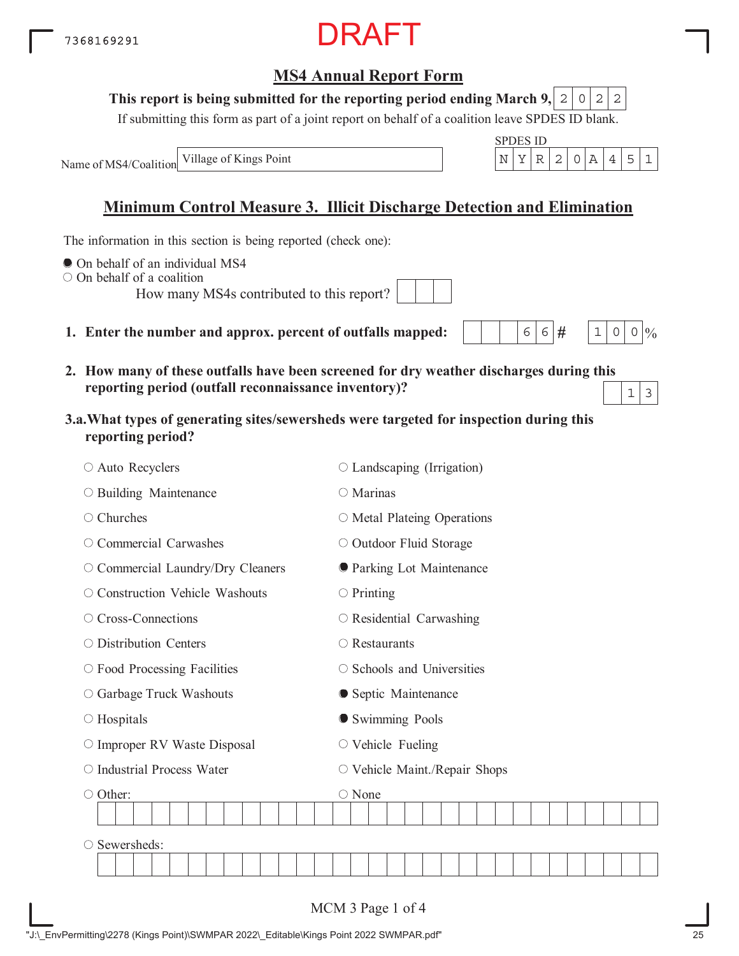#### **This report is being submitted for the reporting period ending March 9,**  $0|2|2$

If submitting this form as part of a joint report on behalf of a coalition leave SPDES ID blank.

Name of MS4/Coalition

# **Minimum Control Measure 3. Illicit Discharge Detection and Elimination**

The information in this section is being reported (check one):

- $\bullet$  On behalf of an individual MS4
- On behalf of a coalition

How many MS4s contributed to this report?

- **1. Enter the number and approx. percent of outfalls mapped:**
- **2. How many of these outfalls have been screened for dry weather discharges during this reporting period (outfall reconnaissance inventory)?**
- **3.a.What types of generating sites/sewersheds were targeted for inspection during this reporting period?**

| ○ Auto Recyclers                   | $\circ$ Landscaping (Irrigation)  |  |  |  |  |  |  |  |  |  |  |  |
|------------------------------------|-----------------------------------|--|--|--|--|--|--|--|--|--|--|--|
| ○ Building Maintenance             | ○ Marinas                         |  |  |  |  |  |  |  |  |  |  |  |
| Churches<br>О                      | $\circ$ Metal Plateing Operations |  |  |  |  |  |  |  |  |  |  |  |
| Commercial Carwashes<br>O          | O Outdoor Fluid Storage           |  |  |  |  |  |  |  |  |  |  |  |
| O Commercial Laundry/Dry Cleaners  | <b>O</b> Parking Lot Maintenance  |  |  |  |  |  |  |  |  |  |  |  |
| ○ Construction Vehicle Washouts    | $\circ$ Printing                  |  |  |  |  |  |  |  |  |  |  |  |
| ○ Cross-Connections                | $\circ$ Residential Carwashing    |  |  |  |  |  |  |  |  |  |  |  |
| $\circ$ Distribution Centers       | $\bigcirc$ Restaurants            |  |  |  |  |  |  |  |  |  |  |  |
| $\circ$ Food Processing Facilities | $\circ$ Schools and Universities  |  |  |  |  |  |  |  |  |  |  |  |
| ○ Garbage Truck Washouts           | • Septic Maintenance              |  |  |  |  |  |  |  |  |  |  |  |
| $\circ$ Hospitals                  | Swimming Pools                    |  |  |  |  |  |  |  |  |  |  |  |
| O Improper RV Waste Disposal       | $\circ$ Vehicle Fueling           |  |  |  |  |  |  |  |  |  |  |  |
| O Industrial Process Water         | O Vehicle Maint./Repair Shops     |  |  |  |  |  |  |  |  |  |  |  |
| ○ Other:                           | $\bigcirc$ None                   |  |  |  |  |  |  |  |  |  |  |  |
|                                    |                                   |  |  |  |  |  |  |  |  |  |  |  |
| Sewersheds:<br>O                   |                                   |  |  |  |  |  |  |  |  |  |  |  |
|                                    |                                   |  |  |  |  |  |  |  |  |  |  |  |
|                                    |                                   |  |  |  |  |  |  |  |  |  |  |  |
|                                    | MCM 3 Page 1 of 4                 |  |  |  |  |  |  |  |  |  |  |  |



 $6|6|$ #

 $1 \, | \, 0 \, | \, 0 \, | \, 0$ 

 $1 \mid 3$ 

| <b>DRAI</b> |  |
|-------------|--|
|-------------|--|

| ł |         |
|---|---------|
|   | ٦<br>۰, |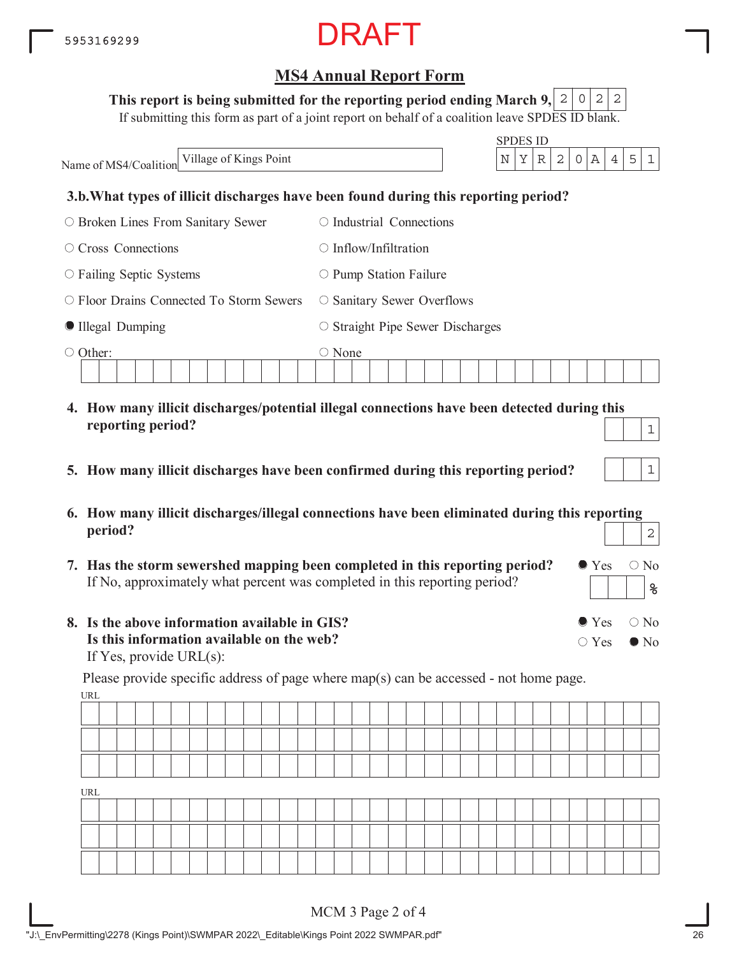#### This report is being submitted for the reporting period ending March 9,  $\mid$  2  $\mid$  0  $\mid$  2  $\mid$  2

If submitting this form as part of a joint report on behalf of a coalition leave SPDES ID blank.

|                                                 | <b>SPDES ID</b>                                                                                   |
|-------------------------------------------------|---------------------------------------------------------------------------------------------------|
| Village of Kings Point<br>Name of MS4/Coalition | $\vert A \vert$<br>$\mathbf N$<br>Υ<br>2 <br>$\circ$<br>5<br>R<br>$4\overline{ }$<br>$\mathbf{1}$ |
|                                                 | 3.b. What types of illicit discharges have been found during this reporting period?               |
| $\circ$ Broken Lines From Sanitary Sewer        | $\circ$ Industrial Connections                                                                    |
| $\circ$ Cross Connections                       | $\bigcirc$ Inflow/Infiltration                                                                    |
| $\circ$ Failing Septic Systems                  | $\circ$ Pump Station Failure                                                                      |
| $\circ$ Floor Drains Connected To Storm Sewers  | $\circ$ Sanitary Sewer Overflows                                                                  |
| Illegal Dumping                                 | $\circ$ Straight Pipe Sewer Discharges                                                            |
| $\circ$ Other:                                  | $\circ$ None                                                                                      |
| reporting period?                               | 4. How many illicit discharges/potential illegal connections have been detected during this       |

- **5. How many illicit discharges have been confirmed during this reporting period?**
- **6. How many illicit discharges/illegal connections have been eliminated during this reporting period?** 2
- **7. Has the storm sewershed mapping been completed in this reporting period?** If No, approximately what percent was completed in this reporting period?
- **8. Is the above information available in GIS? Is this information available on the web?** If Yes, provide URL(s):

URL Please provide specific address of page where map(s) can be accessed - not home page.

| URL |  |  |  |  |  |  |  |  |  |  |  |  |  |  |  |  |
|-----|--|--|--|--|--|--|--|--|--|--|--|--|--|--|--|--|
|     |  |  |  |  |  |  |  |  |  |  |  |  |  |  |  |  |
|     |  |  |  |  |  |  |  |  |  |  |  |  |  |  |  |  |
|     |  |  |  |  |  |  |  |  |  |  |  |  |  |  |  |  |

 $\bullet$  Yes  $\circ$  No

 $\bullet$  Yes  $\circ$  No

 $\bigcirc$  Yes  $\bigcirc$  No

**%**

1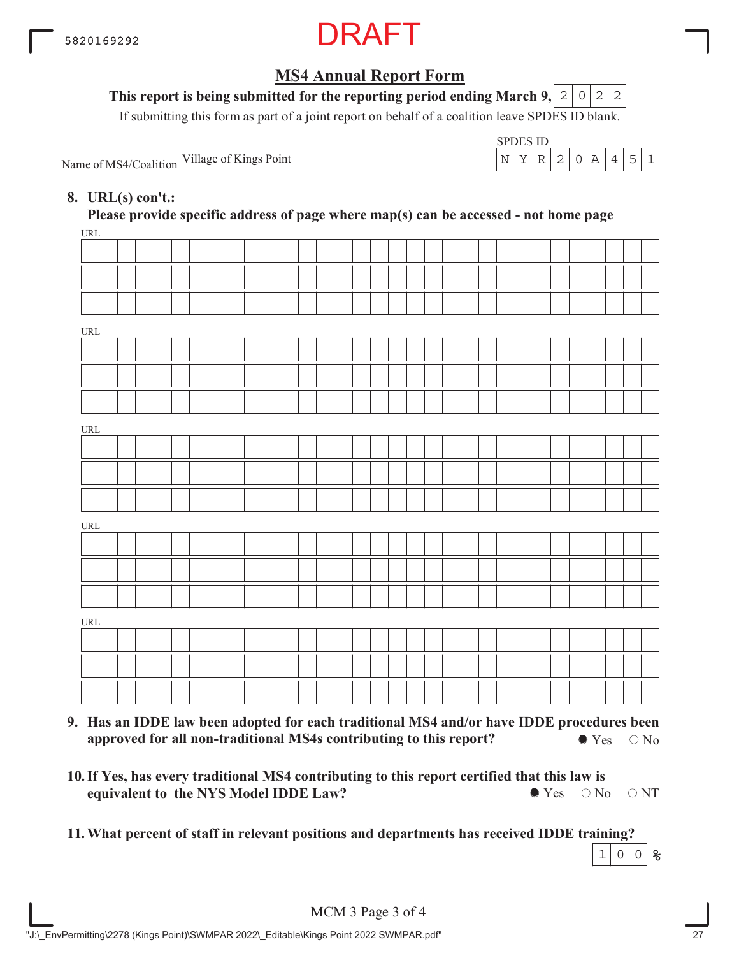

### This report is being submitted for the reporting period ending March 9,  $\mid$  2  $\mid$  0  $\mid$  2  $\mid$  2

If submitting this form as part of a joint report on behalf of a coalition leave SPDES ID blank.

Name of MS4/Coalition Village of Kings Point

| SPDES ID |  |               |                  |  |  |
|----------|--|---------------|------------------|--|--|
|          |  | $\mathcal{L}$ | $\left( \right)$ |  |  |

### **8. URL(s) con't.:**

 $IDI$ **Please provide specific address of page where map(s) can be accessed - not home page**

| UKL   |  |  |  |  |  |  |  |  |  |  |  |  |  |  |  |  |
|-------|--|--|--|--|--|--|--|--|--|--|--|--|--|--|--|--|
|       |  |  |  |  |  |  |  |  |  |  |  |  |  |  |  |  |
|       |  |  |  |  |  |  |  |  |  |  |  |  |  |  |  |  |
|       |  |  |  |  |  |  |  |  |  |  |  |  |  |  |  |  |
| URL   |  |  |  |  |  |  |  |  |  |  |  |  |  |  |  |  |
|       |  |  |  |  |  |  |  |  |  |  |  |  |  |  |  |  |
|       |  |  |  |  |  |  |  |  |  |  |  |  |  |  |  |  |
|       |  |  |  |  |  |  |  |  |  |  |  |  |  |  |  |  |
|       |  |  |  |  |  |  |  |  |  |  |  |  |  |  |  |  |
| $URL$ |  |  |  |  |  |  |  |  |  |  |  |  |  |  |  |  |
|       |  |  |  |  |  |  |  |  |  |  |  |  |  |  |  |  |
|       |  |  |  |  |  |  |  |  |  |  |  |  |  |  |  |  |
|       |  |  |  |  |  |  |  |  |  |  |  |  |  |  |  |  |
| URL   |  |  |  |  |  |  |  |  |  |  |  |  |  |  |  |  |
|       |  |  |  |  |  |  |  |  |  |  |  |  |  |  |  |  |
|       |  |  |  |  |  |  |  |  |  |  |  |  |  |  |  |  |
|       |  |  |  |  |  |  |  |  |  |  |  |  |  |  |  |  |
| URL   |  |  |  |  |  |  |  |  |  |  |  |  |  |  |  |  |
|       |  |  |  |  |  |  |  |  |  |  |  |  |  |  |  |  |
|       |  |  |  |  |  |  |  |  |  |  |  |  |  |  |  |  |
|       |  |  |  |  |  |  |  |  |  |  |  |  |  |  |  |  |
|       |  |  |  |  |  |  |  |  |  |  |  |  |  |  |  |  |

- **9. Has an IDDE law been adopted for each traditional MS4 and/or have IDDE procedures been approved for all non-traditional MS4s contributing to this report?**  $\bullet$  Yes  $\circ$  No
- **10. If Yes, has every traditional MS4 contributing to this report certified that this law is equivalent to the NYS Model IDDE Law?**  $\bullet$  Yes  $\circ$  No  $\circ$  NT
- **11.What percent of staff in relevant positions and departments has received IDDE training?**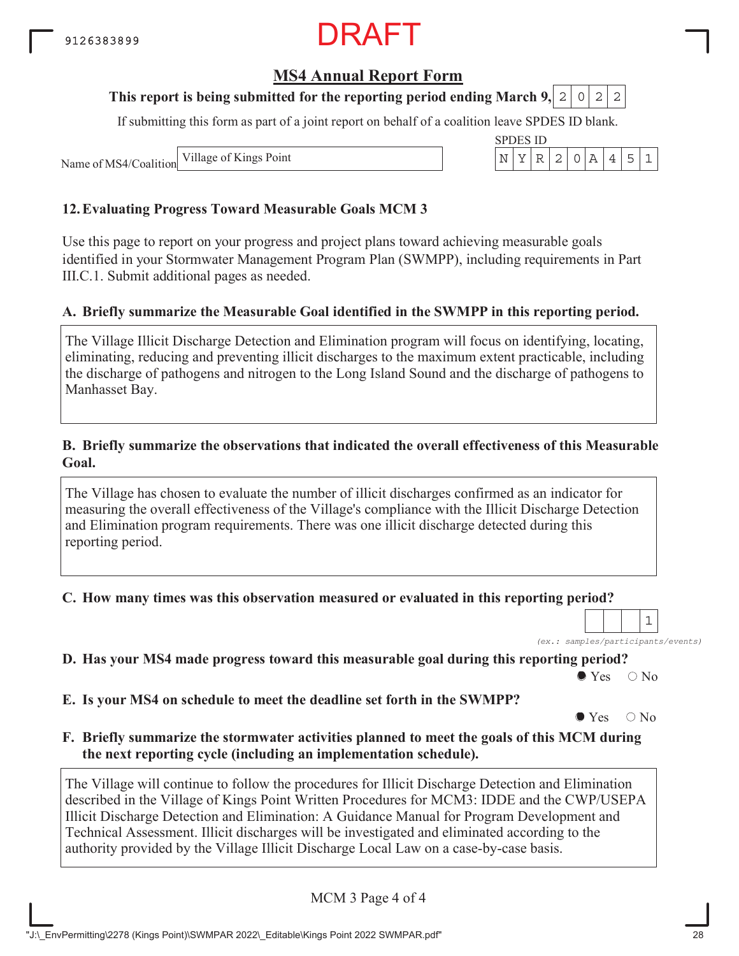# **MS4 Annual Report Form**

### **This report is being submitted for the reporting period ending March 9, 2 0 2 2**

If submitting this form as part of a joint report on behalf of a coalition leave SPDES ID blank.

Name of MS4/Coalition Village of Kings Point

### **12.Evaluating Progress Toward Measurable Goals MCM 3**

Use this page to report on your progress and project plans toward achieving measurable goals identified in your Stormwater Management Program Plan (SWMPP), including requirements in Part III.C.1. Submit additional pages as needed.

#### **A. Briefly summarize the Measurable Goal identified in the SWMPP in this reporting period.**

The Village Illicit Discharge Detection and Elimination program will focus on identifying, locating, eliminating, reducing and preventing illicit discharges to the maximum extent practicable, including the discharge of pathogens and nitrogen to the Long Island Sound and the discharge of pathogens to Manhasset Bay.

#### **B. Briefly summarize the observations that indicated the overall effectiveness of this Measurable Goal.**

The Village has chosen to evaluate the number of illicit discharges confirmed as an indicator for measuring the overall effectiveness of the Village's compliance with the Illicit Discharge Detection and Elimination program requirements. There was one illicit discharge detected during this reporting period.

**C. How many times was this observation measured or evaluated in this reporting period?**

*(ex.: samples/participants/events)* 1

**D. Has your MS4 made progress toward this measurable goal during this reporting period?**

 $\bullet$  Yes  $\circ$  No

**E. Is your MS4 on schedule to meet the deadline set forth in the SWMPP?**

 $\bullet$  Yes  $\circ$  No

**F. Briefly summarize the stormwater activities planned to meet the goals of this MCM during the next reporting cycle (including an implementation schedule).**

The Village will continue to follow the procedures for Illicit Discharge Detection and Elimination described in the Village of Kings Point Written Procedures for MCM3: IDDE and the CWP/USEPA Illicit Discharge Detection and Elimination: A Guidance Manual for Program Development and Technical Assessment. Illicit discharges will be investigated and eliminated according to the authority provided by the Village Illicit Discharge Local Law on a case-by-case basis.

MCM 3 Page 4 of 4

| SPDES ID |  |  |  |  |
|----------|--|--|--|--|
|          |  |  |  |  |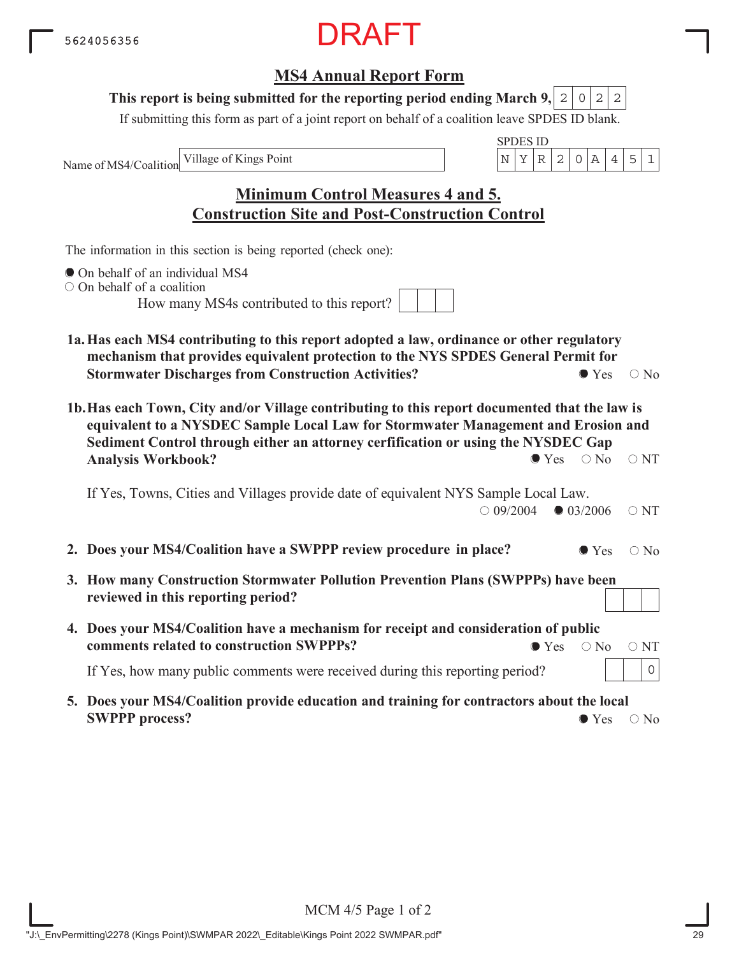## **MS4 Annual Report Form**

#### This report is being submitted for the reporting period ending March 9,  $|2|0|2|2$

If submitting this form as part of a joint report on behalf of a coalition leave SPDES ID blank.

Name of MS4/Coalition

SPDES ID Village of Kings Point  $\vert N \vert Y \vert R \vert 2 \vert 0 \vert A \vert 4 \vert 5 \vert 1$ 

**Minimum Control Measures 4 and 5. Construction Site and Post-Construction Control**

The information in this section is being reported (check one):

- On behalf of an individual MS4
- O On behalf of a coalition

How many MS4s contributed to this report?

- **1a.Has each MS4 contributing to this report adopted a law, ordinance or other regulatory mechanism that provides equivalent protection to the NYS SPDES General Permit for Stormwater Discharges from Construction Activities?**  $\bullet$  Yes  $\circ$  No
- **1b.Has each Town, City and/or Village contributing to this report documented that the law is equivalent to a NYSDEC Sample Local Law for Stormwater Management and Erosion and Sediment Control through either an attorney cerfification or using the NYSDEC Gap Analysis Workbook?**  $\bullet$  Yes  $\circ$  No  $\circ$  NT

If Yes, Towns, Cities and Villages provide date of equivalent NYS Sample Local Law.  $\bigcirc$  09/2004  $\bigcirc$  03/2006  $\bigcirc$  NT

- **2. Does your MS4/Coalition have a SWPPP review procedure in place?**  $\bullet$  Yes  $\circ$  No
- **3. How many Construction Stormwater Pollution Prevention Plans (SWPPPs) have been reviewed in this reporting period?**
- **4. Does your MS4/Coalition have a mechanism for receipt and consideration of public comments related to construction SWPPPs?**  $\bullet$  Yes  $\circ$  No  $\circ$  NT

If Yes, how many public comments were received during this reporting period?

**5. Does your MS4/Coalition provide education and training for contractors about the local SWPPP process?**  $\bullet$  Yes  $\circ$  No

0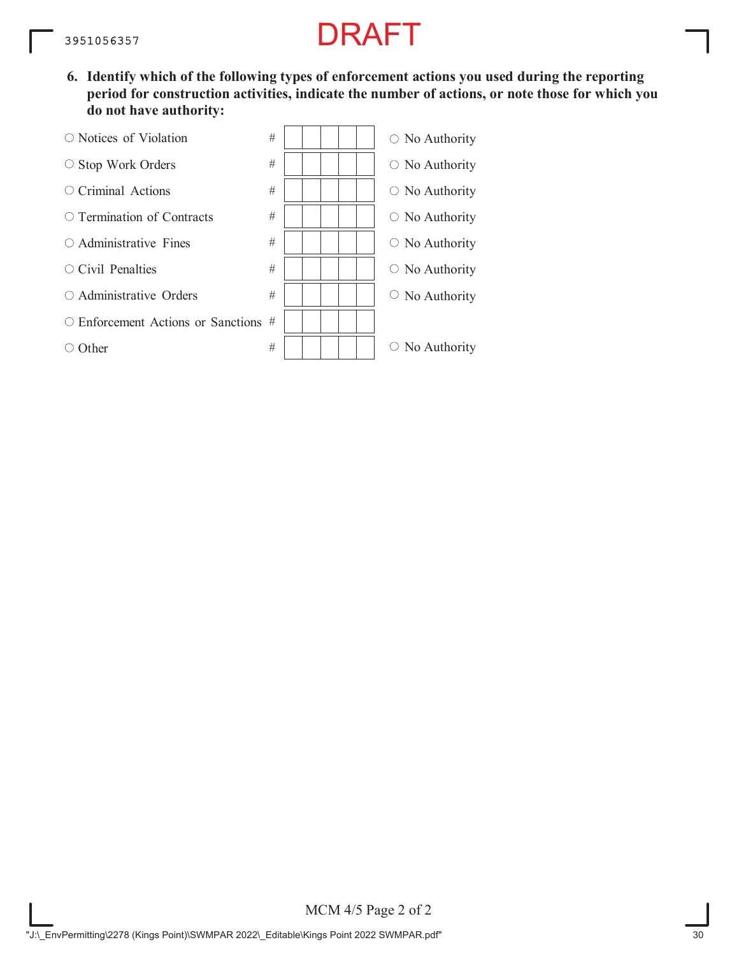**6. Identify which of the following types of enforcement actions you used during the reporting period for construction activities, indicate the number of actions, or note those for which you do not have authority:**



MCM 4/5 Page 2 of 2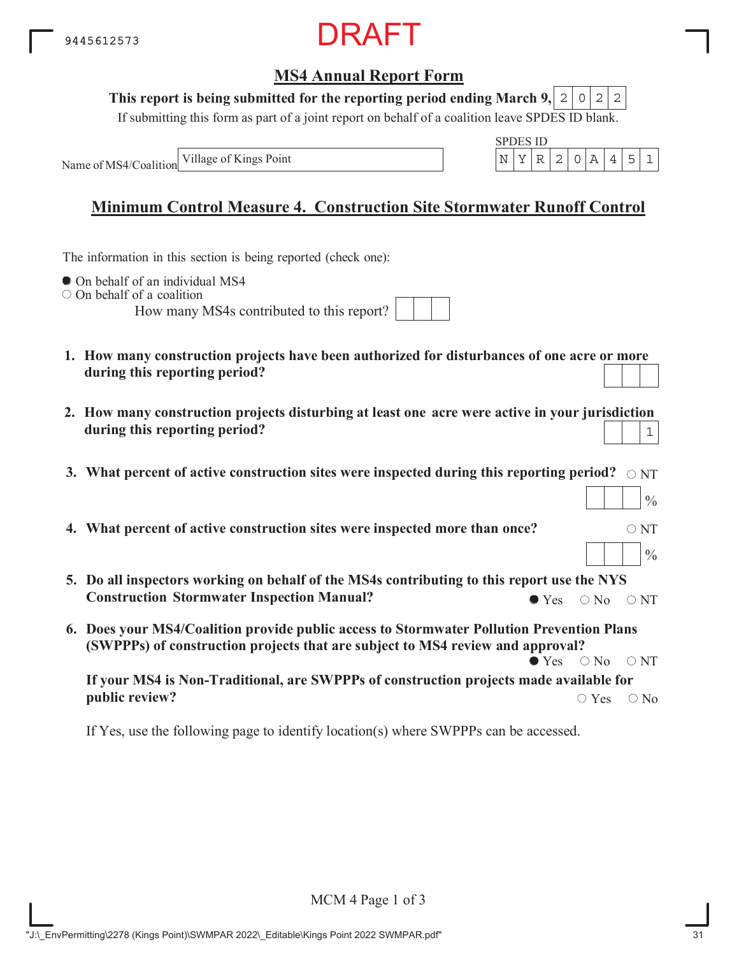

#### **This report is being submitted for the reporting period ending March 9,**  $0|2|2$

If submitting this form as part of a joint report on behalf of a coalition leave SPDES ID blank.

Name of MS4/Coalition Village of Kings Point

|  | . <i>.</i> |  |  |  |
|--|------------|--|--|--|
|  |            |  |  |  |

# **Minimum Control Measure 4. Construction Site Stormwater Runoff Control**

The information in this section is being reported (check one):

 $\bullet$  On behalf of an individual MS4

 $\circ$  On behalf of a coalition

How many MS4s contributed to this report?

|  |  | MS4s contributed to this report? |  |  |  |
|--|--|----------------------------------|--|--|--|
|  |  |                                  |  |  |  |

- **1. How many construction projects have been authorized for disturbances of one acre or more during this reporting period?**
- **2. How many construction projects disturbing at least one acre were active in your jurisdiction during this reporting period?** 1
- 3. What percent of active construction sites were inspected during this reporting period?  $\,\circ$   $_{\rm NT}$
- **4. What percent of active construction sites were inspected more than once?**  $\circ$  NT
- **5. Do all inspectors working on behalf of the MS4s contributing to this report use the NYS Construction Stormwater Inspection Manual?**  $\bullet$  Yes  $\circ$  No  $\circ$  NT
- **6. Does your MS4/Coalition provide public access to Stormwater Pollution Prevention Plans (SWPPPs) of construction projects that are subject to MS4 review and approval?**  $\bullet$  Yes  $\circ$  No  $\circ$  NT

**If your MS4 is Non-Traditional, are SWPPPs of construction projects made available for public review?**  $\bigcirc$  Yes  $\bigcirc$  No

If Yes, use the following page to identify location(s) where SWPPPs can be accessed.

 $\frac{0}{0}$ 

 $\frac{0}{0}$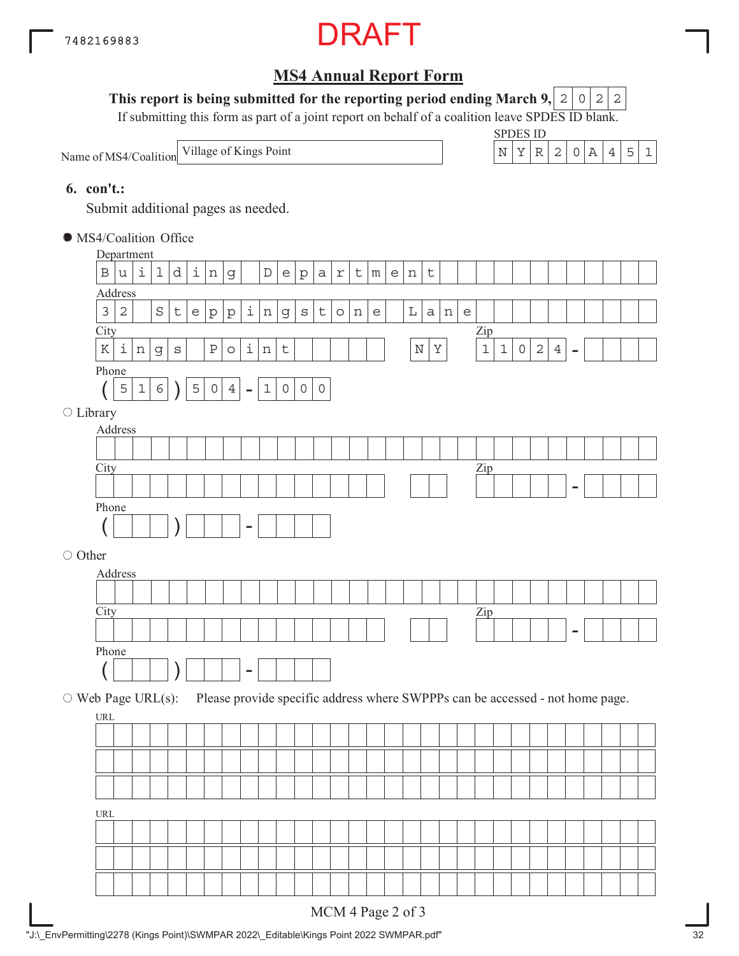

### This report is being submitted for the reporting period ending March 9,  $|2|0|2|2$

If submitting this form as part of a joint report on behalf of a coalition leave SPDES ID blank.

Name of MS4/Coalition



#### **6. con't.:**

Submit additional pages as needed.

MS4/Coalition Office

|                          |                    | Department     |                |             |                                   |              |                  |                          |                |             |                     |              |            |              |                 |                |              |         |              |                                                                     |                                                                               |             |              |            |                |                |  |  |
|--------------------------|--------------------|----------------|----------------|-------------|-----------------------------------|--------------|------------------|--------------------------|----------------|-------------|---------------------|--------------|------------|--------------|-----------------|----------------|--------------|---------|--------------|---------------------------------------------------------------------|-------------------------------------------------------------------------------|-------------|--------------|------------|----------------|----------------|--|--|
| $\, {\bf B}$             | $\mathtt{u}$       | i              | ı              | d           | $\dot{\mathtt l}$                 | $\,$ n       | $\mathsf g$      |                          | $\mathbb D$    | e           | $\rm p$             | $\mathsf a$  | $\Upsilon$ | $\mathsf{t}$ | ${\mathfrak m}$ | e <sub>1</sub> | $\, {\rm n}$ | $\sf t$ |              |                                                                     |                                                                               |             |              |            |                |                |  |  |
| Address                  |                    |                |                |             |                                   |              |                  |                          |                |             |                     |              |            |              |                 |                |              |         |              |                                                                     |                                                                               |             |              |            |                |                |  |  |
| $\mathsf 3$              | $\sqrt{2}$         |                | $\rm S$        | $\mathsf t$ | $\mathsf{e}% _{t}\left( t\right)$ | ${\tt p}$    | p                | $\vert \mathbf{i} \vert$ | $\, {\rm n}$   | $\mathbf 9$ | $\rm s$             | t            | $\circ$    | $\, {\rm n}$ | $\epsilon$      |                | $\mathbb L$  | a       | $\, {\rm n}$ | $\mathsf{e}% _{t}\!\left( t\right) \mathsf{e}_{t}\!\left( t\right)$ |                                                                               |             |              |            |                |                |  |  |
| City                     |                    |                |                |             |                                   |              |                  |                          |                |             |                     |              |            |              |                 |                |              |         |              |                                                                     | Zip                                                                           |             |              |            |                |                |  |  |
| $\rm K$                  | $\dot{\mathtt{l}}$ | $\,$ $\,$ $\,$ | $\mathsf g$    | $\rm S$     |                                   | $\, {\bf P}$ | $\circ$          | $\dot{\mathtt l}$        | $\,$ $\,$ $\,$ | $\mathsf t$ |                     |              |            |              |                 |                | $\mathbb N$  | $\rm X$ |              |                                                                     | $\mathbf 1$                                                                   | $\mathbf 1$ | $\mathsf{O}$ | $\sqrt{2}$ | $\overline{4}$ | $\overline{a}$ |  |  |
| Phone                    |                    |                |                |             |                                   |              |                  |                          |                |             |                     |              |            |              |                 |                |              |         |              |                                                                     |                                                                               |             |              |            |                |                |  |  |
|                          | 5                  | $\mathbf 1$    | 6 <sup>1</sup> |             | $\mathsf S$                       | $\mathsf O$  | $\ensuremath{4}$ | $\equiv$                 | $\mathbf 1$    | $\circ$     | $\mathsf{O}\xspace$ | $\mathsf{O}$ |            |              |                 |                |              |         |              |                                                                     |                                                                               |             |              |            |                |                |  |  |
| ○ Library                |                    |                |                |             |                                   |              |                  |                          |                |             |                     |              |            |              |                 |                |              |         |              |                                                                     |                                                                               |             |              |            |                |                |  |  |
| Address                  |                    |                |                |             |                                   |              |                  |                          |                |             |                     |              |            |              |                 |                |              |         |              |                                                                     |                                                                               |             |              |            |                |                |  |  |
|                          |                    |                |                |             |                                   |              |                  |                          |                |             |                     |              |            |              |                 |                |              |         |              |                                                                     |                                                                               |             |              |            |                |                |  |  |
| City                     |                    |                |                |             |                                   |              |                  |                          |                |             |                     |              |            |              |                 |                |              |         |              |                                                                     | Zip                                                                           |             |              |            |                |                |  |  |
|                          |                    |                |                |             |                                   |              |                  |                          |                |             |                     |              |            |              |                 |                |              |         |              |                                                                     |                                                                               |             |              |            |                |                |  |  |
| Phone                    |                    |                |                |             |                                   |              |                  |                          |                |             |                     |              |            |              |                 |                |              |         |              |                                                                     |                                                                               |             |              |            |                |                |  |  |
|                          |                    |                |                |             |                                   |              |                  | -                        |                |             |                     |              |            |              |                 |                |              |         |              |                                                                     |                                                                               |             |              |            |                |                |  |  |
| O Other                  |                    |                |                |             |                                   |              |                  |                          |                |             |                     |              |            |              |                 |                |              |         |              |                                                                     |                                                                               |             |              |            |                |                |  |  |
| Address                  |                    |                |                |             |                                   |              |                  |                          |                |             |                     |              |            |              |                 |                |              |         |              |                                                                     |                                                                               |             |              |            |                |                |  |  |
|                          |                    |                |                |             |                                   |              |                  |                          |                |             |                     |              |            |              |                 |                |              |         |              |                                                                     |                                                                               |             |              |            |                |                |  |  |
| City                     |                    |                |                |             |                                   |              |                  |                          |                |             |                     |              |            |              |                 |                |              |         |              |                                                                     | $\mathbf{Zip}$                                                                |             |              |            |                |                |  |  |
|                          |                    |                |                |             |                                   |              |                  |                          |                |             |                     |              |            |              |                 |                |              |         |              |                                                                     |                                                                               |             |              |            |                |                |  |  |
| Phone                    |                    |                |                |             |                                   |              |                  |                          |                |             |                     |              |            |              |                 |                |              |         |              |                                                                     |                                                                               |             |              |            |                |                |  |  |
|                          |                    |                |                |             |                                   |              |                  | $\overline{\phantom{0}}$ |                |             |                     |              |            |              |                 |                |              |         |              |                                                                     |                                                                               |             |              |            |                |                |  |  |
|                          |                    |                |                |             |                                   |              |                  |                          |                |             |                     |              |            |              |                 |                |              |         |              |                                                                     |                                                                               |             |              |            |                |                |  |  |
| $\circ$ Web Page URL(s): |                    |                |                |             |                                   |              |                  |                          |                |             |                     |              |            |              |                 |                |              |         |              |                                                                     | Please provide specific address where SWPPPs can be accessed - not home page. |             |              |            |                |                |  |  |
| URL                      |                    |                |                |             |                                   |              |                  |                          |                |             |                     |              |            |              |                 |                |              |         |              |                                                                     |                                                                               |             |              |            |                |                |  |  |
|                          |                    |                |                |             |                                   |              |                  |                          |                |             |                     |              |            |              |                 |                |              |         |              |                                                                     |                                                                               |             |              |            |                |                |  |  |
|                          |                    |                |                |             |                                   |              |                  |                          |                |             |                     |              |            |              |                 |                |              |         |              |                                                                     |                                                                               |             |              |            |                |                |  |  |
|                          |                    |                |                |             |                                   |              |                  |                          |                |             |                     |              |            |              |                 |                |              |         |              |                                                                     |                                                                               |             |              |            |                |                |  |  |
|                          |                    |                |                |             |                                   |              |                  |                          |                |             |                     |              |            |              |                 |                |              |         |              |                                                                     |                                                                               |             |              |            |                |                |  |  |
|                          |                    |                |                |             |                                   |              |                  |                          |                |             |                     |              |            |              |                 |                |              |         |              |                                                                     |                                                                               |             |              |            |                |                |  |  |
| URL                      |                    |                |                |             |                                   |              |                  |                          |                |             |                     |              |            |              |                 |                |              |         |              |                                                                     |                                                                               |             |              |            |                |                |  |  |
|                          |                    |                |                |             |                                   |              |                  |                          |                |             |                     |              |            |              |                 |                |              |         |              |                                                                     |                                                                               |             |              |            |                |                |  |  |
|                          |                    |                |                |             |                                   |              |                  |                          |                |             |                     |              |            |              |                 |                |              |         |              |                                                                     |                                                                               |             |              |            |                |                |  |  |
|                          |                    |                |                |             |                                   |              |                  |                          |                |             |                     |              |            |              |                 |                |              |         |              |                                                                     |                                                                               |             |              |            |                |                |  |  |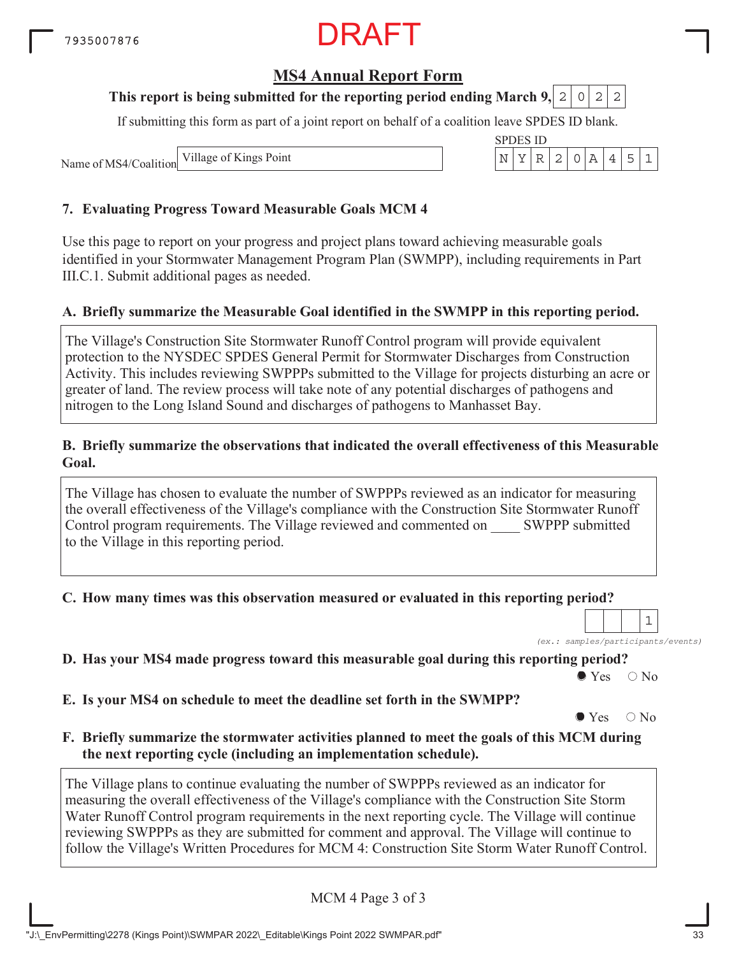## **MS4 Annual Report Form**

### **This report is being submitted for the reporting period ending March 9, 2 0 2 2**

If submitting this form as part of a joint report on behalf of a coalition leave SPDES ID blank.

Name of MS4/Coalition Village of Kings Point

#### **7. Evaluating Progress Toward Measurable Goals MCM 4**

Use this page to report on your progress and project plans toward achieving measurable goals identified in your Stormwater Management Program Plan (SWMPP), including requirements in Part III.C.1. Submit additional pages as needed.

#### **A. Briefly summarize the Measurable Goal identified in the SWMPP in this reporting period.**

The Village's Construction Site Stormwater Runoff Control program will provide equivalent protection to the NYSDEC SPDES General Permit for Stormwater Discharges from Construction Activity. This includes reviewing SWPPPs submitted to the Village for projects disturbing an acre or greater of land. The review process will take note of any potential discharges of pathogens and nitrogen to the Long Island Sound and discharges of pathogens to Manhasset Bay.

#### **B. Briefly summarize the observations that indicated the overall effectiveness of this Measurable Goal.**

The Village has chosen to evaluate the number of SWPPPs reviewed as an indicator for measuring the overall effectiveness of the Village's compliance with the Construction Site Stormwater Runoff Control program requirements. The Village reviewed and commented on SWPPP submitted to the Village in this reporting period.

#### **C. How many times was this observation measured or evaluated in this reporting period?**

*(ex.: samples/participants/events)* 1

**D. Has your MS4 made progress toward this measurable goal during this reporting period?**

 $\bullet$  Yes  $\circ$  No

**E. Is your MS4 on schedule to meet the deadline set forth in the SWMPP?**

 $\bullet$  Yes  $\circ$  No

**F. Briefly summarize the stormwater activities planned to meet the goals of this MCM during the next reporting cycle (including an implementation schedule).**

The Village plans to continue evaluating the number of SWPPPs reviewed as an indicator for measuring the overall effectiveness of the Village's compliance with the Construction Site Storm Water Runoff Control program requirements in the next reporting cycle. The Village will continue reviewing SWPPPs as they are submitted for comment and approval. The Village will continue to follow the Village's Written Procedures for MCM 4: Construction Site Storm Water Runoff Control.

MCM 4 Page 3 of 3

| ペアロル | H۱ | S 11) |   |  |  |  |
|------|----|-------|---|--|--|--|
|      |    |       | ı |  |  |  |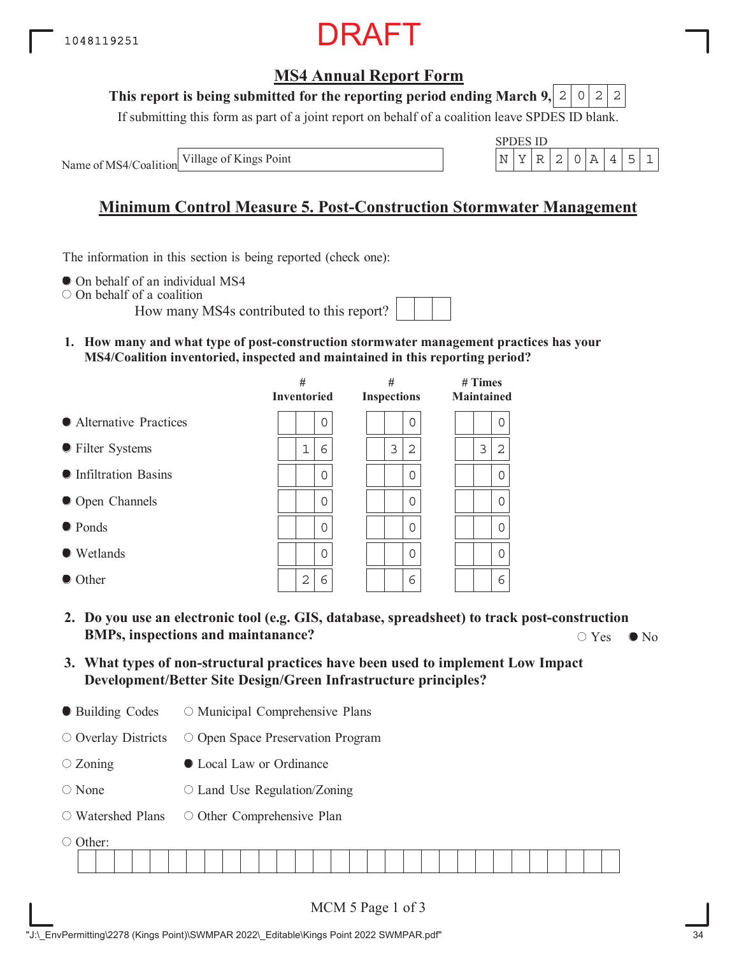## **MS4 Annual Report Form**

#### **This report is being submitted for the reporting period ending March 9,**  $2|0|2|2$

If submitting this form as part of a joint report on behalf of a coalition leave SPDES ID blank.

Name of MS4/Coalition Village of Kings Point

| √PI. | S 11) |  |  |  |
|------|-------|--|--|--|
|      |       |  |  |  |

# **Minimum Control Measure 5. Post-Construction Stormwater Management**

The information in this section is being reported (check one):

 $\bullet$  On behalf of an individual MS4

On behalf of a coalition

How many MS4s contributed to this report?

**1. How many and what type of post-construction stormwater management practices has your MS4/Coalition inventoried, inspected and maintained in this reporting period?**

|                         | #<br><b>Inventoried</b> | #<br><b>Inspections</b> | $#$ Times<br><b>Maintained</b> |
|-------------------------|-------------------------|-------------------------|--------------------------------|
| • Alternative Practices | 0                       | 0                       | 0                              |
| • Filter Systems        | 1<br>6                  | 3<br>2                  | 3<br>2                         |
| • Infiltration Basins   | $\Omega$                | 0                       | 0                              |
| • Open Channels         | 0                       | 0                       | $\Omega$                       |
| • Ponds                 | $\Omega$                | 0                       | $\Omega$                       |
| • Wetlands              | 0                       | 0                       | $\mathbf 0$                    |
| • Other                 | 2<br>6                  | 6                       | 6                              |

- **2. Do you use an electronic tool (e.g. GIS, database, spreadsheet) to track post-construction BMPs, inspections and maintanance?**  $\bigcirc$  Yes  $\bigcirc$  No  $\bigcirc$  Yes  $\bigcirc$  No
- **3. What types of non-structural practices have been used to implement Low Impact Development/Better Site Design/Green Infrastructure principles?**
- Building Codes O Municipal Comprehensive Plans

O Overlay Districts O Open Space Preservation Program

- $\circ$  Zoning Local Law or Ordinance
- None  $\circ$  Land Use Regulation/Zoning
- Watershed Plans O Other Comprehensive Plan

O Other:

| -------- |  |  |  |  |  |  |  |  |  |  |  |  |  |  |  |  |  |  |  |  |  |
|----------|--|--|--|--|--|--|--|--|--|--|--|--|--|--|--|--|--|--|--|--|--|
|          |  |  |  |  |  |  |  |  |  |  |  |  |  |  |  |  |  |  |  |  |  |
|          |  |  |  |  |  |  |  |  |  |  |  |  |  |  |  |  |  |  |  |  |  |
|          |  |  |  |  |  |  |  |  |  |  |  |  |  |  |  |  |  |  |  |  |  |
|          |  |  |  |  |  |  |  |  |  |  |  |  |  |  |  |  |  |  |  |  |  |
|          |  |  |  |  |  |  |  |  |  |  |  |  |  |  |  |  |  |  |  |  |  |
|          |  |  |  |  |  |  |  |  |  |  |  |  |  |  |  |  |  |  |  |  |  |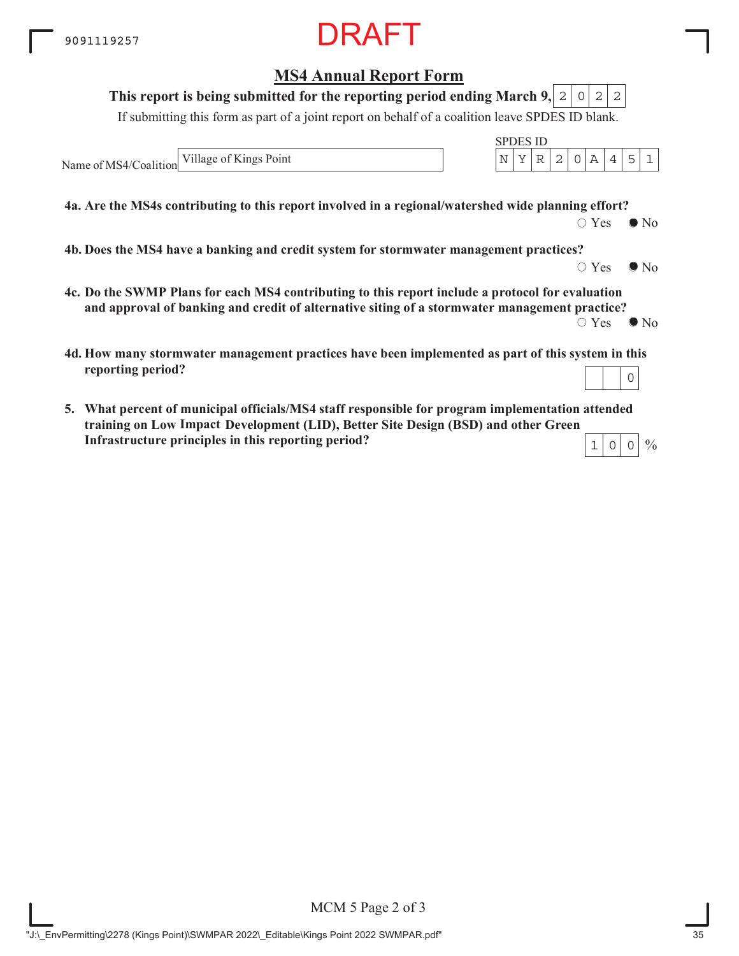### **MS4 Annual Report Form**

#### **This report is being submitted for the reporting period ending March 9,**  $2|0|2|2$

If submitting this form as part of a joint report on behalf of a coalition leave SPDES ID blank.

Name of MS4/Coalition Village of Kings Point  $\vert N \vert Y \vert R \vert 2 \vert 0 \vert A \vert 4 \vert 5 \vert 1$ 

**4a. Are the MS4s contributing to this report involved in a regional/watershed wide planning effort?**

 $\bigcirc$  Yes  $\bigcirc$  No

SPDES ID

**4b. Does the MS4 have a banking and credit system for stormwater management practices?**

 $\circ$  Yes  $\bullet$  No

 $\frac{0}{0}$ 

- **4c. Do the SWMP Plans for each MS4 contributing to this report include a protocol for evaluation and approval of banking and credit of alternative siting of a stormwater management practice?**  $\circ$  Yes  $\bullet$  No
- **4d. How many stormwater management practices have been implemented as part of this system in this reporting period?** 0
- **5. What percent of municipal officials/MS4 staff responsible for program implementation attended training on Low Impace Development (LID), Better Site Design (BSD) and other Green ImpactInfrastructure principles in this reporting period?**  $1|0|0$

MCM 5 Page 2 of 3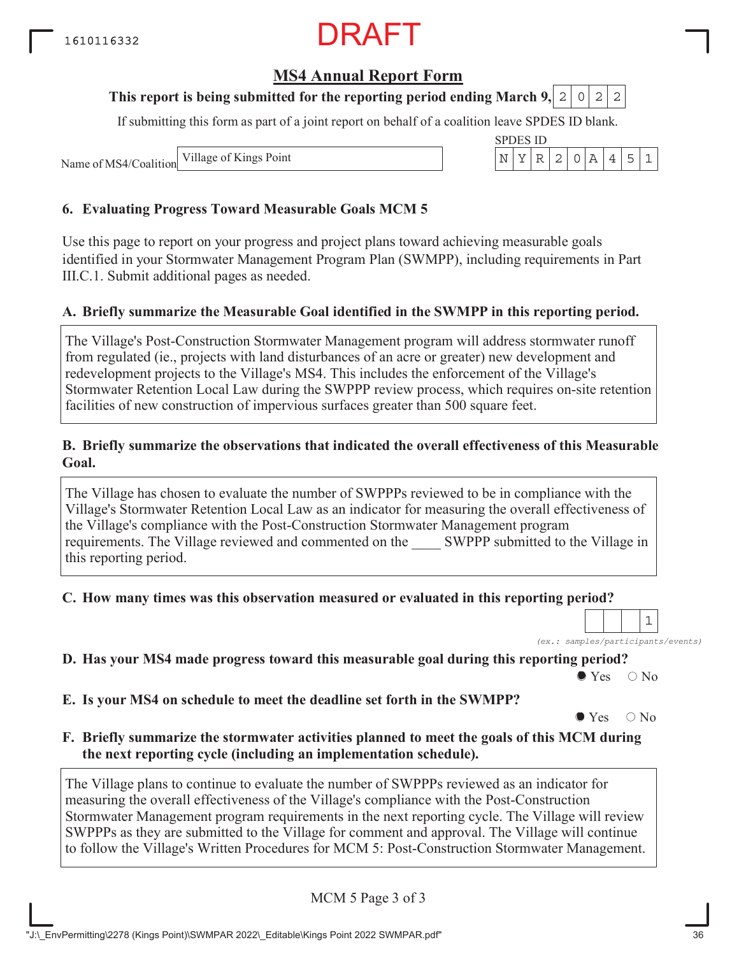## **MS4 Annual Report Form**

#### **This report is being submitted for the reporting period ending March 9,**  $0|2|2$

If submitting this form as part of a joint report on behalf of a coalition leave SPDES ID blank.

Name of MS4/Coalition Village of Kings Point

#### **6. Evaluating Progress Toward Measurable Goals MCM 5**

Use this page to report on your progress and project plans toward achieving measurable goals identified in your Stormwater Management Program Plan (SWMPP), including requirements in Part III.C.1. Submit additional pages as needed.

#### **A. Briefly summarize the Measurable Goal identified in the SWMPP in this reporting period.**

The Village's Post-Construction Stormwater Management program will address stormwater runoff from regulated (ie., projects with land disturbances of an acre or greater) new development and redevelopment projects to the Village's MS4. This includes the enforcement of the Village's Stormwater Retention Local Law during the SWPPP review process, which requires on-site retention facilities of new construction of impervious surfaces greater than 500 square feet.

#### **B. Briefly summarize the observations that indicated the overall effectiveness of this Measurable Goal.**

The Village has chosen to evaluate the number of SWPPPs reviewed to be in compliance with the Village's Stormwater Retention Local Law as an indicator for measuring the overall effectiveness of the Village's compliance with the Post-Construction Stormwater Management program requirements. The Village reviewed and commented on the SWPPP submitted to the Village in this reporting period.

**C. How many times was this observation measured or evaluated in this reporting period?**

*(ex.: samples/participants/events)*

1

**D. Has your MS4 made progress toward this measurable goal during this reporting period?**

 $\bullet$  Yes  $\circ$  No

**E. Is your MS4 on schedule to meet the deadline set forth in the SWMPP?**

 $\bullet$  Yes  $\circ$  No

**F. Briefly summarize the stormwater activities planned to meet the goals of this MCM during the next reporting cycle (including an implementation schedule).**

The Village plans to continue to evaluate the number of SWPPPs reviewed as an indicator for measuring the overall effectiveness of the Village's compliance with the Post-Construction Stormwater Management program requirements in the next reporting cycle. The Village will review SWPPPs as they are submitted to the Village for comment and approval. The Village will continue to follow the Village's Written Procedures for MCM 5: Post-Construction Stormwater Management.

MCM 5 Page 3 of 3

| SPDES ID. |  |  |  |     |  |  |  |  |  |  |  |  |  |
|-----------|--|--|--|-----|--|--|--|--|--|--|--|--|--|
|           |  |  |  | -21 |  |  |  |  |  |  |  |  |  |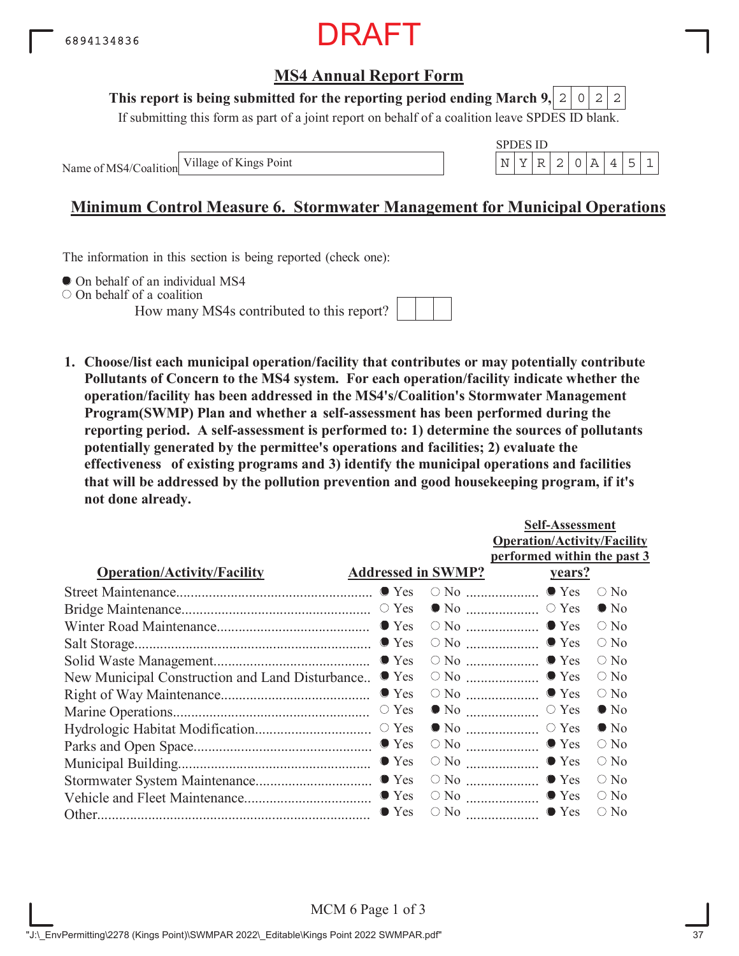

#### **This report is being submitted for the reporting period ending March 9,**  $2|0|2|2$

If submitting this form as part of a joint report on behalf of a coalition leave SPDES ID blank.

Name of MS4/Coalition

SPDES ID Village of Kings Point  $\vert N \vert Y \vert R \vert 2 \vert 0 \vert A \vert 4 \vert 5 \vert 1$ 

## **Minimum Control Measure 6. Stormwater Management for Municipal Operations**

The information in this section is being reported (check one):

 $\bullet$  On behalf of an individual MS4

On behalf of a coalition

How many MS4s contributed to this report?



**1. Choose/list each municipal operation/facility that contributes or may potentially contribute Pollutants of Concern to the MS4 system. For each operation/facility indicate whether the operation/facility has been addressed in the MS4's/Coalition's Stormwater Management Program(SWMP) Plan and whether a self-assessment has been performed during the reporting period. A self-assessment is performed to: 1) determine the sources of pollutants potentially generated by the permittee's operations and facilities; 2) evaluate the effectiveness of existing programs and 3) identify the municipal operations and facilities that will be addressed by the pollution prevention and good housekeeping program, if it's not done already.**

|                                                 |                           |                                                | <b>Self-Assessment</b>             |               |  |  |  |  |
|-------------------------------------------------|---------------------------|------------------------------------------------|------------------------------------|---------------|--|--|--|--|
|                                                 |                           |                                                | <b>Operation/Activity/Facility</b> |               |  |  |  |  |
|                                                 |                           |                                                | performed within the past 3        |               |  |  |  |  |
| <b>Operation/Activity/Facility</b>              | <b>Addressed in SWMP?</b> |                                                | <u>vears?</u>                      |               |  |  |  |  |
|                                                 |                           |                                                |                                    | $\bigcirc$ No |  |  |  |  |
|                                                 |                           |                                                |                                    | $\bullet$ No  |  |  |  |  |
|                                                 |                           |                                                |                                    | $\circ$ No    |  |  |  |  |
|                                                 |                           |                                                |                                    | $\bigcirc$ No |  |  |  |  |
|                                                 |                           |                                                |                                    | $\bigcirc$ No |  |  |  |  |
| New Municipal Construction and Land Disturbance | $\bullet$ Yes             |                                                | $\circ$ No $\ldots$ $\bullet$ Yes  | $\circ$ No    |  |  |  |  |
|                                                 | $\bullet$ Yes             |                                                | $\circ$ No $\ldots$ $\bullet$ Yes  | $\circ$ No    |  |  |  |  |
|                                                 | $\circ$ Yes               |                                                |                                    | $\bullet$ No  |  |  |  |  |
|                                                 |                           |                                                |                                    | $\bullet$ No  |  |  |  |  |
|                                                 |                           | $\circ$ No $\ldots$ $\ldots$ $\ldots$ $\ldots$ | $\bullet$ Yes                      | $\bigcirc$ No |  |  |  |  |
|                                                 |                           |                                                | $\bullet$ Yes                      | $\circ$ No    |  |  |  |  |
|                                                 |                           |                                                | $\circ$ No $\ldots$ $\bullet$ Yes  | $\bigcirc$ No |  |  |  |  |
|                                                 |                           |                                                | $\circ$ No $\ldots$ $\bullet$ Yes  | $\circ$ No    |  |  |  |  |
|                                                 | $\bullet$ Yes             | $\circ$ No $\ldots$                            | $\bullet$ Yes                      | $\bigcirc$ No |  |  |  |  |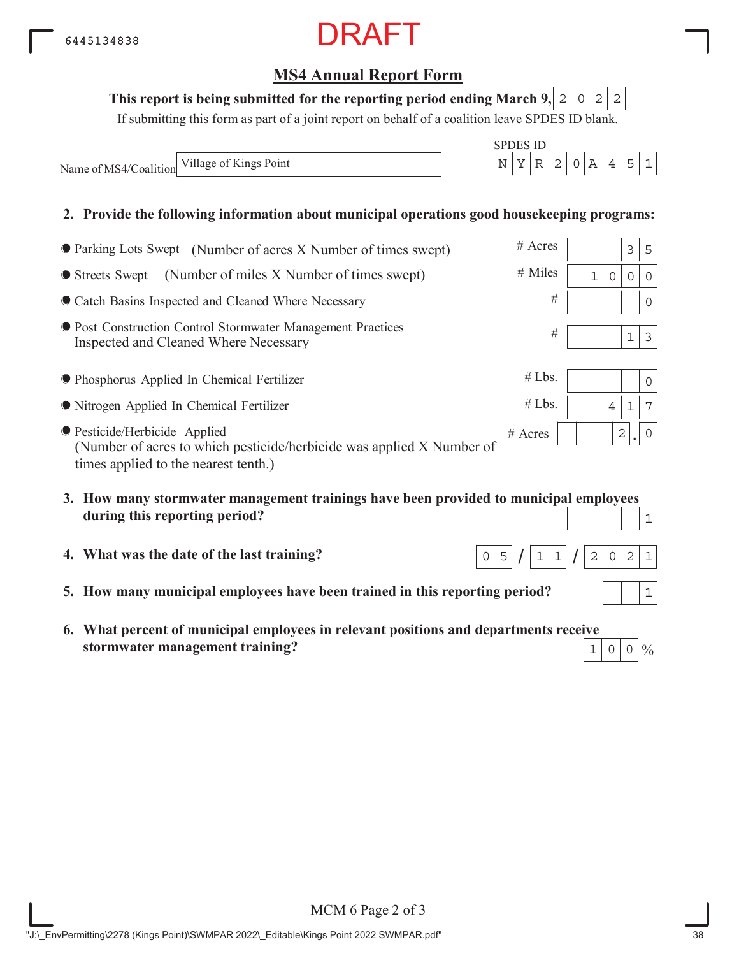MCM 6 Page 2 of 3

# **MS4 Annual Report Form**

### This report is being submitted for the reporting period ending March 9,  $\mid 2 \mid 0 \mid 2 \mid 2$

If submitting this form as part of a joint report on behalf of a coalition leave SPDES ID blank.

Name of MS4/Coalition Village of Kings Point  $N \mid Y \mid R \mid 2 \mid 0 \mid A \mid 4 \mid 5 \mid 1$ 

6445134838

### **2. Provide the following information about municipal operations good housekeeping programs:**

| ● Parking Lots Swept (Number of acres X Number of times swept)                                                                                        | # Acres   |   |             | 3            | 5              |
|-------------------------------------------------------------------------------------------------------------------------------------------------------|-----------|---|-------------|--------------|----------------|
| (Number of miles X Number of times swept)<br>● Streets Swept                                                                                          | $#$ Miles | 1 | $\Omega$    | $\Omega$     | $\Omega$       |
| • Catch Basins Inspected and Cleaned Where Necessary                                                                                                  | #         |   |             |              | 0              |
| ● Post Construction Control Stormwater Management Practices<br>Inspected and Cleaned Where Necessary                                                  | #         |   |             | $1\,$        | $\mathfrak{Z}$ |
| • Phosphorus Applied In Chemical Fertilizer                                                                                                           | #Lbs.     |   |             |              | $\Omega$       |
| • Nitrogen Applied In Chemical Fertilizer                                                                                                             | #Lbs.     |   | 4           | $\mathbf{1}$ | 7              |
| <b>• Pesticide/Herbicide Applied</b><br>(Number of acres to which pesticide/herbicide was applied X Number of<br>times applied to the nearest tenth.) | $#$ Acres |   | $\mathbf 2$ |              | $\overline{0}$ |
| 3. How many stormwater management trainings have been provided to municipal employees                                                                 |           |   |             |              |                |

- **3. How many stormwater management trainings have been provided to municipal employees during this reporting period?**
- **4. What was the date of the last training?**
- **5. How many municipal employees have been trained in this reporting period?**
- **6. What percent of municipal employees in relevant positions and departments receive stormwater management training?**  $1|0|0|\%$



SPDES ID



 $0|5|/|1|1|/|2|0|2|1$ 

1